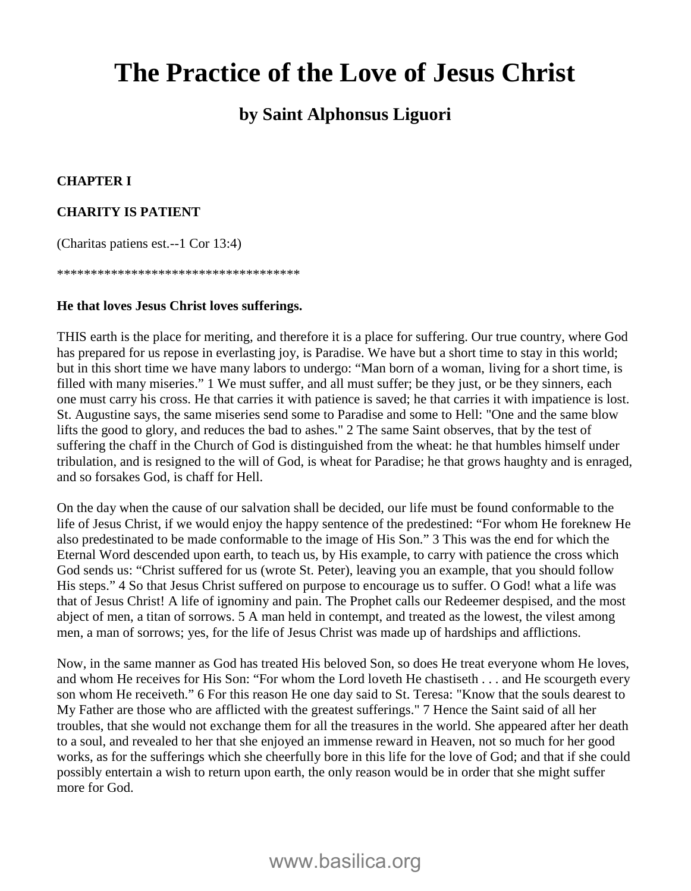# **The Practice of the Love of Jesus Christ**

### **by Saint Alphonsus Liguori**

#### **CHAPTER I**

#### **CHARITY IS PATIENT**

(Charitas patiens est.--1 Cor 13:4)

\*\*\*\*\*\*\*\*\*\*\*\*\*\*\*\*\*\*\*\*\*\*\*\*\*\*\*\*\*\*\*\*\*\*\*\*

#### **He that loves Jesus Christ loves sufferings.**

THIS earth is the place for meriting, and therefore it is a place for suffering. Our true country, where God has prepared for us repose in everlasting joy, is Paradise. We have but a short time to stay in this world; but in this short time we have many labors to undergo: "Man born of a woman, living for a short time, is filled with many miseries." 1 We must suffer, and all must suffer; be they just, or be they sinners, each one must carry his cross. He that carries it with patience is saved; he that carries it with impatience is lost. St. Augustine says, the same miseries send some to Paradise and some to Hell: "One and the same blow lifts the good to glory, and reduces the bad to ashes." 2 The same Saint observes, that by the test of suffering the chaff in the Church of God is distinguished from the wheat: he that humbles himself under tribulation, and is resigned to the will of God, is wheat for Paradise; he that grows haughty and is enraged, and so forsakes God, is chaff for Hell.

On the day when the cause of our salvation shall be decided, our life must be found conformable to the life of Jesus Christ, if we would enjoy the happy sentence of the predestined: "For whom He foreknew He also predestinated to be made conformable to the image of His Son." 3 This was the end for which the Eternal Word descended upon earth, to teach us, by His example, to carry with patience the cross which God sends us: "Christ suffered for us (wrote St. Peter), leaving you an example, that you should follow His steps." 4 So that Jesus Christ suffered on purpose to encourage us to suffer. O God! what a life was that of Jesus Christ! A life of ignominy and pain. The Prophet calls our Redeemer despised, and the most abject of men, a titan of sorrows. 5 A man held in contempt, and treated as the lowest, the vilest among men, a man of sorrows; yes, for the life of Jesus Christ was made up of hardships and afflictions.

Now, in the same manner as God has treated His beloved Son, so does He treat everyone whom He loves, and whom He receives for His Son: "For whom the Lord loveth He chastiseth . . . and He scourgeth every son whom He receiveth." 6 For this reason He one day said to St. Teresa: "Know that the souls dearest to My Father are those who are afflicted with the greatest sufferings." 7 Hence the Saint said of all her troubles, that she would not exchange them for all the treasures in the world. She appeared after her death to a soul, and revealed to her that she enjoyed an immense reward in Heaven, not so much for her good works, as for the sufferings which she cheerfully bore in this life for the love of God; and that if she could possibly entertain a wish to return upon earth, the only reason would be in order that she might suffer more for God.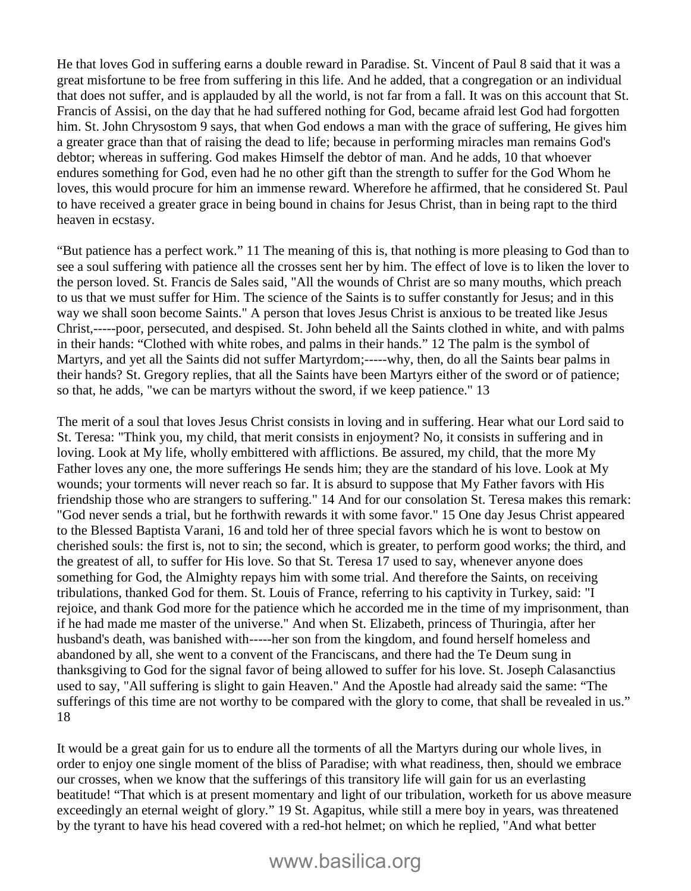He that loves God in suffering earns a double reward in Paradise. St. Vincent of Paul 8 said that it was a great misfortune to be free from suffering in this life. And he added, that a congregation or an individual that does not suffer, and is applauded by all the world, is not far from a fall. It was on this account that St. Francis of Assisi, on the day that he had suffered nothing for God, became afraid lest God had forgotten him. St. John Chrysostom 9 says, that when God endows a man with the grace of suffering, He gives him a greater grace than that of raising the dead to life; because in performing miracles man remains God's debtor; whereas in suffering. God makes Himself the debtor of man. And he adds, 10 that whoever endures something for God, even had he no other gift than the strength to suffer for the God Whom he loves, this would procure for him an immense reward. Wherefore he affirmed, that he considered St. Paul to have received a greater grace in being bound in chains for Jesus Christ, than in being rapt to the third heaven in ecstasy.

"But patience has a perfect work." 11 The meaning of this is, that nothing is more pleasing to God than to see a soul suffering with patience all the crosses sent her by him. The effect of love is to liken the lover to the person loved. St. Francis de Sales said, "All the wounds of Christ are so many mouths, which preach to us that we must suffer for Him. The science of the Saints is to suffer constantly for Jesus; and in this way we shall soon become Saints." A person that loves Jesus Christ is anxious to be treated like Jesus Christ,-----poor, persecuted, and despised. St. John beheld all the Saints clothed in white, and with palms in their hands: "Clothed with white robes, and palms in their hands." 12 The palm is the symbol of Martyrs, and yet all the Saints did not suffer Martyrdom;-----why, then, do all the Saints bear palms in their hands? St. Gregory replies, that all the Saints have been Martyrs either of the sword or of patience; so that, he adds, "we can be martyrs without the sword, if we keep patience." 13

The merit of a soul that loves Jesus Christ consists in loving and in suffering. Hear what our Lord said to St. Teresa: "Think you, my child, that merit consists in enjoyment? No, it consists in suffering and in loving. Look at My life, wholly embittered with afflictions. Be assured, my child, that the more My Father loves any one, the more sufferings He sends him; they are the standard of his love. Look at My wounds; your torments will never reach so far. It is absurd to suppose that My Father favors with His friendship those who are strangers to suffering." 14 And for our consolation St. Teresa makes this remark: "God never sends a trial, but he forthwith rewards it with some favor." 15 One day Jesus Christ appeared to the Blessed Baptista Varani, 16 and told her of three special favors which he is wont to bestow on cherished souls: the first is, not to sin; the second, which is greater, to perform good works; the third, and the greatest of all, to suffer for His love. So that St. Teresa 17 used to say, whenever anyone does something for God, the Almighty repays him with some trial. And therefore the Saints, on receiving tribulations, thanked God for them. St. Louis of France, referring to his captivity in Turkey, said: "I rejoice, and thank God more for the patience which he accorded me in the time of my imprisonment, than if he had made me master of the universe." And when St. Elizabeth, princess of Thuringia, after her husband's death, was banished with-----her son from the kingdom, and found herself homeless and abandoned by all, she went to a convent of the Franciscans, and there had the Te Deum sung in thanksgiving to God for the signal favor of being allowed to suffer for his love. St. Joseph Calasanctius used to say, "All suffering is slight to gain Heaven." And the Apostle had already said the same: "The sufferings of this time are not worthy to be compared with the glory to come, that shall be revealed in us." 18

It would be a great gain for us to endure all the torments of all the Martyrs during our whole lives, in order to enjoy one single moment of the bliss of Paradise; with what readiness, then, should we embrace our crosses, when we know that the sufferings of this transitory life will gain for us an everlasting beatitude! "That which is at present momentary and light of our tribulation, worketh for us above measure exceedingly an eternal weight of glory." 19 St. Agapitus, while still a mere boy in years, was threatened by the tyrant to have his head covered with a red-hot helmet; on which he replied, "And what better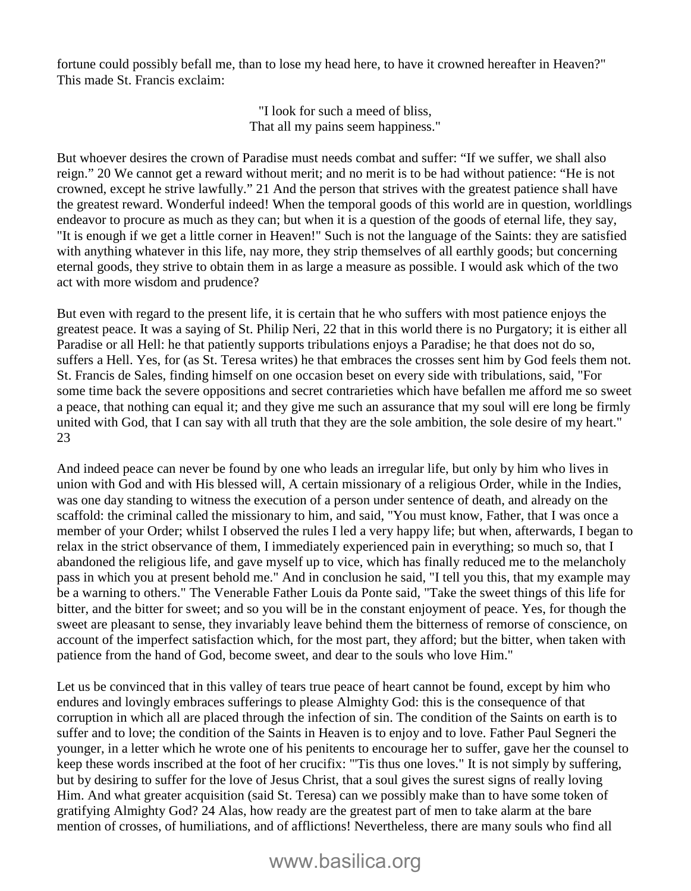fortune could possibly befall me, than to lose my head here, to have it crowned hereafter in Heaven?" This made St. Francis exclaim:

> "I look for such a meed of bliss, That all my pains seem happiness."

But whoever desires the crown of Paradise must needs combat and suffer: "If we suffer, we shall also reign." 20 We cannot get a reward without merit; and no merit is to be had without patience: "He is not crowned, except he strive lawfully." 21 And the person that strives with the greatest patience shall have the greatest reward. Wonderful indeed! When the temporal goods of this world are in question, worldlings endeavor to procure as much as they can; but when it is a question of the goods of eternal life, they say, "It is enough if we get a little corner in Heaven!" Such is not the language of the Saints: they are satisfied with anything whatever in this life, nay more, they strip themselves of all earthly goods; but concerning eternal goods, they strive to obtain them in as large a measure as possible. I would ask which of the two act with more wisdom and prudence?

But even with regard to the present life, it is certain that he who suffers with most patience enjoys the greatest peace. It was a saying of St. Philip Neri, 22 that in this world there is no Purgatory; it is either all Paradise or all Hell: he that patiently supports tribulations enjoys a Paradise; he that does not do so, suffers a Hell. Yes, for (as St. Teresa writes) he that embraces the crosses sent him by God feels them not. St. Francis de Sales, finding himself on one occasion beset on every side with tribulations, said, "For some time back the severe oppositions and secret contrarieties which have befallen me afford me so sweet a peace, that nothing can equal it; and they give me such an assurance that my soul will ere long be firmly united with God, that I can say with all truth that they are the sole ambition, the sole desire of my heart." 23

And indeed peace can never be found by one who leads an irregular life, but only by him who lives in union with God and with His blessed will, A certain missionary of a religious Order, while in the Indies, was one day standing to witness the execution of a person under sentence of death, and already on the scaffold: the criminal called the missionary to him, and said, "You must know, Father, that I was once a member of your Order; whilst I observed the rules I led a very happy life; but when, afterwards, I began to relax in the strict observance of them, I immediately experienced pain in everything; so much so, that I abandoned the religious life, and gave myself up to vice, which has finally reduced me to the melancholy pass in which you at present behold me." And in conclusion he said, "I tell you this, that my example may be a warning to others." The Venerable Father Louis da Ponte said, "Take the sweet things of this life for bitter, and the bitter for sweet; and so you will be in the constant enjoyment of peace. Yes, for though the sweet are pleasant to sense, they invariably leave behind them the bitterness of remorse of conscience, on account of the imperfect satisfaction which, for the most part, they afford; but the bitter, when taken with patience from the hand of God, become sweet, and dear to the souls who love Him."

Let us be convinced that in this valley of tears true peace of heart cannot be found, except by him who endures and lovingly embraces sufferings to please Almighty God: this is the consequence of that corruption in which all are placed through the infection of sin. The condition of the Saints on earth is to suffer and to love; the condition of the Saints in Heaven is to enjoy and to love. Father Paul Segneri the younger, in a letter which he wrote one of his penitents to encourage her to suffer, gave her the counsel to keep these words inscribed at the foot of her crucifix: "'Tis thus one loves." It is not simply by suffering, but by desiring to suffer for the love of Jesus Christ, that a soul gives the surest signs of really loving Him. And what greater acquisition (said St. Teresa) can we possibly make than to have some token of gratifying Almighty God? 24 Alas, how ready are the greatest part of men to take alarm at the bare mention of crosses, of humiliations, and of afflictions! Nevertheless, there are many souls who find all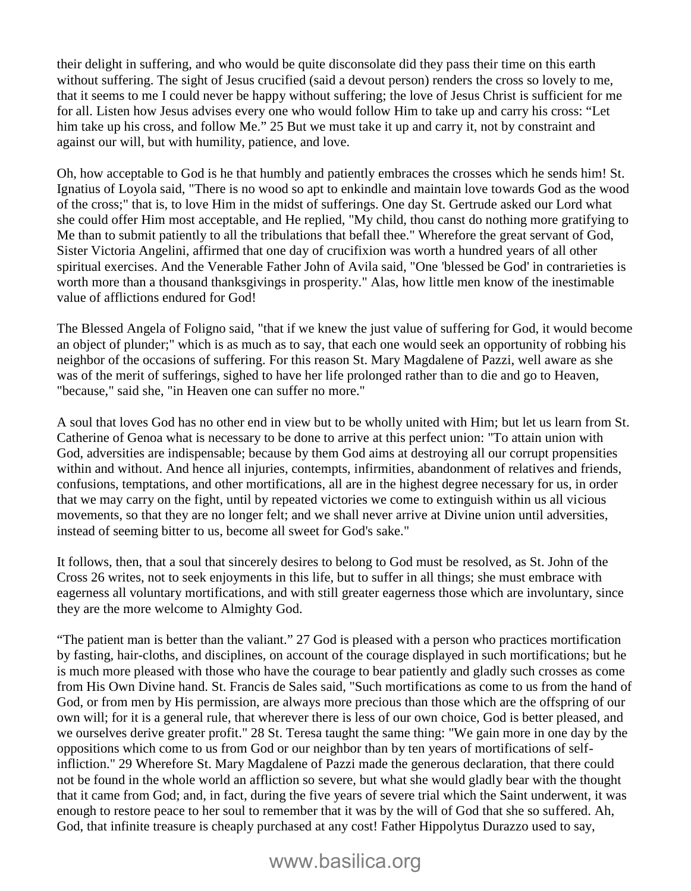their delight in suffering, and who would be quite disconsolate did they pass their time on this earth without suffering. The sight of Jesus crucified (said a devout person) renders the cross so lovely to me, that it seems to me I could never be happy without suffering; the love of Jesus Christ is sufficient for me for all. Listen how Jesus advises every one who would follow Him to take up and carry his cross: "Let him take up his cross, and follow Me." 25 But we must take it up and carry it, not by constraint and against our will, but with humility, patience, and love.

Oh, how acceptable to God is he that humbly and patiently embraces the crosses which he sends him! St. Ignatius of Loyola said, "There is no wood so apt to enkindle and maintain love towards God as the wood of the cross;" that is, to love Him in the midst of sufferings. One day St. Gertrude asked our Lord what she could offer Him most acceptable, and He replied, "My child, thou canst do nothing more gratifying to Me than to submit patiently to all the tribulations that befall thee." Wherefore the great servant of God, Sister Victoria Angelini, affirmed that one day of crucifixion was worth a hundred years of all other spiritual exercises. And the Venerable Father John of Avila said, "One 'blessed be God' in contrarieties is worth more than a thousand thanksgivings in prosperity." Alas, how little men know of the inestimable value of afflictions endured for God!

The Blessed Angela of Foligno said, "that if we knew the just value of suffering for God, it would become an object of plunder;" which is as much as to say, that each one would seek an opportunity of robbing his neighbor of the occasions of suffering. For this reason St. Mary Magdalene of Pazzi, well aware as she was of the merit of sufferings, sighed to have her life prolonged rather than to die and go to Heaven, "because," said she, "in Heaven one can suffer no more."

A soul that loves God has no other end in view but to be wholly united with Him; but let us learn from St. Catherine of Genoa what is necessary to be done to arrive at this perfect union: "To attain union with God, adversities are indispensable; because by them God aims at destroying all our corrupt propensities within and without. And hence all injuries, contempts, infirmities, abandonment of relatives and friends, confusions, temptations, and other mortifications, all are in the highest degree necessary for us, in order that we may carry on the fight, until by repeated victories we come to extinguish within us all vicious movements, so that they are no longer felt; and we shall never arrive at Divine union until adversities, instead of seeming bitter to us, become all sweet for God's sake."

It follows, then, that a soul that sincerely desires to belong to God must be resolved, as St. John of the Cross 26 writes, not to seek enjoyments in this life, but to suffer in all things; she must embrace with eagerness all voluntary mortifications, and with still greater eagerness those which are involuntary, since they are the more welcome to Almighty God.

"The patient man is better than the valiant." 27 God is pleased with a person who practices mortification by fasting, hair-cloths, and disciplines, on account of the courage displayed in such mortifications; but he is much more pleased with those who have the courage to bear patiently and gladly such crosses as come from His Own Divine hand. St. Francis de Sales said, "Such mortifications as come to us from the hand of God, or from men by His permission, are always more precious than those which are the offspring of our own will; for it is a general rule, that wherever there is less of our own choice, God is better pleased, and we ourselves derive greater profit." 28 St. Teresa taught the same thing: "We gain more in one day by the oppositions which come to us from God or our neighbor than by ten years of mortifications of selfinfliction." 29 Wherefore St. Mary Magdalene of Pazzi made the generous declaration, that there could not be found in the whole world an affliction so severe, but what she would gladly bear with the thought that it came from God; and, in fact, during the five years of severe trial which the Saint underwent, it was enough to restore peace to her soul to remember that it was by the will of God that she so suffered. Ah, God, that infinite treasure is cheaply purchased at any cost! Father Hippolytus Durazzo used to say,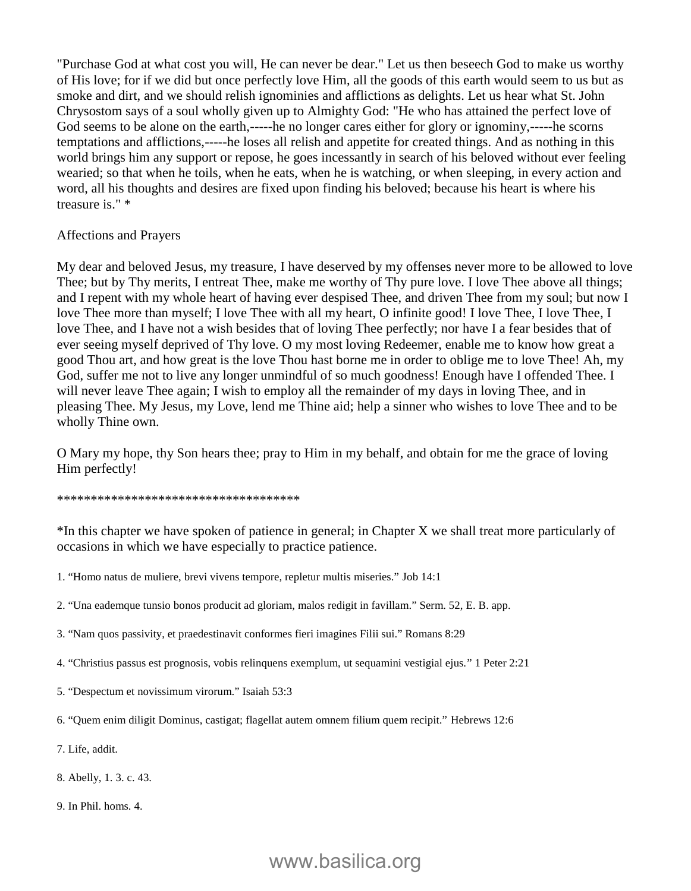"Purchase God at what cost you will, He can never be dear." Let us then beseech God to make us worthy of His love; for if we did but once perfectly love Him, all the goods of this earth would seem to us but as smoke and dirt, and we should relish ignominies and afflictions as delights. Let us hear what St. John Chrysostom says of a soul wholly given up to Almighty God: "He who has attained the perfect love of God seems to be alone on the earth,-----he no longer cares either for glory or ignominy,-----he scorns temptations and afflictions,-----he loses all relish and appetite for created things. And as nothing in this world brings him any support or repose, he goes incessantly in search of his beloved without ever feeling wearied; so that when he toils, when he eats, when he is watching, or when sleeping, in every action and word, all his thoughts and desires are fixed upon finding his beloved; because his heart is where his treasure is." \*

#### Affections and Prayers

My dear and beloved Jesus, my treasure, I have deserved by my offenses never more to be allowed to love Thee; but by Thy merits, I entreat Thee, make me worthy of Thy pure love. I love Thee above all things; and I repent with my whole heart of having ever despised Thee, and driven Thee from my soul; but now I love Thee more than myself; I love Thee with all my heart, O infinite good! I love Thee, I love Thee, I love Thee, and I have not a wish besides that of loving Thee perfectly; nor have I a fear besides that of ever seeing myself deprived of Thy love. O my most loving Redeemer, enable me to know how great a good Thou art, and how great is the love Thou hast borne me in order to oblige me to love Thee! Ah, my God, suffer me not to live any longer unmindful of so much goodness! Enough have I offended Thee. I will never leave Thee again; I wish to employ all the remainder of my days in loving Thee, and in pleasing Thee. My Jesus, my Love, lend me Thine aid; help a sinner who wishes to love Thee and to be wholly Thine own.

O Mary my hope, thy Son hears thee; pray to Him in my behalf, and obtain for me the grace of loving Him perfectly!

#### \*\*\*\*\*\*\*\*\*\*\*\*\*\*\*\*\*\*\*\*\*\*\*\*\*\*\*\*\*\*\*\*\*\*\*\*

\*In this chapter we have spoken of patience in general; in Chapter X we shall treat more particularly of occasions in which we have especially to practice patience.

- 1. "Homo natus de muliere, brevi vivens tempore, repletur multis miseries." Job 14:1
- 2. "Una eademque tunsio bonos producit ad gloriam, malos redigit in favillam." Serm. 52, E. B. app.
- 3. "Nam quos passivity, et praedestinavit conformes fieri imagines Filii sui." Romans 8:29
- 4. "Christius passus est prognosis, vobis relinquens exemplum, ut sequamini vestigial ejus." 1 Peter 2:21
- 5. "Despectum et novissimum virorum." Isaiah 53:3
- 6. "Quem enim diligit Dominus, castigat; flagellat autem omnem filium quem recipit." Hebrews 12:6
- 7. Life, addit.
- 8. Abelly, 1. 3. c. 43.
- 9. In Phil. homs. 4.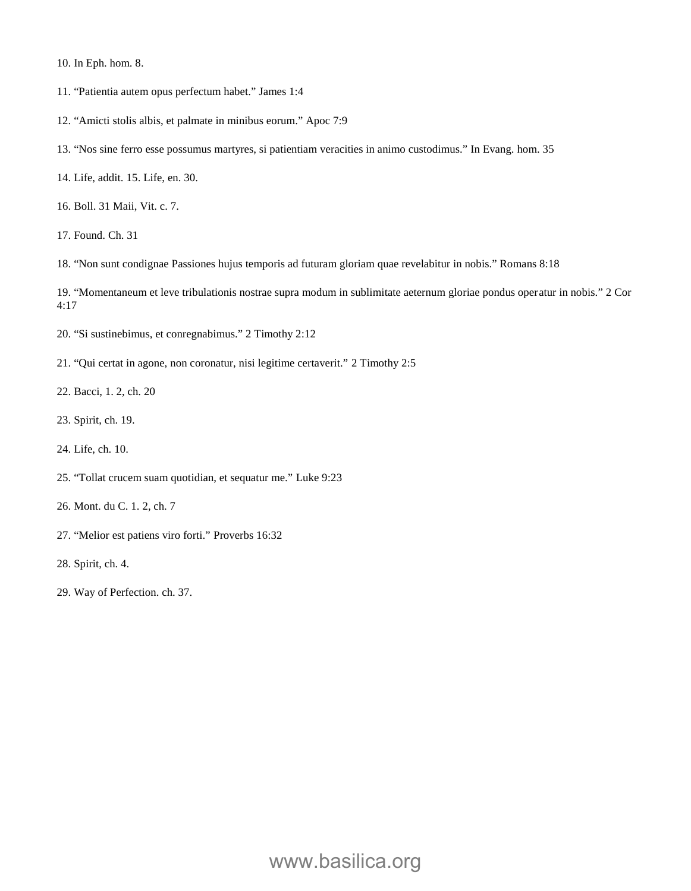10. In Eph. hom. 8.

- 11. "Patientia autem opus perfectum habet." James 1:4
- 12. "Amicti stolis albis, et palmate in minibus eorum." Apoc 7:9
- 13. "Nos sine ferro esse possumus martyres, si patientiam veracities in animo custodimus." In Evang. hom. 35
- 14. Life, addit. 15. Life, en. 30.
- 16. Boll. 31 Maii, Vit. c. 7.
- 17. Found. Ch. 31
- 18. "Non sunt condignae Passiones hujus temporis ad futuram gloriam quae revelabitur in nobis." Romans 8:18

19. "Momentaneum et leve tribulationis nostrae supra modum in sublimitate aeternum gloriae pondus operatur in nobis." 2 Cor 4:17

- 20. "Si sustinebimus, et conregnabimus." 2 Timothy 2:12
- 21. "Qui certat in agone, non coronatur, nisi legitime certaverit." 2 Timothy 2:5
- 22. Bacci, 1. 2, ch. 20
- 23. Spirit, ch. 19.
- 24. Life, ch. 10.
- 25. "Tollat crucem suam quotidian, et sequatur me." Luke 9:23
- 26. Mont. du C. 1. 2, ch. 7
- 27. "Melior est patiens viro forti." Proverbs 16:32
- 28. Spirit, ch. 4.
- 29. Way of Perfection. ch. 37.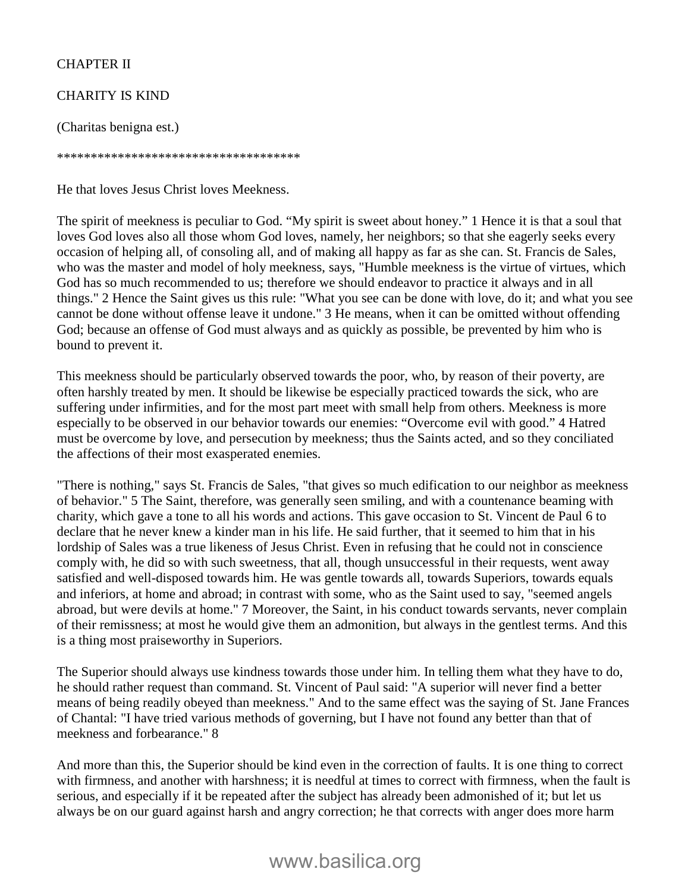### CHAPTER II

#### CHARITY IS KIND

(Charitas benigna est.)

\*\*\*\*\*\*\*\*\*\*\*\*\*\*\*\*\*\*\*\*\*\*\*\*\*\*\*\*\*\*\*\*\*\*\*\*

He that loves Jesus Christ loves Meekness.

The spirit of meekness is peculiar to God. "My spirit is sweet about honey." 1 Hence it is that a soul that loves God loves also all those whom God loves, namely, her neighbors; so that she eagerly seeks every occasion of helping all, of consoling all, and of making all happy as far as she can. St. Francis de Sales, who was the master and model of holy meekness, says, "Humble meekness is the virtue of virtues, which God has so much recommended to us; therefore we should endeavor to practice it always and in all things." 2 Hence the Saint gives us this rule: "What you see can be done with love, do it; and what you see cannot be done without offense leave it undone." 3 He means, when it can be omitted without offending God; because an offense of God must always and as quickly as possible, be prevented by him who is bound to prevent it.

This meekness should be particularly observed towards the poor, who, by reason of their poverty, are often harshly treated by men. It should be likewise be especially practiced towards the sick, who are suffering under infirmities, and for the most part meet with small help from others. Meekness is more especially to be observed in our behavior towards our enemies: "Overcome evil with good." 4 Hatred must be overcome by love, and persecution by meekness; thus the Saints acted, and so they conciliated the affections of their most exasperated enemies.

"There is nothing," says St. Francis de Sales, "that gives so much edification to our neighbor as meekness of behavior." 5 The Saint, therefore, was generally seen smiling, and with a countenance beaming with charity, which gave a tone to all his words and actions. This gave occasion to St. Vincent de Paul 6 to declare that he never knew a kinder man in his life. He said further, that it seemed to him that in his lordship of Sales was a true likeness of Jesus Christ. Even in refusing that he could not in conscience comply with, he did so with such sweetness, that all, though unsuccessful in their requests, went away satisfied and well-disposed towards him. He was gentle towards all, towards Superiors, towards equals and inferiors, at home and abroad; in contrast with some, who as the Saint used to say, "seemed angels abroad, but were devils at home." 7 Moreover, the Saint, in his conduct towards servants, never complain of their remissness; at most he would give them an admonition, but always in the gentlest terms. And this is a thing most praiseworthy in Superiors.

The Superior should always use kindness towards those under him. In telling them what they have to do, he should rather request than command. St. Vincent of Paul said: "A superior will never find a better means of being readily obeyed than meekness." And to the same effect was the saying of St. Jane Frances of Chantal: "I have tried various methods of governing, but I have not found any better than that of meekness and forbearance." 8

And more than this, the Superior should be kind even in the correction of faults. It is one thing to correct with firmness, and another with harshness; it is needful at times to correct with firmness, when the fault is serious, and especially if it be repeated after the subject has already been admonished of it; but let us always be on our guard against harsh and angry correction; he that corrects with anger does more harm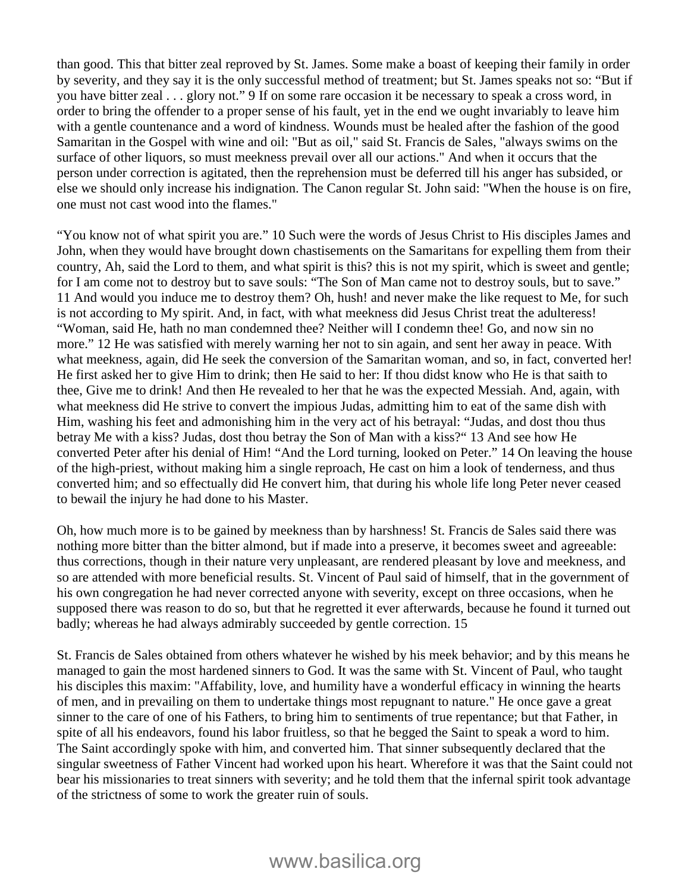than good. This that bitter zeal reproved by St. James. Some make a boast of keeping their family in order by severity, and they say it is the only successful method of treatment; but St. James speaks not so: "But if you have bitter zeal . . . glory not." 9 If on some rare occasion it be necessary to speak a cross word, in order to bring the offender to a proper sense of his fault, yet in the end we ought invariably to leave him with a gentle countenance and a word of kindness. Wounds must be healed after the fashion of the good Samaritan in the Gospel with wine and oil: "But as oil," said St. Francis de Sales, "always swims on the surface of other liquors, so must meekness prevail over all our actions." And when it occurs that the person under correction is agitated, then the reprehension must be deferred till his anger has subsided, or else we should only increase his indignation. The Canon regular St. John said: "When the house is on fire, one must not cast wood into the flames."

"You know not of what spirit you are." 10 Such were the words of Jesus Christ to His disciples James and John, when they would have brought down chastisements on the Samaritans for expelling them from their country, Ah, said the Lord to them, and what spirit is this? this is not my spirit, which is sweet and gentle; for I am come not to destroy but to save souls: "The Son of Man came not to destroy souls, but to save." 11 And would you induce me to destroy them? Oh, hush! and never make the like request to Me, for such is not according to My spirit. And, in fact, with what meekness did Jesus Christ treat the adulteress! "Woman, said He, hath no man condemned thee? Neither will I condemn thee! Go, and now sin no more." 12 He was satisfied with merely warning her not to sin again, and sent her away in peace. With what meekness, again, did He seek the conversion of the Samaritan woman, and so, in fact, converted her! He first asked her to give Him to drink; then He said to her: If thou didst know who He is that saith to thee, Give me to drink! And then He revealed to her that he was the expected Messiah. And, again, with what meekness did He strive to convert the impious Judas, admitting him to eat of the same dish with Him, washing his feet and admonishing him in the very act of his betrayal: "Judas, and dost thou thus betray Me with a kiss? Judas, dost thou betray the Son of Man with a kiss?" 13 And see how He converted Peter after his denial of Him! "And the Lord turning, looked on Peter." 14 On leaving the house of the high-priest, without making him a single reproach, He cast on him a look of tenderness, and thus converted him; and so effectually did He convert him, that during his whole life long Peter never ceased to bewail the injury he had done to his Master.

Oh, how much more is to be gained by meekness than by harshness! St. Francis de Sales said there was nothing more bitter than the bitter almond, but if made into a preserve, it becomes sweet and agreeable: thus corrections, though in their nature very unpleasant, are rendered pleasant by love and meekness, and so are attended with more beneficial results. St. Vincent of Paul said of himself, that in the government of his own congregation he had never corrected anyone with severity, except on three occasions, when he supposed there was reason to do so, but that he regretted it ever afterwards, because he found it turned out badly; whereas he had always admirably succeeded by gentle correction. 15

St. Francis de Sales obtained from others whatever he wished by his meek behavior; and by this means he managed to gain the most hardened sinners to God. It was the same with St. Vincent of Paul, who taught his disciples this maxim: "Affability, love, and humility have a wonderful efficacy in winning the hearts of men, and in prevailing on them to undertake things most repugnant to nature." He once gave a great sinner to the care of one of his Fathers, to bring him to sentiments of true repentance; but that Father, in spite of all his endeavors, found his labor fruitless, so that he begged the Saint to speak a word to him. The Saint accordingly spoke with him, and converted him. That sinner subsequently declared that the singular sweetness of Father Vincent had worked upon his heart. Wherefore it was that the Saint could not bear his missionaries to treat sinners with severity; and he told them that the infernal spirit took advantage of the strictness of some to work the greater ruin of souls.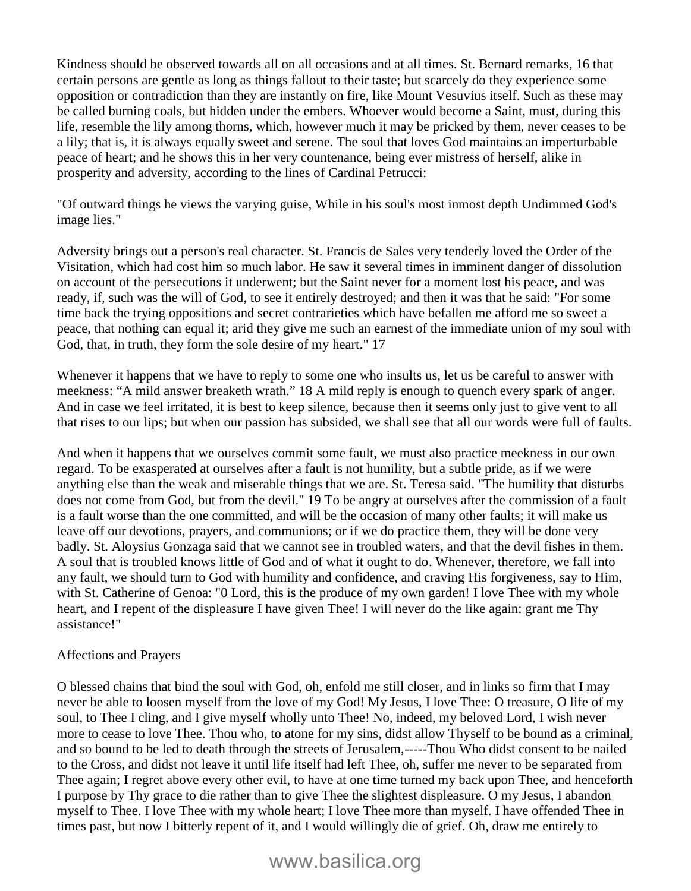Kindness should be observed towards all on all occasions and at all times. St. Bernard remarks, 16 that certain persons are gentle as long as things fallout to their taste; but scarcely do they experience some opposition or contradiction than they are instantly on fire, like Mount Vesuvius itself. Such as these may be called burning coals, but hidden under the embers. Whoever would become a Saint, must, during this life, resemble the lily among thorns, which, however much it may be pricked by them, never ceases to be a lily; that is, it is always equally sweet and serene. The soul that loves God maintains an imperturbable peace of heart; and he shows this in her very countenance, being ever mistress of herself, alike in prosperity and adversity, according to the lines of Cardinal Petrucci:

"Of outward things he views the varying guise, While in his soul's most inmost depth Undimmed God's image lies."

Adversity brings out a person's real character. St. Francis de Sales very tenderly loved the Order of the Visitation, which had cost him so much labor. He saw it several times in imminent danger of dissolution on account of the persecutions it underwent; but the Saint never for a moment lost his peace, and was ready, if, such was the will of God, to see it entirely destroyed; and then it was that he said: "For some time back the trying oppositions and secret contrarieties which have befallen me afford me so sweet a peace, that nothing can equal it; arid they give me such an earnest of the immediate union of my soul with God, that, in truth, they form the sole desire of my heart." 17

Whenever it happens that we have to reply to some one who insults us, let us be careful to answer with meekness: "A mild answer breaketh wrath." 18 A mild reply is enough to quench every spark of anger. And in case we feel irritated, it is best to keep silence, because then it seems only just to give vent to all that rises to our lips; but when our passion has subsided, we shall see that all our words were full of faults.

And when it happens that we ourselves commit some fault, we must also practice meekness in our own regard. To be exasperated at ourselves after a fault is not humility, but a subtle pride, as if we were anything else than the weak and miserable things that we are. St. Teresa said. "The humility that disturbs does not come from God, but from the devil." 19 To be angry at ourselves after the commission of a fault is a fault worse than the one committed, and will be the occasion of many other faults; it will make us leave off our devotions, prayers, and communions; or if we do practice them, they will be done very badly. St. Aloysius Gonzaga said that we cannot see in troubled waters, and that the devil fishes in them. A soul that is troubled knows little of God and of what it ought to do. Whenever, therefore, we fall into any fault, we should turn to God with humility and confidence, and craving His forgiveness, say to Him, with St. Catherine of Genoa: "0 Lord, this is the produce of my own garden! I love Thee with my whole heart, and I repent of the displeasure I have given Thee! I will never do the like again: grant me Thy assistance!"

#### Affections and Prayers

O blessed chains that bind the soul with God, oh, enfold me still closer, and in links so firm that I may never be able to loosen myself from the love of my God! My Jesus, I love Thee: O treasure, O life of my soul, to Thee I cling, and I give myself wholly unto Thee! No, indeed, my beloved Lord, I wish never more to cease to love Thee. Thou who, to atone for my sins, didst allow Thyself to be bound as a criminal, and so bound to be led to death through the streets of Jerusalem,-----Thou Who didst consent to be nailed to the Cross, and didst not leave it until life itself had left Thee, oh, suffer me never to be separated from Thee again; I regret above every other evil, to have at one time turned my back upon Thee, and henceforth I purpose by Thy grace to die rather than to give Thee the slightest displeasure. O my Jesus, I abandon myself to Thee. I love Thee with my whole heart; I love Thee more than myself. I have offended Thee in times past, but now I bitterly repent of it, and I would willingly die of grief. Oh, draw me entirely to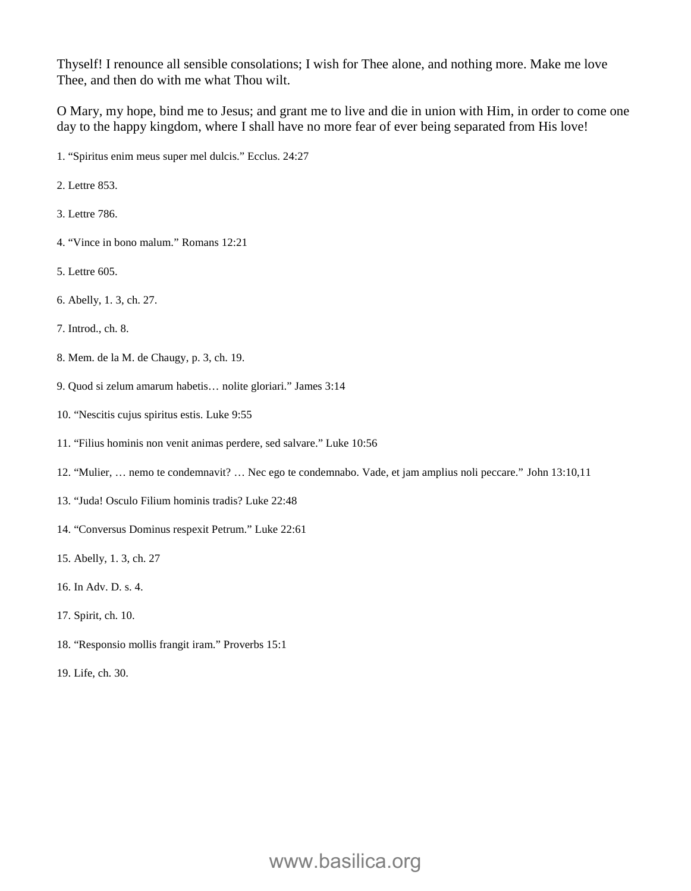Thyself! I renounce all sensible consolations; I wish for Thee alone, and nothing more. Make me love Thee, and then do with me what Thou wilt.

O Mary, my hope, bind me to Jesus; and grant me to live and die in union with Him, in order to come one day to the happy kingdom, where I shall have no more fear of ever being separated from His love!

- 1. "Spiritus enim meus super mel dulcis." Ecclus. 24:27
- 2. Lettre 853.
- 3. Lettre 786.
- 4. "Vince in bono malum." Romans 12:21
- 5. Lettre 605.
- 6. Abelly, 1. 3, ch. 27.
- 7. Introd., ch. 8.
- 8. Mem. de la M. de Chaugy, p. 3, ch. 19.
- 9. Quod si zelum amarum habetis… nolite gloriari." James 3:14
- 10. "Nescitis cujus spiritus estis. Luke 9:55
- 11. "Filius hominis non venit animas perdere, sed salvare." Luke 10:56
- 12. "Mulier, … nemo te condemnavit? … Nec ego te condemnabo. Vade, et jam amplius noli peccare." John 13:10,11
- 13. "Juda! Osculo Filium hominis tradis? Luke 22:48
- 14. "Conversus Dominus respexit Petrum." Luke 22:61
- 15. Abelly, 1. 3, ch. 27
- 16. In Adv. D. s. 4.
- 17. Spirit, ch. 10.
- 18. "Responsio mollis frangit iram." Proverbs 15:1
- 19. Life, ch. 30.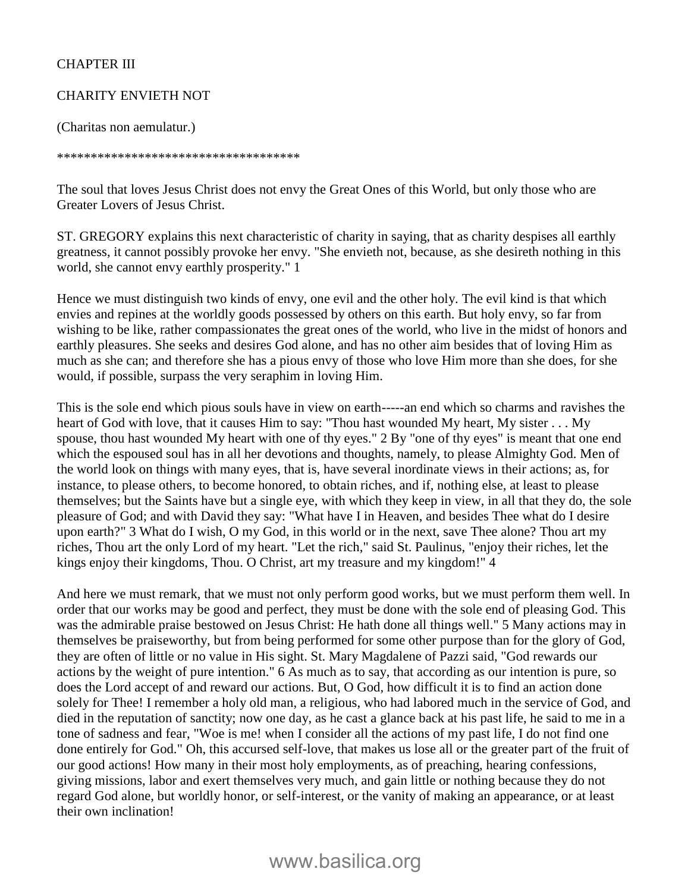### CHAPTER III

#### CHARITY ENVIETH NOT

(Charitas non aemulatur.)

\*\*\*\*\*\*\*\*\*\*\*\*\*\*\*\*\*\*\*\*\*\*\*\*\*\*\*\*\*\*\*\*\*\*\*\*

The soul that loves Jesus Christ does not envy the Great Ones of this World, but only those who are Greater Lovers of Jesus Christ.

ST. GREGORY explains this next characteristic of charity in saying, that as charity despises all earthly greatness, it cannot possibly provoke her envy. "She envieth not, because, as she desireth nothing in this world, she cannot envy earthly prosperity." 1

Hence we must distinguish two kinds of envy, one evil and the other holy. The evil kind is that which envies and repines at the worldly goods possessed by others on this earth. But holy envy, so far from wishing to be like, rather compassionates the great ones of the world, who live in the midst of honors and earthly pleasures. She seeks and desires God alone, and has no other aim besides that of loving Him as much as she can; and therefore she has a pious envy of those who love Him more than she does, for she would, if possible, surpass the very seraphim in loving Him.

This is the sole end which pious souls have in view on earth-----an end which so charms and ravishes the heart of God with love, that it causes Him to say: "Thou hast wounded My heart, My sister . . . My spouse, thou hast wounded My heart with one of thy eyes." 2 By "one of thy eyes" is meant that one end which the espoused soul has in all her devotions and thoughts, namely, to please Almighty God. Men of the world look on things with many eyes, that is, have several inordinate views in their actions; as, for instance, to please others, to become honored, to obtain riches, and if, nothing else, at least to please themselves; but the Saints have but a single eye, with which they keep in view, in all that they do, the sole pleasure of God; and with David they say: "What have I in Heaven, and besides Thee what do I desire upon earth?" 3 What do I wish, O my God, in this world or in the next, save Thee alone? Thou art my riches, Thou art the only Lord of my heart. "Let the rich," said St. Paulinus, "enjoy their riches, let the kings enjoy their kingdoms, Thou. O Christ, art my treasure and my kingdom!" 4

And here we must remark, that we must not only perform good works, but we must perform them well. In order that our works may be good and perfect, they must be done with the sole end of pleasing God. This was the admirable praise bestowed on Jesus Christ: He hath done all things well." 5 Many actions may in themselves be praiseworthy, but from being performed for some other purpose than for the glory of God, they are often of little or no value in His sight. St. Mary Magdalene of Pazzi said, "God rewards our actions by the weight of pure intention." 6 As much as to say, that according as our intention is pure, so does the Lord accept of and reward our actions. But, O God, how difficult it is to find an action done solely for Thee! I remember a holy old man, a religious, who had labored much in the service of God, and died in the reputation of sanctity; now one day, as he cast a glance back at his past life, he said to me in a tone of sadness and fear, "Woe is me! when I consider all the actions of my past life, I do not find one done entirely for God." Oh, this accursed self-love, that makes us lose all or the greater part of the fruit of our good actions! How many in their most holy employments, as of preaching, hearing confessions, giving missions, labor and exert themselves very much, and gain little or nothing because they do not regard God alone, but worldly honor, or self-interest, or the vanity of making an appearance, or at least their own inclination!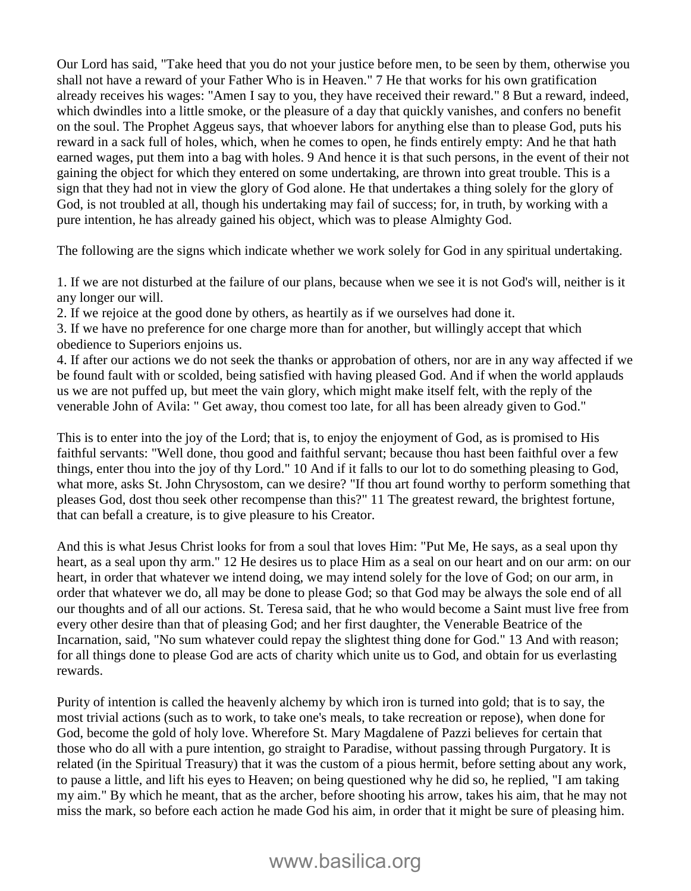Our Lord has said, "Take heed that you do not your justice before men, to be seen by them, otherwise you shall not have a reward of your Father Who is in Heaven." 7 He that works for his own gratification already receives his wages: "Amen I say to you, they have received their reward." 8 But a reward, indeed, which dwindles into a little smoke, or the pleasure of a day that quickly vanishes, and confers no benefit on the soul. The Prophet Aggeus says, that whoever labors for anything else than to please God, puts his reward in a sack full of holes, which, when he comes to open, he finds entirely empty: And he that hath earned wages, put them into a bag with holes. 9 And hence it is that such persons, in the event of their not gaining the object for which they entered on some undertaking, are thrown into great trouble. This is a sign that they had not in view the glory of God alone. He that undertakes a thing solely for the glory of God, is not troubled at all, though his undertaking may fail of success; for, in truth, by working with a pure intention, he has already gained his object, which was to please Almighty God.

The following are the signs which indicate whether we work solely for God in any spiritual undertaking.

1. If we are not disturbed at the failure of our plans, because when we see it is not God's will, neither is it any longer our will.

2. If we rejoice at the good done by others, as heartily as if we ourselves had done it.

3. If we have no preference for one charge more than for another, but willingly accept that which obedience to Superiors enjoins us.

4. If after our actions we do not seek the thanks or approbation of others, nor are in any way affected if we be found fault with or scolded, being satisfied with having pleased God. And if when the world applauds us we are not puffed up, but meet the vain glory, which might make itself felt, with the reply of the venerable John of Avila: " Get away, thou comest too late, for all has been already given to God."

This is to enter into the joy of the Lord; that is, to enjoy the enjoyment of God, as is promised to His faithful servants: "Well done, thou good and faithful servant; because thou hast been faithful over a few things, enter thou into the joy of thy Lord." 10 And if it falls to our lot to do something pleasing to God, what more, asks St. John Chrysostom, can we desire? "If thou art found worthy to perform something that pleases God, dost thou seek other recompense than this?" 11 The greatest reward, the brightest fortune, that can befall a creature, is to give pleasure to his Creator.

And this is what Jesus Christ looks for from a soul that loves Him: "Put Me, He says, as a seal upon thy heart, as a seal upon thy arm." 12 He desires us to place Him as a seal on our heart and on our arm: on our heart, in order that whatever we intend doing, we may intend solely for the love of God; on our arm, in order that whatever we do, all may be done to please God; so that God may be always the sole end of all our thoughts and of all our actions. St. Teresa said, that he who would become a Saint must live free from every other desire than that of pleasing God; and her first daughter, the Venerable Beatrice of the Incarnation, said, "No sum whatever could repay the slightest thing done for God." 13 And with reason; for all things done to please God are acts of charity which unite us to God, and obtain for us everlasting rewards.

Purity of intention is called the heavenly alchemy by which iron is turned into gold; that is to say, the most trivial actions (such as to work, to take one's meals, to take recreation or repose), when done for God, become the gold of holy love. Wherefore St. Mary Magdalene of Pazzi believes for certain that those who do all with a pure intention, go straight to Paradise, without passing through Purgatory. It is related (in the Spiritual Treasury) that it was the custom of a pious hermit, before setting about any work, to pause a little, and lift his eyes to Heaven; on being questioned why he did so, he replied, "I am taking my aim." By which he meant, that as the archer, before shooting his arrow, takes his aim, that he may not miss the mark, so before each action he made God his aim, in order that it might be sure of pleasing him.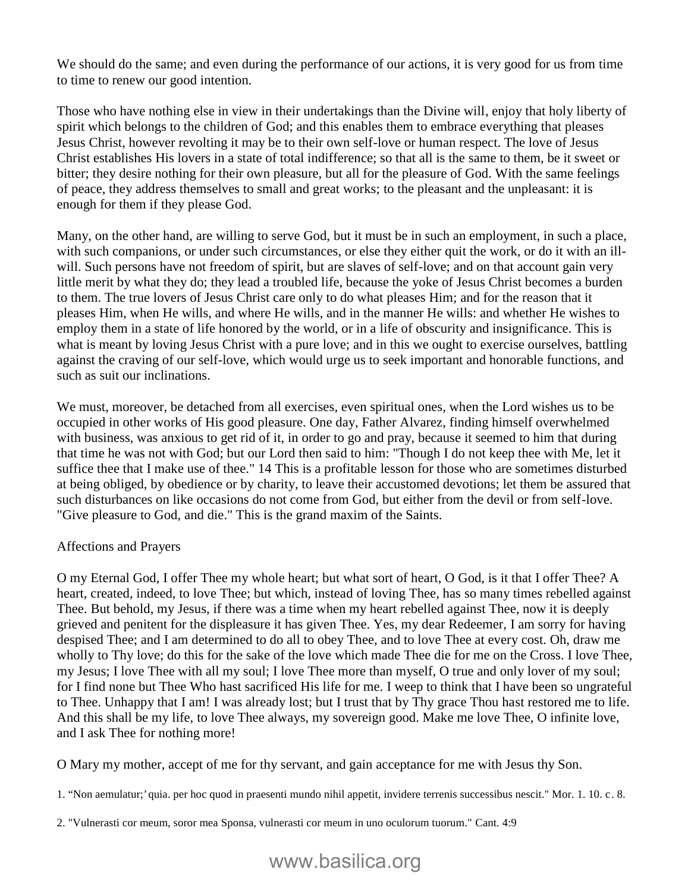We should do the same; and even during the performance of our actions, it is very good for us from time to time to renew our good intention.

Those who have nothing else in view in their undertakings than the Divine will, enjoy that holy liberty of spirit which belongs to the children of God; and this enables them to embrace everything that pleases Jesus Christ, however revolting it may be to their own self-love or human respect. The love of Jesus Christ establishes His lovers in a state of total indifference; so that all is the same to them, be it sweet or bitter; they desire nothing for their own pleasure, but all for the pleasure of God. With the same feelings of peace, they address themselves to small and great works; to the pleasant and the unpleasant: it is enough for them if they please God.

Many, on the other hand, are willing to serve God, but it must be in such an employment, in such a place, with such companions, or under such circumstances, or else they either quit the work, or do it with an illwill. Such persons have not freedom of spirit, but are slaves of self-love; and on that account gain very little merit by what they do; they lead a troubled life, because the yoke of Jesus Christ becomes a burden to them. The true lovers of Jesus Christ care only to do what pleases Him; and for the reason that it pleases Him, when He wills, and where He wills, and in the manner He wills: and whether He wishes to employ them in a state of life honored by the world, or in a life of obscurity and insignificance. This is what is meant by loving Jesus Christ with a pure love; and in this we ought to exercise ourselves, battling against the craving of our self-love, which would urge us to seek important and honorable functions, and such as suit our inclinations.

We must, moreover, be detached from all exercises, even spiritual ones, when the Lord wishes us to be occupied in other works of His good pleasure. One day, Father Alvarez, finding himself overwhelmed with business, was anxious to get rid of it, in order to go and pray, because it seemed to him that during that time he was not with God; but our Lord then said to him: "Though I do not keep thee with Me, let it suffice thee that I make use of thee." 14 This is a profitable lesson for those who are sometimes disturbed at being obliged, by obedience or by charity, to leave their accustomed devotions; let them be assured that such disturbances on like occasions do not come from God, but either from the devil or from self-love. "Give pleasure to God, and die." This is the grand maxim of the Saints.

#### Affections and Prayers

O my Eternal God, I offer Thee my whole heart; but what sort of heart, O God, is it that I offer Thee? A heart, created, indeed, to love Thee; but which, instead of loving Thee, has so many times rebelled against Thee. But behold, my Jesus, if there was a time when my heart rebelled against Thee, now it is deeply grieved and penitent for the displeasure it has given Thee. Yes, my dear Redeemer, I am sorry for having despised Thee; and I am determined to do all to obey Thee, and to love Thee at every cost. Oh, draw me wholly to Thy love; do this for the sake of the love which made Thee die for me on the Cross. I love Thee, my Jesus; I love Thee with all my soul; I love Thee more than myself, O true and only lover of my soul; for I find none but Thee Who hast sacrificed His life for me. I weep to think that I have been so ungrateful to Thee. Unhappy that I am! I was already lost; but I trust that by Thy grace Thou hast restored me to life. And this shall be my life, to love Thee always, my sovereign good. Make me love Thee, O infinite love, and I ask Thee for nothing more!

O Mary my mother, accept of me for thy servant, and gain acceptance for me with Jesus thy Son.

1. "Non aemulatur;' quia. per hoc quod in praesenti mundo nihil appetit, invidere terrenis successibus nescit." Mor. 1. 10. c. 8.

2. "Vulnerasti cor meum, soror mea Sponsa, vulnerasti cor meum in uno oculorum tuorum." Cant. 4:9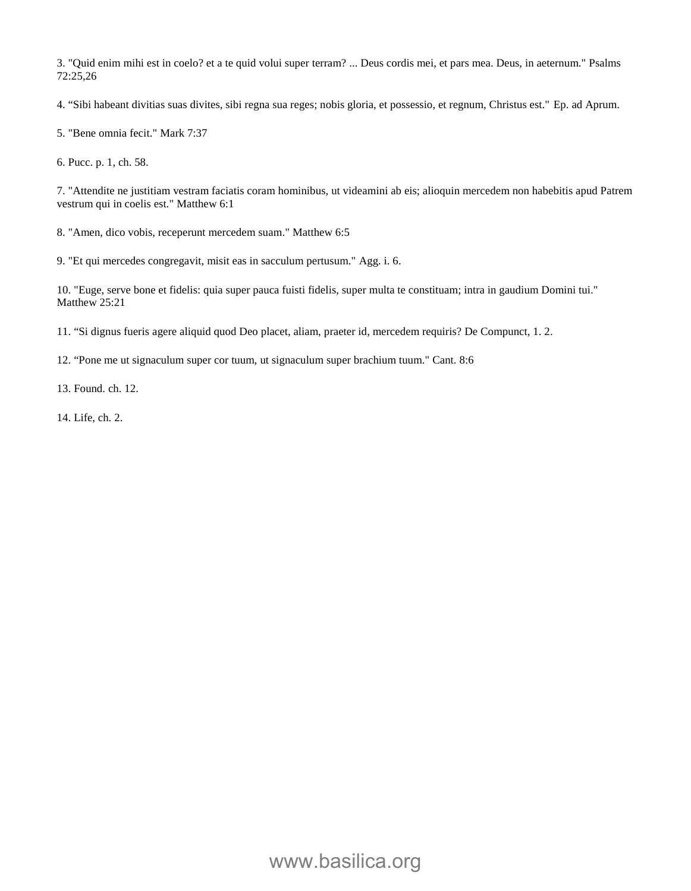3. "Quid enim mihi est in coelo? et a te quid volui super terram? ... Deus cordis mei, et pars mea. Deus, in aeternum." Psalms 72:25,26

4. "Sibi habeant divitias suas divites, sibi regna sua reges; nobis gloria, et possessio, et regnum, Christus est." Ep. ad Aprum.

5. "Bene omnia fecit." Mark 7:37

6. Pucc. p. 1, ch. 58.

7. "Attendite ne justitiam vestram faciatis coram hominibus, ut videamini ab eis; alioquin mercedem non habebitis apud Patrem vestrum qui in coelis est." Matthew 6:1

8. "Amen, dico vobis, receperunt mercedem suam." Matthew 6:5

9. "Et qui mercedes congregavit, misit eas in sacculum pertusum." Agg. i. 6.

10. "Euge, serve bone et fidelis: quia super pauca fuisti fidelis, super multa te constituam; intra in gaudium Domini tui." Matthew 25:21

11. "Si dignus fueris agere aliquid quod Deo placet, aliam, praeter id, mercedem requiris? De Compunct, 1. 2.

12. "Pone me ut signaculum super cor tuum, ut signaculum super brachium tuum." Cant. 8:6

13. Found. ch. 12.

14. Life, ch. 2.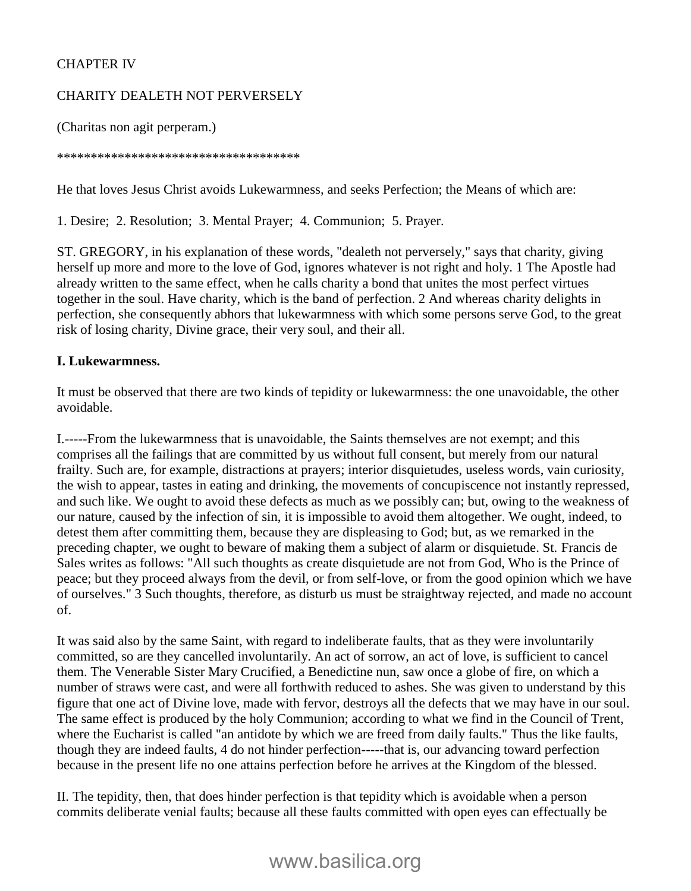### CHAPTER IV

#### CHARITY DEALETH NOT PERVERSELY

(Charitas non agit perperam.)

\*\*\*\*\*\*\*\*\*\*\*\*\*\*\*\*\*\*\*\*\*\*\*\*\*\*\*\*\*\*\*\*\*\*\*\*

He that loves Jesus Christ avoids Lukewarmness, and seeks Perfection; the Means of which are:

1. Desire; 2. Resolution; 3. Mental Prayer; 4. Communion; 5. Prayer.

ST. GREGORY, in his explanation of these words, "dealeth not perversely," says that charity, giving herself up more and more to the love of God, ignores whatever is not right and holy. 1 The Apostle had already written to the same effect, when he calls charity a bond that unites the most perfect virtues together in the soul. Have charity, which is the band of perfection. 2 And whereas charity delights in perfection, she consequently abhors that lukewarmness with which some persons serve God, to the great risk of losing charity, Divine grace, their very soul, and their all.

#### **I. Lukewarmness.**

It must be observed that there are two kinds of tepidity or lukewarmness: the one unavoidable, the other avoidable.

I.-----From the lukewarmness that is unavoidable, the Saints themselves are not exempt; and this comprises all the failings that are committed by us without full consent, but merely from our natural frailty. Such are, for example, distractions at prayers; interior disquietudes, useless words, vain curiosity, the wish to appear, tastes in eating and drinking, the movements of concupiscence not instantly repressed, and such like. We ought to avoid these defects as much as we possibly can; but, owing to the weakness of our nature, caused by the infection of sin, it is impossible to avoid them altogether. We ought, indeed, to detest them after committing them, because they are displeasing to God; but, as we remarked in the preceding chapter, we ought to beware of making them a subject of alarm or disquietude. St. Francis de Sales writes as follows: "All such thoughts as create disquietude are not from God, Who is the Prince of peace; but they proceed always from the devil, or from self-love, or from the good opinion which we have of ourselves." 3 Such thoughts, therefore, as disturb us must be straightway rejected, and made no account of.

It was said also by the same Saint, with regard to indeliberate faults, that as they were involuntarily committed, so are they cancelled involuntarily. An act of sorrow, an act of love, is sufficient to cancel them. The Venerable Sister Mary Crucified, a Benedictine nun, saw once a globe of fire, on which a number of straws were cast, and were all forthwith reduced to ashes. She was given to understand by this figure that one act of Divine love, made with fervor, destroys all the defects that we may have in our soul. The same effect is produced by the holy Communion; according to what we find in the Council of Trent, where the Eucharist is called "an antidote by which we are freed from daily faults." Thus the like faults, though they are indeed faults, 4 do not hinder perfection-----that is, our advancing toward perfection because in the present life no one attains perfection before he arrives at the Kingdom of the blessed.

II. The tepidity, then, that does hinder perfection is that tepidity which is avoidable when a person commits deliberate venial faults; because all these faults committed with open eyes can effectually be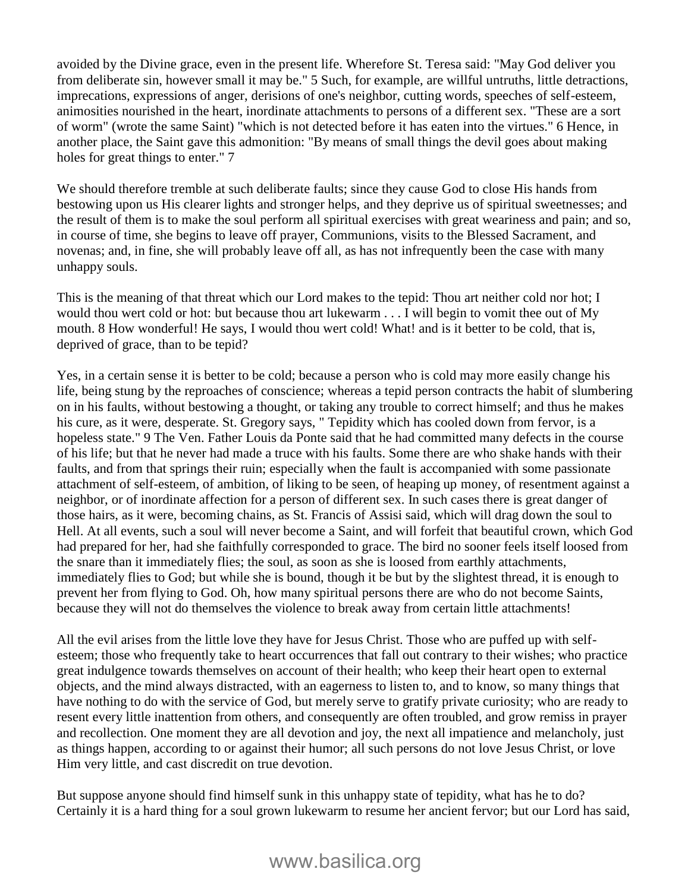avoided by the Divine grace, even in the present life. Wherefore St. Teresa said: "May God deliver you from deliberate sin, however small it may be." 5 Such, for example, are willful untruths, little detractions, imprecations, expressions of anger, derisions of one's neighbor, cutting words, speeches of self-esteem, animosities nourished in the heart, inordinate attachments to persons of a different sex. "These are a sort of worm" (wrote the same Saint) "which is not detected before it has eaten into the virtues." 6 Hence, in another place, the Saint gave this admonition: "By means of small things the devil goes about making holes for great things to enter." 7

We should therefore tremble at such deliberate faults; since they cause God to close His hands from bestowing upon us His clearer lights and stronger helps, and they deprive us of spiritual sweetnesses; and the result of them is to make the soul perform all spiritual exercises with great weariness and pain; and so, in course of time, she begins to leave off prayer, Communions, visits to the Blessed Sacrament, and novenas; and, in fine, she will probably leave off all, as has not infrequently been the case with many unhappy souls.

This is the meaning of that threat which our Lord makes to the tepid: Thou art neither cold nor hot; I would thou wert cold or hot: but because thou art lukewarm . . . I will begin to vomit thee out of My mouth. 8 How wonderful! He says, I would thou wert cold! What! and is it better to be cold, that is, deprived of grace, than to be tepid?

Yes, in a certain sense it is better to be cold; because a person who is cold may more easily change his life, being stung by the reproaches of conscience; whereas a tepid person contracts the habit of slumbering on in his faults, without bestowing a thought, or taking any trouble to correct himself; and thus he makes his cure, as it were, desperate. St. Gregory says, " Tepidity which has cooled down from fervor, is a hopeless state." 9 The Ven. Father Louis da Ponte said that he had committed many defects in the course of his life; but that he never had made a truce with his faults. Some there are who shake hands with their faults, and from that springs their ruin; especially when the fault is accompanied with some passionate attachment of self-esteem, of ambition, of liking to be seen, of heaping up money, of resentment against a neighbor, or of inordinate affection for a person of different sex. In such cases there is great danger of those hairs, as it were, becoming chains, as St. Francis of Assisi said, which will drag down the soul to Hell. At all events, such a soul will never become a Saint, and will forfeit that beautiful crown, which God had prepared for her, had she faithfully corresponded to grace. The bird no sooner feels itself loosed from the snare than it immediately flies; the soul, as soon as she is loosed from earthly attachments, immediately flies to God; but while she is bound, though it be but by the slightest thread, it is enough to prevent her from flying to God. Oh, how many spiritual persons there are who do not become Saints, because they will not do themselves the violence to break away from certain little attachments!

All the evil arises from the little love they have for Jesus Christ. Those who are puffed up with selfesteem; those who frequently take to heart occurrences that fall out contrary to their wishes; who practice great indulgence towards themselves on account of their health; who keep their heart open to external objects, and the mind always distracted, with an eagerness to listen to, and to know, so many things that have nothing to do with the service of God, but merely serve to gratify private curiosity; who are ready to resent every little inattention from others, and consequently are often troubled, and grow remiss in prayer and recollection. One moment they are all devotion and joy, the next all impatience and melancholy, just as things happen, according to or against their humor; all such persons do not love Jesus Christ, or love Him very little, and cast discredit on true devotion.

But suppose anyone should find himself sunk in this unhappy state of tepidity, what has he to do? Certainly it is a hard thing for a soul grown lukewarm to resume her ancient fervor; but our Lord has said,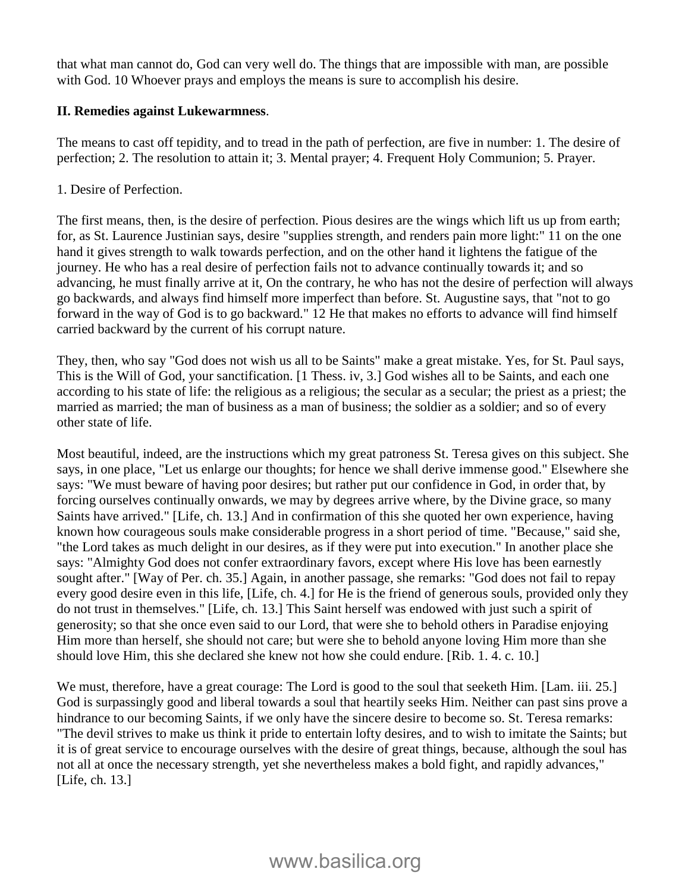that what man cannot do, God can very well do. The things that are impossible with man, are possible with God. 10 Whoever prays and employs the means is sure to accomplish his desire.

#### **II. Remedies against Lukewarmness**.

The means to cast off tepidity, and to tread in the path of perfection, are five in number: 1. The desire of perfection; 2. The resolution to attain it; 3. Mental prayer; 4. Frequent Holy Communion; 5. Prayer.

1. Desire of Perfection.

The first means, then, is the desire of perfection. Pious desires are the wings which lift us up from earth; for, as St. Laurence Justinian says, desire "supplies strength, and renders pain more light:" 11 on the one hand it gives strength to walk towards perfection, and on the other hand it lightens the fatigue of the journey. He who has a real desire of perfection fails not to advance continually towards it; and so advancing, he must finally arrive at it, On the contrary, he who has not the desire of perfection will always go backwards, and always find himself more imperfect than before. St. Augustine says, that "not to go forward in the way of God is to go backward." 12 He that makes no efforts to advance will find himself carried backward by the current of his corrupt nature.

They, then, who say "God does not wish us all to be Saints" make a great mistake. Yes, for St. Paul says, This is the Will of God, your sanctification. [1 Thess. iv, 3.] God wishes all to be Saints, and each one according to his state of life: the religious as a religious; the secular as a secular; the priest as a priest; the married as married; the man of business as a man of business; the soldier as a soldier; and so of every other state of life.

Most beautiful, indeed, are the instructions which my great patroness St. Teresa gives on this subject. She says, in one place, "Let us enlarge our thoughts; for hence we shall derive immense good." Elsewhere she says: "We must beware of having poor desires; but rather put our confidence in God, in order that, by forcing ourselves continually onwards, we may by degrees arrive where, by the Divine grace, so many Saints have arrived." [Life, ch. 13.] And in confirmation of this she quoted her own experience, having known how courageous souls make considerable progress in a short period of time. "Because," said she, "the Lord takes as much delight in our desires, as if they were put into execution." In another place she says: "Almighty God does not confer extraordinary favors, except where His love has been earnestly sought after." [Way of Per. ch. 35.] Again, in another passage, she remarks: "God does not fail to repay every good desire even in this life, [Life, ch. 4.] for He is the friend of generous souls, provided only they do not trust in themselves." [Life, ch. 13.] This Saint herself was endowed with just such a spirit of generosity; so that she once even said to our Lord, that were she to behold others in Paradise enjoying Him more than herself, she should not care; but were she to behold anyone loving Him more than she should love Him, this she declared she knew not how she could endure. [Rib. 1. 4. c. 10.]

We must, therefore, have a great courage: The Lord is good to the soul that seeketh Him. [Lam. iii. 25.] God is surpassingly good and liberal towards a soul that heartily seeks Him. Neither can past sins prove a hindrance to our becoming Saints, if we only have the sincere desire to become so. St. Teresa remarks: "The devil strives to make us think it pride to entertain lofty desires, and to wish to imitate the Saints; but it is of great service to encourage ourselves with the desire of great things, because, although the soul has not all at once the necessary strength, yet she nevertheless makes a bold fight, and rapidly advances," [Life, ch. 13.]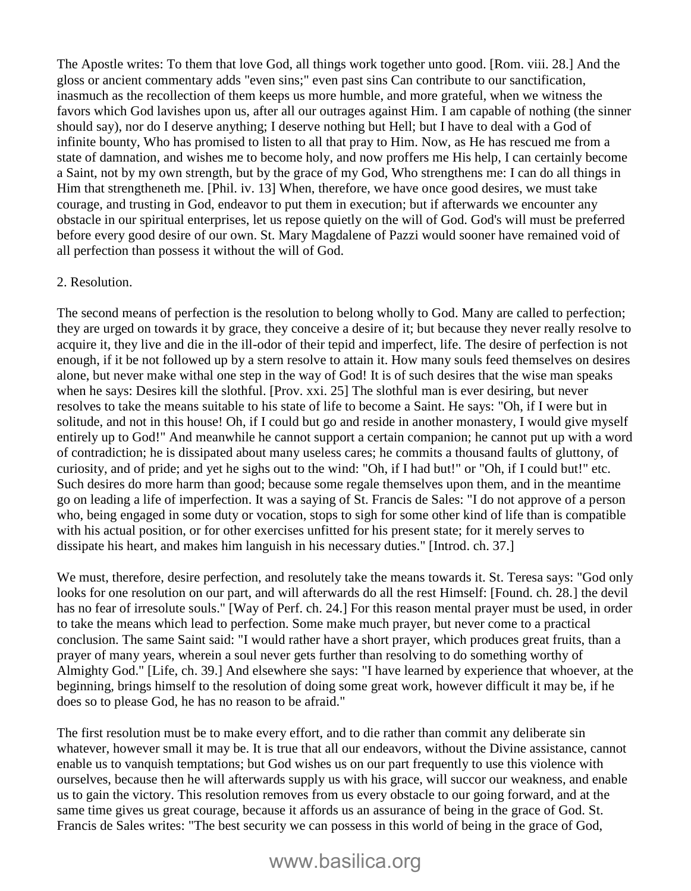The Apostle writes: To them that love God, all things work together unto good. [Rom. viii. 28.] And the gloss or ancient commentary adds "even sins;" even past sins Can contribute to our sanctification, inasmuch as the recollection of them keeps us more humble, and more grateful, when we witness the favors which God lavishes upon us, after all our outrages against Him. I am capable of nothing (the sinner should say), nor do I deserve anything; I deserve nothing but Hell; but I have to deal with a God of infinite bounty, Who has promised to listen to all that pray to Him. Now, as He has rescued me from a state of damnation, and wishes me to become holy, and now proffers me His help, I can certainly become a Saint, not by my own strength, but by the grace of my God, Who strengthens me: I can do all things in Him that strengtheneth me. [Phil. iv. 13] When, therefore, we have once good desires, we must take courage, and trusting in God, endeavor to put them in execution; but if afterwards we encounter any obstacle in our spiritual enterprises, let us repose quietly on the will of God. God's will must be preferred before every good desire of our own. St. Mary Magdalene of Pazzi would sooner have remained void of all perfection than possess it without the will of God.

#### 2. Resolution.

The second means of perfection is the resolution to belong wholly to God. Many are called to perfection; they are urged on towards it by grace, they conceive a desire of it; but because they never really resolve to acquire it, they live and die in the ill-odor of their tepid and imperfect, life. The desire of perfection is not enough, if it be not followed up by a stern resolve to attain it. How many souls feed themselves on desires alone, but never make withal one step in the way of God! It is of such desires that the wise man speaks when he says: Desires kill the slothful. [Prov. xxi. 25] The slothful man is ever desiring, but never resolves to take the means suitable to his state of life to become a Saint. He says: "Oh, if I were but in solitude, and not in this house! Oh, if I could but go and reside in another monastery, I would give myself entirely up to God!" And meanwhile he cannot support a certain companion; he cannot put up with a word of contradiction; he is dissipated about many useless cares; he commits a thousand faults of gluttony, of curiosity, and of pride; and yet he sighs out to the wind: "Oh, if I had but!" or "Oh, if I could but!" etc. Such desires do more harm than good; because some regale themselves upon them, and in the meantime go on leading a life of imperfection. It was a saying of St. Francis de Sales: "I do not approve of a person who, being engaged in some duty or vocation, stops to sigh for some other kind of life than is compatible with his actual position, or for other exercises unfitted for his present state; for it merely serves to dissipate his heart, and makes him languish in his necessary duties." [Introd. ch. 37.]

We must, therefore, desire perfection, and resolutely take the means towards it. St. Teresa says: "God only looks for one resolution on our part, and will afterwards do all the rest Himself: [Found. ch. 28.] the devil has no fear of irresolute souls." [Way of Perf. ch. 24.] For this reason mental prayer must be used, in order to take the means which lead to perfection. Some make much prayer, but never come to a practical conclusion. The same Saint said: "I would rather have a short prayer, which produces great fruits, than a prayer of many years, wherein a soul never gets further than resolving to do something worthy of Almighty God." [Life, ch. 39.] And elsewhere she says: "I have learned by experience that whoever, at the beginning, brings himself to the resolution of doing some great work, however difficult it may be, if he does so to please God, he has no reason to be afraid."

The first resolution must be to make every effort, and to die rather than commit any deliberate sin whatever, however small it may be. It is true that all our endeavors, without the Divine assistance, cannot enable us to vanquish temptations; but God wishes us on our part frequently to use this violence with ourselves, because then he will afterwards supply us with his grace, will succor our weakness, and enable us to gain the victory. This resolution removes from us every obstacle to our going forward, and at the same time gives us great courage, because it affords us an assurance of being in the grace of God. St. Francis de Sales writes: "The best security we can possess in this world of being in the grace of God,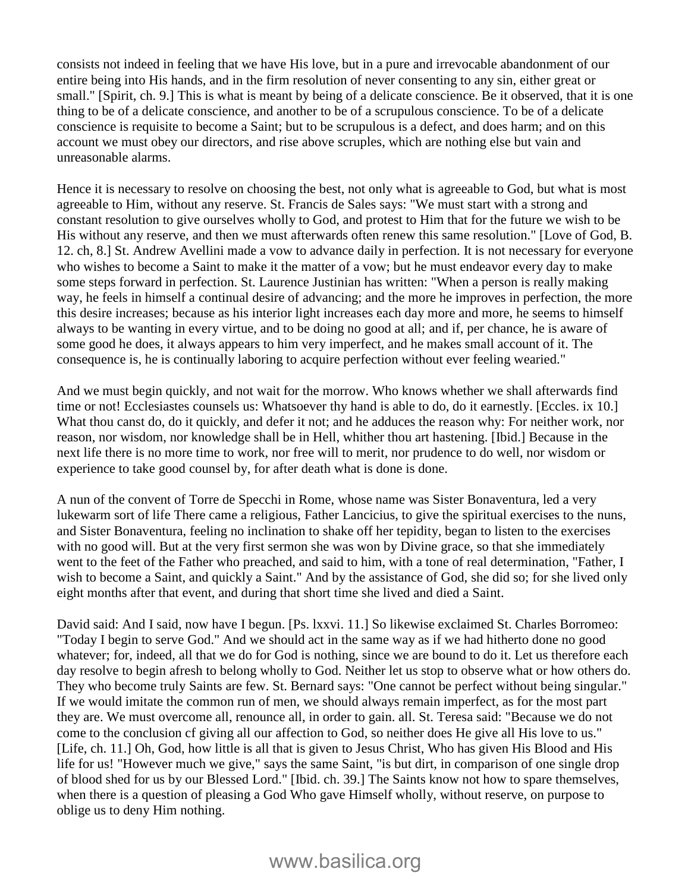consists not indeed in feeling that we have His love, but in a pure and irrevocable abandonment of our entire being into His hands, and in the firm resolution of never consenting to any sin, either great or small." [Spirit, ch. 9.] This is what is meant by being of a delicate conscience. Be it observed, that it is one thing to be of a delicate conscience, and another to be of a scrupulous conscience. To be of a delicate conscience is requisite to become a Saint; but to be scrupulous is a defect, and does harm; and on this account we must obey our directors, and rise above scruples, which are nothing else but vain and unreasonable alarms.

Hence it is necessary to resolve on choosing the best, not only what is agreeable to God, but what is most agreeable to Him, without any reserve. St. Francis de Sales says: "We must start with a strong and constant resolution to give ourselves wholly to God, and protest to Him that for the future we wish to be His without any reserve, and then we must afterwards often renew this same resolution." [Love of God, B. 12. ch, 8.] St. Andrew Avellini made a vow to advance daily in perfection. It is not necessary for everyone who wishes to become a Saint to make it the matter of a vow; but he must endeavor every day to make some steps forward in perfection. St. Laurence Justinian has written: "When a person is really making way, he feels in himself a continual desire of advancing; and the more he improves in perfection, the more this desire increases; because as his interior light increases each day more and more, he seems to himself always to be wanting in every virtue, and to be doing no good at all; and if, per chance, he is aware of some good he does, it always appears to him very imperfect, and he makes small account of it. The consequence is, he is continually laboring to acquire perfection without ever feeling wearied."

And we must begin quickly, and not wait for the morrow. Who knows whether we shall afterwards find time or not! Ecclesiastes counsels us: Whatsoever thy hand is able to do, do it earnestly. [Eccles. ix 10.] What thou canst do, do it quickly, and defer it not; and he adduces the reason why: For neither work, nor reason, nor wisdom, nor knowledge shall be in Hell, whither thou art hastening. [Ibid.] Because in the next life there is no more time to work, nor free will to merit, nor prudence to do well, nor wisdom or experience to take good counsel by, for after death what is done is done.

A nun of the convent of Torre de Specchi in Rome, whose name was Sister Bonaventura, led a very lukewarm sort of life There came a religious, Father Lancicius, to give the spiritual exercises to the nuns, and Sister Bonaventura, feeling no inclination to shake off her tepidity, began to listen to the exercises with no good will. But at the very first sermon she was won by Divine grace, so that she immediately went to the feet of the Father who preached, and said to him, with a tone of real determination, "Father, I wish to become a Saint, and quickly a Saint." And by the assistance of God, she did so; for she lived only eight months after that event, and during that short time she lived and died a Saint.

David said: And I said, now have I begun. [Ps. lxxvi. 11.] So likewise exclaimed St. Charles Borromeo: "Today I begin to serve God." And we should act in the same way as if we had hitherto done no good whatever; for, indeed, all that we do for God is nothing, since we are bound to do it. Let us therefore each day resolve to begin afresh to belong wholly to God. Neither let us stop to observe what or how others do. They who become truly Saints are few. St. Bernard says: "One cannot be perfect without being singular." If we would imitate the common run of men, we should always remain imperfect, as for the most part they are. We must overcome all, renounce all, in order to gain. all. St. Teresa said: "Because we do not come to the conclusion cf giving all our affection to God, so neither does He give all His love to us." [Life, ch. 11.] Oh, God, how little is all that is given to Jesus Christ, Who has given His Blood and His life for us! "However much we give," says the same Saint, "is but dirt, in comparison of one single drop of blood shed for us by our Blessed Lord." [Ibid. ch. 39.] The Saints know not how to spare themselves, when there is a question of pleasing a God Who gave Himself wholly, without reserve, on purpose to oblige us to deny Him nothing.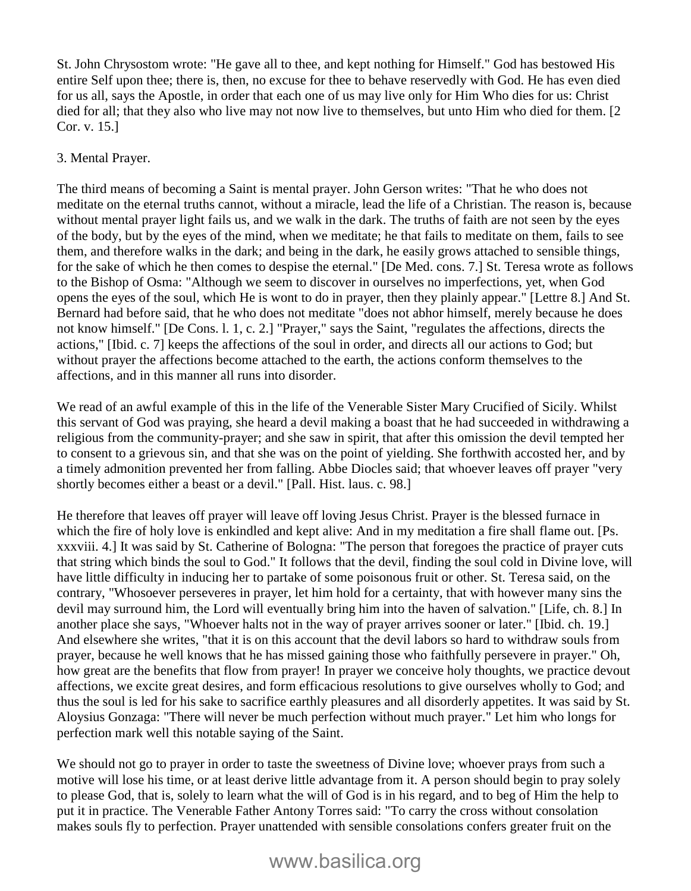St. John Chrysostom wrote: "He gave all to thee, and kept nothing for Himself." God has bestowed His entire Self upon thee; there is, then, no excuse for thee to behave reservedly with God. He has even died for us all, says the Apostle, in order that each one of us may live only for Him Who dies for us: Christ died for all; that they also who live may not now live to themselves, but unto Him who died for them. [2 Cor. v. 15.]

#### 3. Mental Prayer.

The third means of becoming a Saint is mental prayer. John Gerson writes: "That he who does not meditate on the eternal truths cannot, without a miracle, lead the life of a Christian. The reason is, because without mental prayer light fails us, and we walk in the dark. The truths of faith are not seen by the eyes of the body, but by the eyes of the mind, when we meditate; he that fails to meditate on them, fails to see them, and therefore walks in the dark; and being in the dark, he easily grows attached to sensible things, for the sake of which he then comes to despise the eternal." [De Med. cons. 7.] St. Teresa wrote as follows to the Bishop of Osma: "Although we seem to discover in ourselves no imperfections, yet, when God opens the eyes of the soul, which He is wont to do in prayer, then they plainly appear." [Lettre 8.] And St. Bernard had before said, that he who does not meditate "does not abhor himself, merely because he does not know himself." [De Cons. l. 1, c. 2.] "Prayer," says the Saint, "regulates the affections, directs the actions," [Ibid. c. 7] keeps the affections of the soul in order, and directs all our actions to God; but without prayer the affections become attached to the earth, the actions conform themselves to the affections, and in this manner all runs into disorder.

We read of an awful example of this in the life of the Venerable Sister Mary Crucified of Sicily. Whilst this servant of God was praying, she heard a devil making a boast that he had succeeded in withdrawing a religious from the community-prayer; and she saw in spirit, that after this omission the devil tempted her to consent to a grievous sin, and that she was on the point of yielding. She forthwith accosted her, and by a timely admonition prevented her from falling. Abbe Diocles said; that whoever leaves off prayer "very shortly becomes either a beast or a devil." [Pall. Hist. laus. c. 98.]

He therefore that leaves off prayer will leave off loving Jesus Christ. Prayer is the blessed furnace in which the fire of holy love is enkindled and kept alive: And in my meditation a fire shall flame out. [Ps. xxxviii. 4.] It was said by St. Catherine of Bologna: "The person that foregoes the practice of prayer cuts that string which binds the soul to God." It follows that the devil, finding the soul cold in Divine love, will have little difficulty in inducing her to partake of some poisonous fruit or other. St. Teresa said, on the contrary, "Whosoever perseveres in prayer, let him hold for a certainty, that with however many sins the devil may surround him, the Lord will eventually bring him into the haven of salvation." [Life, ch. 8.] In another place she says, "Whoever halts not in the way of prayer arrives sooner or later." [Ibid. ch. 19.] And elsewhere she writes, "that it is on this account that the devil labors so hard to withdraw souls from prayer, because he well knows that he has missed gaining those who faithfully persevere in prayer." Oh, how great are the benefits that flow from prayer! In prayer we conceive holy thoughts, we practice devout affections, we excite great desires, and form efficacious resolutions to give ourselves wholly to God; and thus the soul is led for his sake to sacrifice earthly pleasures and all disorderly appetites. It was said by St. Aloysius Gonzaga: "There will never be much perfection without much prayer." Let him who longs for perfection mark well this notable saying of the Saint.

We should not go to prayer in order to taste the sweetness of Divine love; whoever prays from such a motive will lose his time, or at least derive little advantage from it. A person should begin to pray solely to please God, that is, solely to learn what the will of God is in his regard, and to beg of Him the help to put it in practice. The Venerable Father Antony Torres said: "To carry the cross without consolation makes souls fly to perfection. Prayer unattended with sensible consolations confers greater fruit on the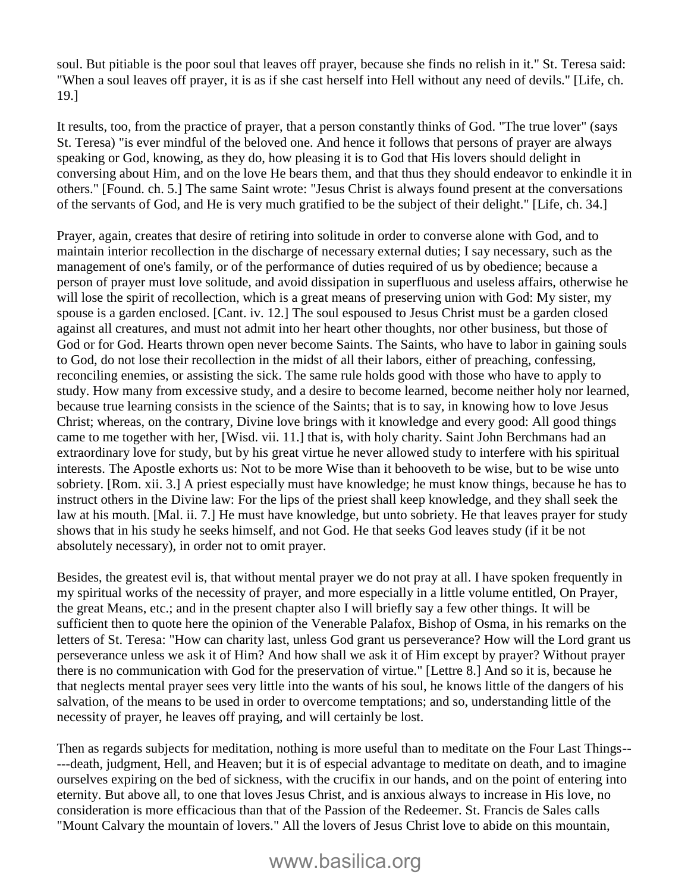soul. But pitiable is the poor soul that leaves off prayer, because she finds no relish in it." St. Teresa said: "When a soul leaves off prayer, it is as if she cast herself into Hell without any need of devils." [Life, ch. 19.]

It results, too, from the practice of prayer, that a person constantly thinks of God. "The true lover" (says St. Teresa) "is ever mindful of the beloved one. And hence it follows that persons of prayer are always speaking or God, knowing, as they do, how pleasing it is to God that His lovers should delight in conversing about Him, and on the love He bears them, and that thus they should endeavor to enkindle it in others." [Found. ch. 5.] The same Saint wrote: "Jesus Christ is always found present at the conversations of the servants of God, and He is very much gratified to be the subject of their delight." [Life, ch. 34.]

Prayer, again, creates that desire of retiring into solitude in order to converse alone with God, and to maintain interior recollection in the discharge of necessary external duties; I say necessary, such as the management of one's family, or of the performance of duties required of us by obedience; because a person of prayer must love solitude, and avoid dissipation in superfluous and useless affairs, otherwise he will lose the spirit of recollection, which is a great means of preserving union with God: My sister, my spouse is a garden enclosed. [Cant. iv. 12.] The soul espoused to Jesus Christ must be a garden closed against all creatures, and must not admit into her heart other thoughts, nor other business, but those of God or for God. Hearts thrown open never become Saints. The Saints, who have to labor in gaining souls to God, do not lose their recollection in the midst of all their labors, either of preaching, confessing, reconciling enemies, or assisting the sick. The same rule holds good with those who have to apply to study. How many from excessive study, and a desire to become learned, become neither holy nor learned, because true learning consists in the science of the Saints; that is to say, in knowing how to love Jesus Christ; whereas, on the contrary, Divine love brings with it knowledge and every good: All good things came to me together with her, [Wisd. vii. 11.] that is, with holy charity. Saint John Berchmans had an extraordinary love for study, but by his great virtue he never allowed study to interfere with his spiritual interests. The Apostle exhorts us: Not to be more Wise than it behooveth to be wise, but to be wise unto sobriety. [Rom. xii. 3.] A priest especially must have knowledge; he must know things, because he has to instruct others in the Divine law: For the lips of the priest shall keep knowledge, and they shall seek the law at his mouth. [Mal. ii. 7.] He must have knowledge, but unto sobriety. He that leaves prayer for study shows that in his study he seeks himself, and not God. He that seeks God leaves study (if it be not absolutely necessary), in order not to omit prayer.

Besides, the greatest evil is, that without mental prayer we do not pray at all. I have spoken frequently in my spiritual works of the necessity of prayer, and more especially in a little volume entitled, On Prayer, the great Means, etc.; and in the present chapter also I will briefly say a few other things. It will be sufficient then to quote here the opinion of the Venerable Palafox, Bishop of Osma, in his remarks on the letters of St. Teresa: "How can charity last, unless God grant us perseverance? How will the Lord grant us perseverance unless we ask it of Him? And how shall we ask it of Him except by prayer? Without prayer there is no communication with God for the preservation of virtue." [Lettre 8.] And so it is, because he that neglects mental prayer sees very little into the wants of his soul, he knows little of the dangers of his salvation, of the means to be used in order to overcome temptations; and so, understanding little of the necessity of prayer, he leaves off praying, and will certainly be lost.

Then as regards subjects for meditation, nothing is more useful than to meditate on the Four Last Things-- ---death, judgment, Hell, and Heaven; but it is of especial advantage to meditate on death, and to imagine ourselves expiring on the bed of sickness, with the crucifix in our hands, and on the point of entering into eternity. But above all, to one that loves Jesus Christ, and is anxious always to increase in His love, no consideration is more efficacious than that of the Passion of the Redeemer. St. Francis de Sales calls "Mount Calvary the mountain of lovers." All the lovers of Jesus Christ love to abide on this mountain,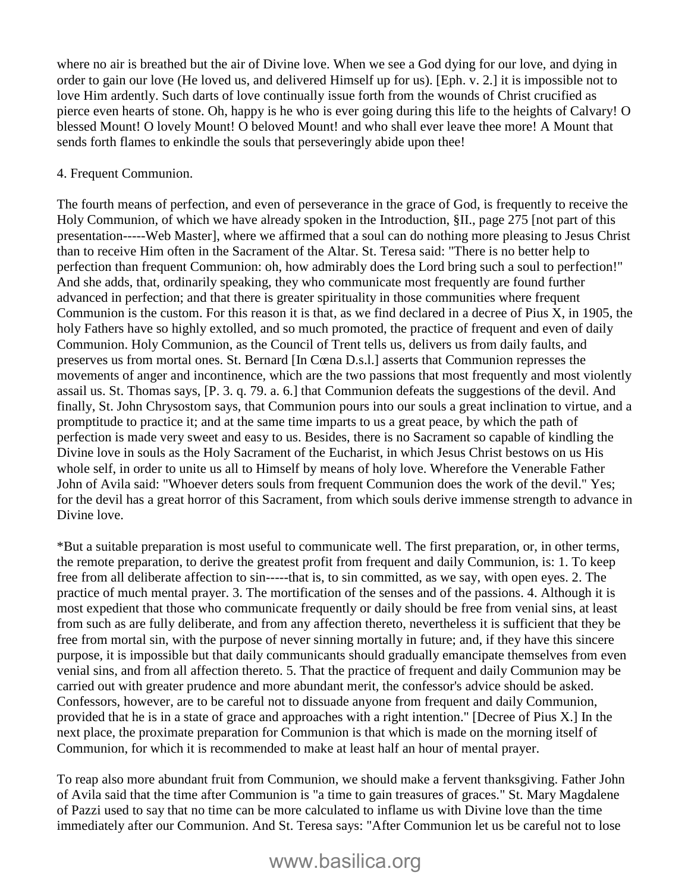where no air is breathed but the air of Divine love. When we see a God dying for our love, and dying in order to gain our love (He loved us, and delivered Himself up for us). [Eph. v. 2.] it is impossible not to love Him ardently. Such darts of love continually issue forth from the wounds of Christ crucified as pierce even hearts of stone. Oh, happy is he who is ever going during this life to the heights of Calvary! O blessed Mount! O lovely Mount! O beloved Mount! and who shall ever leave thee more! A Mount that sends forth flames to enkindle the souls that perseveringly abide upon thee!

#### 4. Frequent Communion.

The fourth means of perfection, and even of perseverance in the grace of God, is frequently to receive the Holy Communion, of which we have already spoken in the Introduction, §II., page 275 [not part of this presentation-----Web Master], where we affirmed that a soul can do nothing more pleasing to Jesus Christ than to receive Him often in the Sacrament of the Altar. St. Teresa said: "There is no better help to perfection than frequent Communion: oh, how admirably does the Lord bring such a soul to perfection!" And she adds, that, ordinarily speaking, they who communicate most frequently are found further advanced in perfection; and that there is greater spirituality in those communities where frequent Communion is the custom. For this reason it is that, as we find declared in a decree of Pius X, in 1905, the holy Fathers have so highly extolled, and so much promoted, the practice of frequent and even of daily Communion. Holy Communion, as the Council of Trent tells us, delivers us from daily faults, and preserves us from mortal ones. St. Bernard [In Cœna D.s.l.] asserts that Communion represses the movements of anger and incontinence, which are the two passions that most frequently and most violently assail us. St. Thomas says, [P. 3. q. 79. a. 6.] that Communion defeats the suggestions of the devil. And finally, St. John Chrysostom says, that Communion pours into our souls a great inclination to virtue, and a promptitude to practice it; and at the same time imparts to us a great peace, by which the path of perfection is made very sweet and easy to us. Besides, there is no Sacrament so capable of kindling the Divine love in souls as the Holy Sacrament of the Eucharist, in which Jesus Christ bestows on us His whole self, in order to unite us all to Himself by means of holy love. Wherefore the Venerable Father John of Avila said: "Whoever deters souls from frequent Communion does the work of the devil." Yes; for the devil has a great horror of this Sacrament, from which souls derive immense strength to advance in Divine love.

\*But a suitable preparation is most useful to communicate well. The first preparation, or, in other terms, the remote preparation, to derive the greatest profit from frequent and daily Communion, is: 1. To keep free from all deliberate affection to sin-----that is, to sin committed, as we say, with open eyes. 2. The practice of much mental prayer. 3. The mortification of the senses and of the passions. 4. Although it is most expedient that those who communicate frequently or daily should be free from venial sins, at least from such as are fully deliberate, and from any affection thereto, nevertheless it is sufficient that they be free from mortal sin, with the purpose of never sinning mortally in future; and, if they have this sincere purpose, it is impossible but that daily communicants should gradually emancipate themselves from even venial sins, and from all affection thereto. 5. That the practice of frequent and daily Communion may be carried out with greater prudence and more abundant merit, the confessor's advice should be asked. Confessors, however, are to be careful not to dissuade anyone from frequent and daily Communion, provided that he is in a state of grace and approaches with a right intention." [Decree of Pius X.] In the next place, the proximate preparation for Communion is that which is made on the morning itself of Communion, for which it is recommended to make at least half an hour of mental prayer.

To reap also more abundant fruit from Communion, we should make a fervent thanksgiving. Father John of Avila said that the time after Communion is "a time to gain treasures of graces." St. Mary Magdalene of Pazzi used to say that no time can be more calculated to inflame us with Divine love than the time immediately after our Communion. And St. Teresa says: "After Communion let us be careful not to lose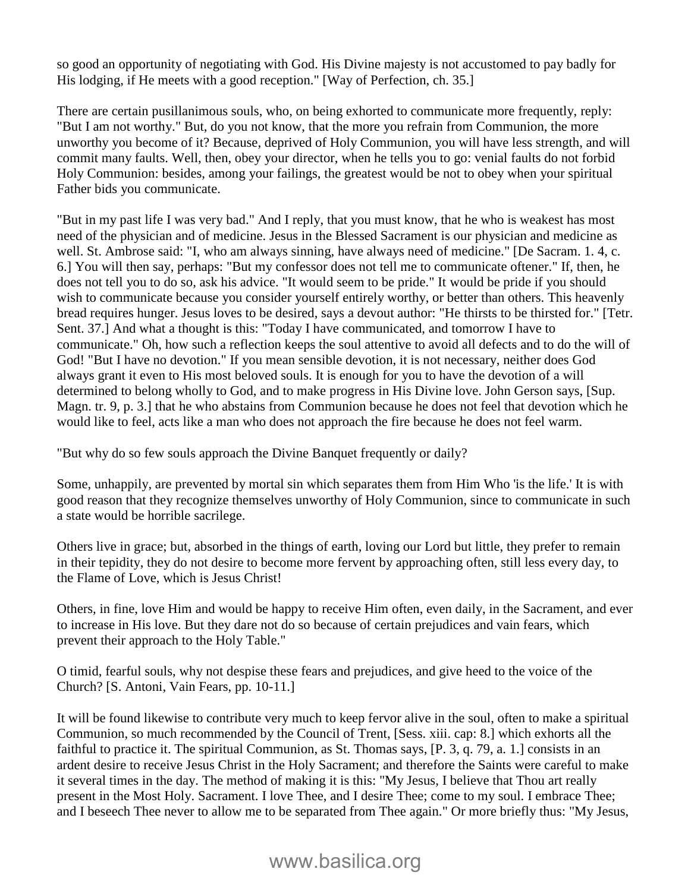so good an opportunity of negotiating with God. His Divine majesty is not accustomed to pay badly for His lodging, if He meets with a good reception." [Way of Perfection, ch. 35.]

There are certain pusillanimous souls, who, on being exhorted to communicate more frequently, reply: "But I am not worthy." But, do you not know, that the more you refrain from Communion, the more unworthy you become of it? Because, deprived of Holy Communion, you will have less strength, and will commit many faults. Well, then, obey your director, when he tells you to go: venial faults do not forbid Holy Communion: besides, among your failings, the greatest would be not to obey when your spiritual Father bids you communicate.

"But in my past life I was very bad." And I reply, that you must know, that he who is weakest has most need of the physician and of medicine. Jesus in the Blessed Sacrament is our physician and medicine as well. St. Ambrose said: "I, who am always sinning, have always need of medicine." [De Sacram. 1. 4, c. 6.] You will then say, perhaps: "But my confessor does not tell me to communicate oftener." If, then, he does not tell you to do so, ask his advice. "It would seem to be pride." It would be pride if you should wish to communicate because you consider yourself entirely worthy, or better than others. This heavenly bread requires hunger. Jesus loves to be desired, says a devout author: "He thirsts to be thirsted for." [Tetr. Sent. 37.] And what a thought is this: "Today I have communicated, and tomorrow I have to communicate." Oh, how such a reflection keeps the soul attentive to avoid all defects and to do the will of God! "But I have no devotion." If you mean sensible devotion, it is not necessary, neither does God always grant it even to His most beloved souls. It is enough for you to have the devotion of a will determined to belong wholly to God, and to make progress in His Divine love. John Gerson says, [Sup. Magn. tr. 9, p. 3.] that he who abstains from Communion because he does not feel that devotion which he would like to feel, acts like a man who does not approach the fire because he does not feel warm.

"But why do so few souls approach the Divine Banquet frequently or daily?

Some, unhappily, are prevented by mortal sin which separates them from Him Who 'is the life.' It is with good reason that they recognize themselves unworthy of Holy Communion, since to communicate in such a state would be horrible sacrilege.

Others live in grace; but, absorbed in the things of earth, loving our Lord but little, they prefer to remain in their tepidity, they do not desire to become more fervent by approaching often, still less every day, to the Flame of Love, which is Jesus Christ!

Others, in fine, love Him and would be happy to receive Him often, even daily, in the Sacrament, and ever to increase in His love. But they dare not do so because of certain prejudices and vain fears, which prevent their approach to the Holy Table."

O timid, fearful souls, why not despise these fears and prejudices, and give heed to the voice of the Church? [S. Antoni, Vain Fears, pp. 10-11.]

It will be found likewise to contribute very much to keep fervor alive in the soul, often to make a spiritual Communion, so much recommended by the Council of Trent, [Sess. xiii. cap: 8.] which exhorts all the faithful to practice it. The spiritual Communion, as St. Thomas says, [P. 3, q. 79, a. 1.] consists in an ardent desire to receive Jesus Christ in the Holy Sacrament; and therefore the Saints were careful to make it several times in the day. The method of making it is this: "My Jesus, I believe that Thou art really present in the Most Holy. Sacrament. I love Thee, and I desire Thee; come to my soul. I embrace Thee; and I beseech Thee never to allow me to be separated from Thee again." Or more briefly thus: "My Jesus,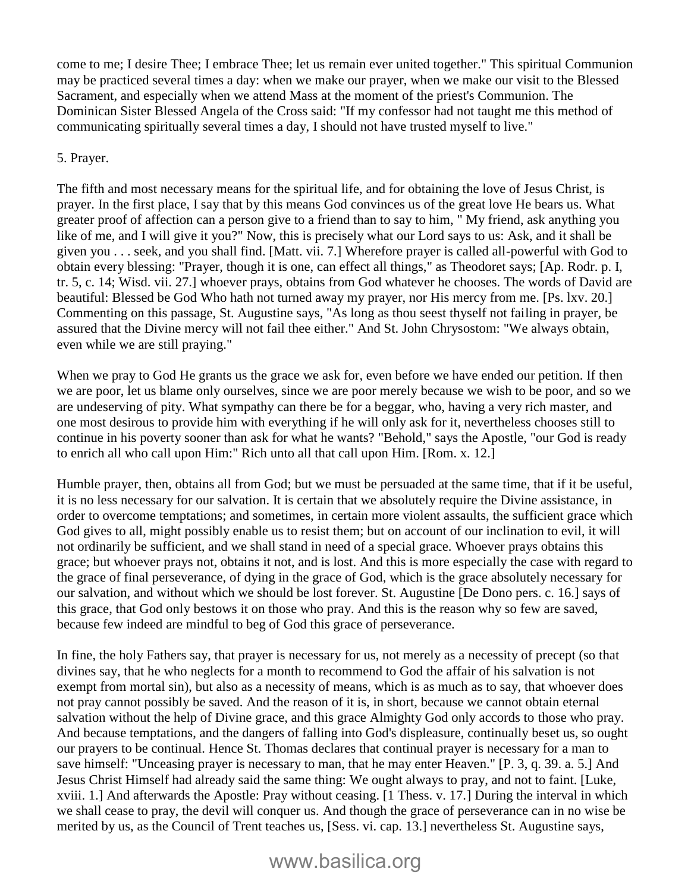come to me; I desire Thee; I embrace Thee; let us remain ever united together." This spiritual Communion may be practiced several times a day: when we make our prayer, when we make our visit to the Blessed Sacrament, and especially when we attend Mass at the moment of the priest's Communion. The Dominican Sister Blessed Angela of the Cross said: "If my confessor had not taught me this method of communicating spiritually several times a day, I should not have trusted myself to live."

#### 5. Prayer.

The fifth and most necessary means for the spiritual life, and for obtaining the love of Jesus Christ, is prayer. In the first place, I say that by this means God convinces us of the great love He bears us. What greater proof of affection can a person give to a friend than to say to him, " My friend, ask anything you like of me, and I will give it you?" Now, this is precisely what our Lord says to us: Ask, and it shall be given you . . . seek, and you shall find. [Matt. vii. 7.] Wherefore prayer is called all-powerful with God to obtain every blessing: "Prayer, though it is one, can effect all things," as Theodoret says; [Ap. Rodr. p. I, tr. 5, c. 14; Wisd. vii. 27.] whoever prays, obtains from God whatever he chooses. The words of David are beautiful: Blessed be God Who hath not turned away my prayer, nor His mercy from me. [Ps. lxv. 20.] Commenting on this passage, St. Augustine says, "As long as thou seest thyself not failing in prayer, be assured that the Divine mercy will not fail thee either." And St. John Chrysostom: "We always obtain, even while we are still praying."

When we pray to God He grants us the grace we ask for, even before we have ended our petition. If then we are poor, let us blame only ourselves, since we are poor merely because we wish to be poor, and so we are undeserving of pity. What sympathy can there be for a beggar, who, having a very rich master, and one most desirous to provide him with everything if he will only ask for it, nevertheless chooses still to continue in his poverty sooner than ask for what he wants? "Behold," says the Apostle, "our God is ready to enrich all who call upon Him:" Rich unto all that call upon Him. [Rom. x. 12.]

Humble prayer, then, obtains all from God; but we must be persuaded at the same time, that if it be useful, it is no less necessary for our salvation. It is certain that we absolutely require the Divine assistance, in order to overcome temptations; and sometimes, in certain more violent assaults, the sufficient grace which God gives to all, might possibly enable us to resist them; but on account of our inclination to evil, it will not ordinarily be sufficient, and we shall stand in need of a special grace. Whoever prays obtains this grace; but whoever prays not, obtains it not, and is lost. And this is more especially the case with regard to the grace of final perseverance, of dying in the grace of God, which is the grace absolutely necessary for our salvation, and without which we should be lost forever. St. Augustine [De Dono pers. c. 16.] says of this grace, that God only bestows it on those who pray. And this is the reason why so few are saved, because few indeed are mindful to beg of God this grace of perseverance.

In fine, the holy Fathers say, that prayer is necessary for us, not merely as a necessity of precept (so that divines say, that he who neglects for a month to recommend to God the affair of his salvation is not exempt from mortal sin), but also as a necessity of means, which is as much as to say, that whoever does not pray cannot possibly be saved. And the reason of it is, in short, because we cannot obtain eternal salvation without the help of Divine grace, and this grace Almighty God only accords to those who pray. And because temptations, and the dangers of falling into God's displeasure, continually beset us, so ought our prayers to be continual. Hence St. Thomas declares that continual prayer is necessary for a man to save himself: "Unceasing prayer is necessary to man, that he may enter Heaven." [P. 3, q. 39. a. 5.] And Jesus Christ Himself had already said the same thing: We ought always to pray, and not to faint. [Luke, xviii. 1.] And afterwards the Apostle: Pray without ceasing. [1 Thess. v. 17.] During the interval in which we shall cease to pray, the devil will conquer us. And though the grace of perseverance can in no wise be merited by us, as the Council of Trent teaches us, [Sess. vi. cap. 13.] nevertheless St. Augustine says,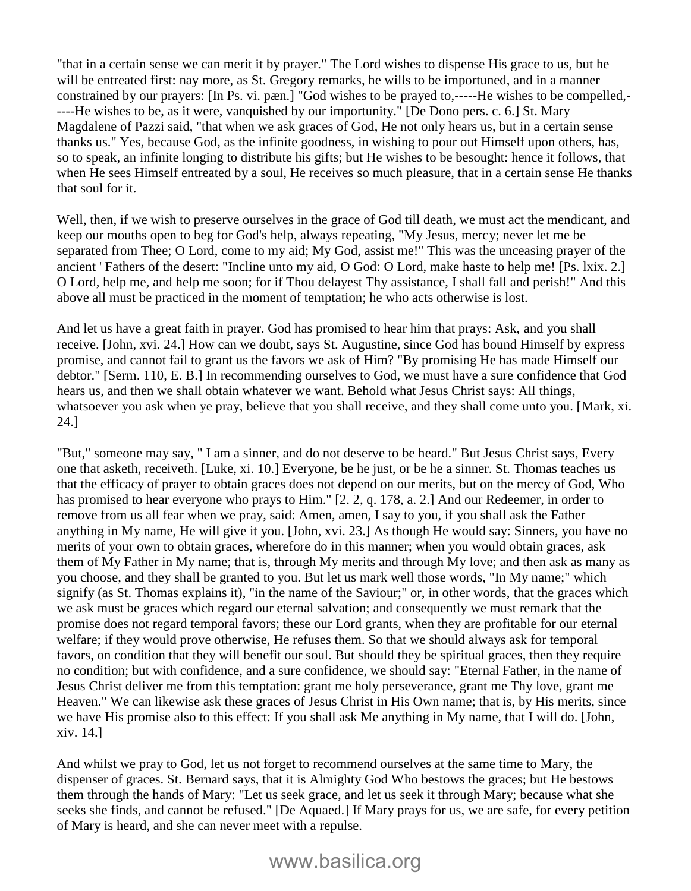"that in a certain sense we can merit it by prayer." The Lord wishes to dispense His grace to us, but he will be entreated first: nay more, as St. Gregory remarks, he wills to be importuned, and in a manner constrained by our prayers: [In Ps. vi. pæn.] "God wishes to be prayed to,-----He wishes to be compelled,- ----He wishes to be, as it were, vanquished by our importunity." [De Dono pers. c. 6.] St. Mary Magdalene of Pazzi said, "that when we ask graces of God, He not only hears us, but in a certain sense thanks us." Yes, because God, as the infinite goodness, in wishing to pour out Himself upon others, has, so to speak, an infinite longing to distribute his gifts; but He wishes to be besought: hence it follows, that when He sees Himself entreated by a soul, He receives so much pleasure, that in a certain sense He thanks that soul for it.

Well, then, if we wish to preserve ourselves in the grace of God till death, we must act the mendicant, and keep our mouths open to beg for God's help, always repeating, "My Jesus, mercy; never let me be separated from Thee; O Lord, come to my aid; My God, assist me!" This was the unceasing prayer of the ancient ' Fathers of the desert: "Incline unto my aid, O God: O Lord, make haste to help me! [Ps. lxix. 2.] O Lord, help me, and help me soon; for if Thou delayest Thy assistance, I shall fall and perish!" And this above all must be practiced in the moment of temptation; he who acts otherwise is lost.

And let us have a great faith in prayer. God has promised to hear him that prays: Ask, and you shall receive. [John, xvi. 24.] How can we doubt, says St. Augustine, since God has bound Himself by express promise, and cannot fail to grant us the favors we ask of Him? "By promising He has made Himself our debtor." [Serm. 110, E. B.] In recommending ourselves to God, we must have a sure confidence that God hears us, and then we shall obtain whatever we want. Behold what Jesus Christ says: All things, whatsoever you ask when ye pray, believe that you shall receive, and they shall come unto you. [Mark, xi.] 24.]

"But," someone may say, " I am a sinner, and do not deserve to be heard." But Jesus Christ says, Every one that asketh, receiveth. [Luke, xi. 10.] Everyone, be he just, or be he a sinner. St. Thomas teaches us that the efficacy of prayer to obtain graces does not depend on our merits, but on the mercy of God, Who has promised to hear everyone who prays to Him." [2. 2, q. 178, a. 2.] And our Redeemer, in order to remove from us all fear when we pray, said: Amen, amen, I say to you, if you shall ask the Father anything in My name, He will give it you. [John, xvi. 23.] As though He would say: Sinners, you have no merits of your own to obtain graces, wherefore do in this manner; when you would obtain graces, ask them of My Father in My name; that is, through My merits and through My love; and then ask as many as you choose, and they shall be granted to you. But let us mark well those words, "In My name;" which signify (as St. Thomas explains it), "in the name of the Saviour;" or, in other words, that the graces which we ask must be graces which regard our eternal salvation; and consequently we must remark that the promise does not regard temporal favors; these our Lord grants, when they are profitable for our eternal welfare; if they would prove otherwise, He refuses them. So that we should always ask for temporal favors, on condition that they will benefit our soul. But should they be spiritual graces, then they require no condition; but with confidence, and a sure confidence, we should say: "Eternal Father, in the name of Jesus Christ deliver me from this temptation: grant me holy perseverance, grant me Thy love, grant me Heaven." We can likewise ask these graces of Jesus Christ in His Own name; that is, by His merits, since we have His promise also to this effect: If you shall ask Me anything in My name, that I will do. [John, xiv. 14.]

And whilst we pray to God, let us not forget to recommend ourselves at the same time to Mary, the dispenser of graces. St. Bernard says, that it is Almighty God Who bestows the graces; but He bestows them through the hands of Mary: "Let us seek grace, and let us seek it through Mary; because what she seeks she finds, and cannot be refused." [De Aquaed.] If Mary prays for us, we are safe, for every petition of Mary is heard, and she can never meet with a repulse.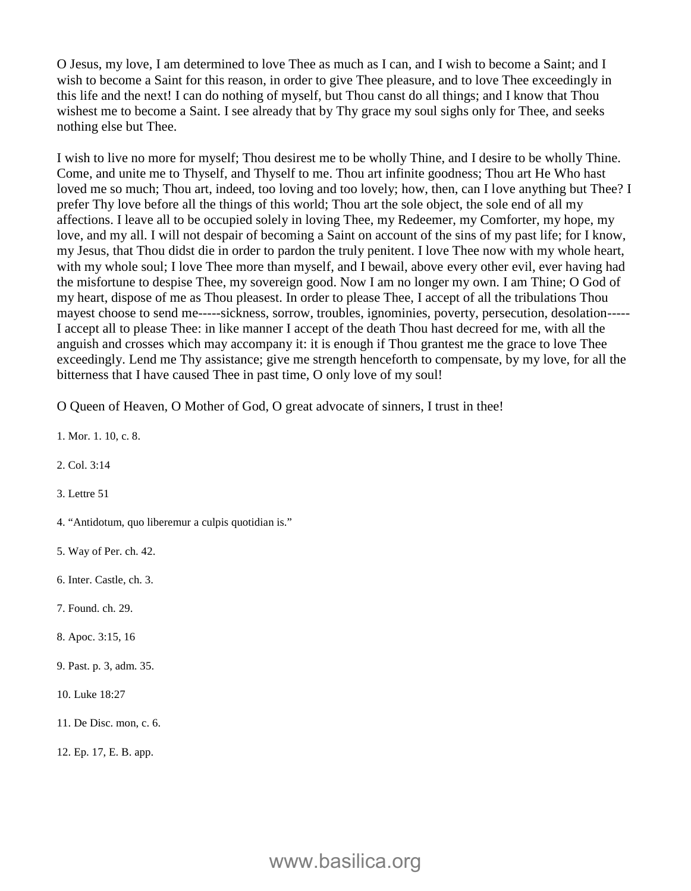O Jesus, my love, I am determined to love Thee as much as I can, and I wish to become a Saint; and I wish to become a Saint for this reason, in order to give Thee pleasure, and to love Thee exceedingly in this life and the next! I can do nothing of myself, but Thou canst do all things; and I know that Thou wishest me to become a Saint. I see already that by Thy grace my soul sighs only for Thee, and seeks nothing else but Thee.

I wish to live no more for myself; Thou desirest me to be wholly Thine, and I desire to be wholly Thine. Come, and unite me to Thyself, and Thyself to me. Thou art infinite goodness; Thou art He Who hast loved me so much; Thou art, indeed, too loving and too lovely; how, then, can I love anything but Thee? I prefer Thy love before all the things of this world; Thou art the sole object, the sole end of all my affections. I leave all to be occupied solely in loving Thee, my Redeemer, my Comforter, my hope, my love, and my all. I will not despair of becoming a Saint on account of the sins of my past life; for I know, my Jesus, that Thou didst die in order to pardon the truly penitent. I love Thee now with my whole heart, with my whole soul; I love Thee more than myself, and I bewail, above every other evil, ever having had the misfortune to despise Thee, my sovereign good. Now I am no longer my own. I am Thine; O God of my heart, dispose of me as Thou pleasest. In order to please Thee, I accept of all the tribulations Thou mayest choose to send me-----sickness, sorrow, troubles, ignominies, poverty, persecution, desolation----- I accept all to please Thee: in like manner I accept of the death Thou hast decreed for me, with all the anguish and crosses which may accompany it: it is enough if Thou grantest me the grace to love Thee exceedingly. Lend me Thy assistance; give me strength henceforth to compensate, by my love, for all the bitterness that I have caused Thee in past time, O only love of my soul!

O Queen of Heaven, O Mother of God, O great advocate of sinners, I trust in thee!

1. Mor. 1. 10, c. 8.

2. Col. 3:14

3. Lettre 51

- 4. "Antidotum, quo liberemur a culpis quotidian is."
- 5. Way of Per. ch. 42.
- 6. Inter. Castle, ch. 3.
- 7. Found. ch. 29.
- 8. Apoc. 3:15, 16
- 9. Past. p. 3, adm. 35.
- 10. Luke 18:27
- 11. De Disc. mon, c. 6.

12. Ep. 17, E. B. app.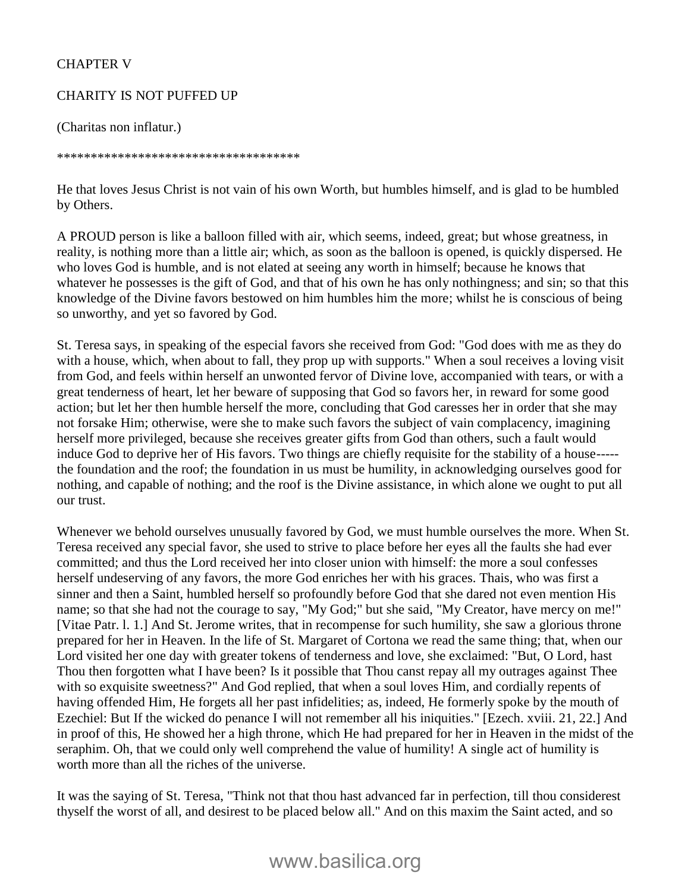### CHAPTER V

#### CHARITY IS NOT PUFFED UP

(Charitas non inflatur.)

\*\*\*\*\*\*\*\*\*\*\*\*\*\*\*\*\*\*\*\*\*\*\*\*\*\*\*\*\*\*\*\*\*\*\*\*

He that loves Jesus Christ is not vain of his own Worth, but humbles himself, and is glad to be humbled by Others.

A PROUD person is like a balloon filled with air, which seems, indeed, great; but whose greatness, in reality, is nothing more than a little air; which, as soon as the balloon is opened, is quickly dispersed. He who loves God is humble, and is not elated at seeing any worth in himself; because he knows that whatever he possesses is the gift of God, and that of his own he has only nothingness; and sin; so that this knowledge of the Divine favors bestowed on him humbles him the more; whilst he is conscious of being so unworthy, and yet so favored by God.

St. Teresa says, in speaking of the especial favors she received from God: "God does with me as they do with a house, which, when about to fall, they prop up with supports." When a soul receives a loving visit from God, and feels within herself an unwonted fervor of Divine love, accompanied with tears, or with a great tenderness of heart, let her beware of supposing that God so favors her, in reward for some good action; but let her then humble herself the more, concluding that God caresses her in order that she may not forsake Him; otherwise, were she to make such favors the subject of vain complacency, imagining herself more privileged, because she receives greater gifts from God than others, such a fault would induce God to deprive her of His favors. Two things are chiefly requisite for the stability of a house---- the foundation and the roof; the foundation in us must be humility, in acknowledging ourselves good for nothing, and capable of nothing; and the roof is the Divine assistance, in which alone we ought to put all our trust.

Whenever we behold ourselves unusually favored by God, we must humble ourselves the more. When St. Teresa received any special favor, she used to strive to place before her eyes all the faults she had ever committed; and thus the Lord received her into closer union with himself: the more a soul confesses herself undeserving of any favors, the more God enriches her with his graces. Thais, who was first a sinner and then a Saint, humbled herself so profoundly before God that she dared not even mention His name; so that she had not the courage to say, "My God;" but she said, "My Creator, have mercy on me!" [Vitae Patr. l. 1.] And St. Jerome writes, that in recompense for such humility, she saw a glorious throne prepared for her in Heaven. In the life of St. Margaret of Cortona we read the same thing; that, when our Lord visited her one day with greater tokens of tenderness and love, she exclaimed: "But, O Lord, hast Thou then forgotten what I have been? Is it possible that Thou canst repay all my outrages against Thee with so exquisite sweetness?" And God replied, that when a soul loves Him, and cordially repents of having offended Him, He forgets all her past infidelities; as, indeed, He formerly spoke by the mouth of Ezechiel: But If the wicked do penance I will not remember all his iniquities." [Ezech. xviii. 21, 22.] And in proof of this, He showed her a high throne, which He had prepared for her in Heaven in the midst of the seraphim. Oh, that we could only well comprehend the value of humility! A single act of humility is worth more than all the riches of the universe.

It was the saying of St. Teresa, "Think not that thou hast advanced far in perfection, till thou considerest thyself the worst of all, and desirest to be placed below all." And on this maxim the Saint acted, and so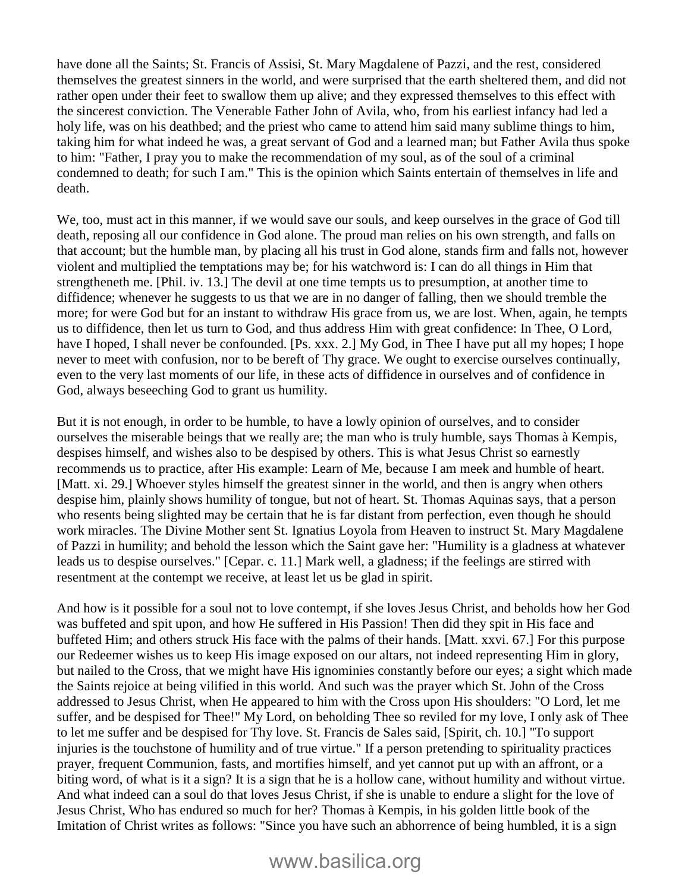have done all the Saints; St. Francis of Assisi, St. Mary Magdalene of Pazzi, and the rest, considered themselves the greatest sinners in the world, and were surprised that the earth sheltered them, and did not rather open under their feet to swallow them up alive; and they expressed themselves to this effect with the sincerest conviction. The Venerable Father John of Avila, who, from his earliest infancy had led a holy life, was on his deathbed; and the priest who came to attend him said many sublime things to him, taking him for what indeed he was, a great servant of God and a learned man; but Father Avila thus spoke to him: "Father, I pray you to make the recommendation of my soul, as of the soul of a criminal condemned to death; for such I am." This is the opinion which Saints entertain of themselves in life and death.

We, too, must act in this manner, if we would save our souls, and keep ourselves in the grace of God till death, reposing all our confidence in God alone. The proud man relies on his own strength, and falls on that account; but the humble man, by placing all his trust in God alone, stands firm and falls not, however violent and multiplied the temptations may be; for his watchword is: I can do all things in Him that strengtheneth me. [Phil. iv. 13.] The devil at one time tempts us to presumption, at another time to diffidence; whenever he suggests to us that we are in no danger of falling, then we should tremble the more; for were God but for an instant to withdraw His grace from us, we are lost. When, again, he tempts us to diffidence, then let us turn to God, and thus address Him with great confidence: In Thee, O Lord, have I hoped, I shall never be confounded. [Ps. xxx. 2.] My God, in Thee I have put all my hopes; I hope never to meet with confusion, nor to be bereft of Thy grace. We ought to exercise ourselves continually, even to the very last moments of our life, in these acts of diffidence in ourselves and of confidence in God, always beseeching God to grant us humility.

But it is not enough, in order to be humble, to have a lowly opinion of ourselves, and to consider ourselves the miserable beings that we really are; the man who is truly humble, says Thomas à Kempis, despises himself, and wishes also to be despised by others. This is what Jesus Christ so earnestly recommends us to practice, after His example: Learn of Me, because I am meek and humble of heart. [Matt. xi. 29.] Whoever styles himself the greatest sinner in the world, and then is angry when others despise him, plainly shows humility of tongue, but not of heart. St. Thomas Aquinas says, that a person who resents being slighted may be certain that he is far distant from perfection, even though he should work miracles. The Divine Mother sent St. Ignatius Loyola from Heaven to instruct St. Mary Magdalene of Pazzi in humility; and behold the lesson which the Saint gave her: "Humility is a gladness at whatever leads us to despise ourselves." [Cepar. c. 11.] Mark well, a gladness; if the feelings are stirred with resentment at the contempt we receive, at least let us be glad in spirit.

And how is it possible for a soul not to love contempt, if she loves Jesus Christ, and beholds how her God was buffeted and spit upon, and how He suffered in His Passion! Then did they spit in His face and buffeted Him; and others struck His face with the palms of their hands. [Matt. xxvi. 67.] For this purpose our Redeemer wishes us to keep His image exposed on our altars, not indeed representing Him in glory, but nailed to the Cross, that we might have His ignominies constantly before our eyes; a sight which made the Saints rejoice at being vilified in this world. And such was the prayer which St. John of the Cross addressed to Jesus Christ, when He appeared to him with the Cross upon His shoulders: "O Lord, let me suffer, and be despised for Thee!" My Lord, on beholding Thee so reviled for my love, I only ask of Thee to let me suffer and be despised for Thy love. St. Francis de Sales said, [Spirit, ch. 10.] "To support injuries is the touchstone of humility and of true virtue." If a person pretending to spirituality practices prayer, frequent Communion, fasts, and mortifies himself, and yet cannot put up with an affront, or a biting word, of what is it a sign? It is a sign that he is a hollow cane, without humility and without virtue. And what indeed can a soul do that loves Jesus Christ, if she is unable to endure a slight for the love of Jesus Christ, Who has endured so much for her? Thomas à Kempis, in his golden little book of the Imitation of Christ writes as follows: "Since you have such an abhorrence of being humbled, it is a sign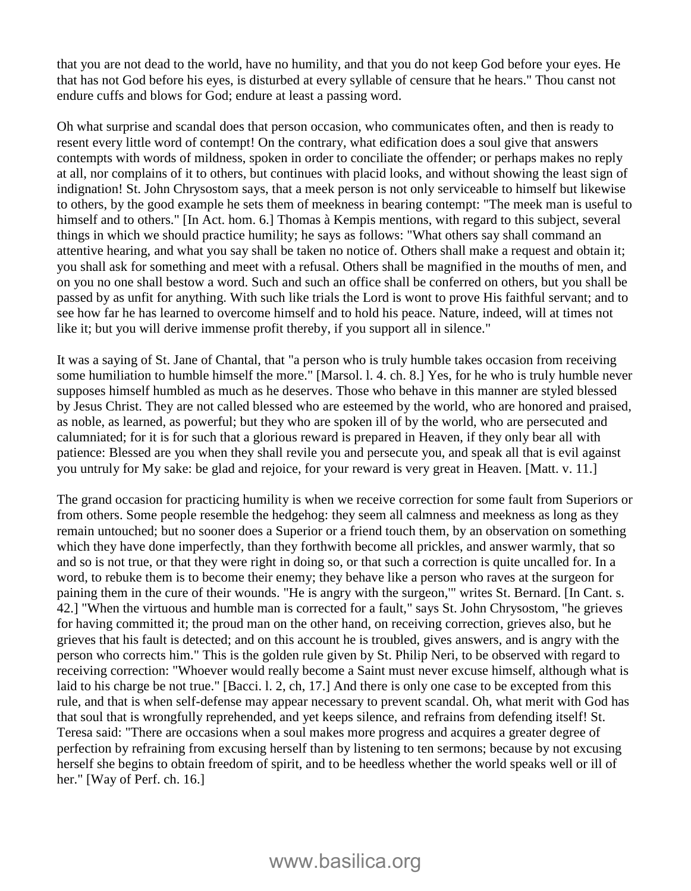that you are not dead to the world, have no humility, and that you do not keep God before your eyes. He that has not God before his eyes, is disturbed at every syllable of censure that he hears." Thou canst not endure cuffs and blows for God; endure at least a passing word.

Oh what surprise and scandal does that person occasion, who communicates often, and then is ready to resent every little word of contempt! On the contrary, what edification does a soul give that answers contempts with words of mildness, spoken in order to conciliate the offender; or perhaps makes no reply at all, nor complains of it to others, but continues with placid looks, and without showing the least sign of indignation! St. John Chrysostom says, that a meek person is not only serviceable to himself but likewise to others, by the good example he sets them of meekness in bearing contempt: "The meek man is useful to himself and to others." [In Act. hom. 6.] Thomas à Kempis mentions, with regard to this subject, several things in which we should practice humility; he says as follows: "What others say shall command an attentive hearing, and what you say shall be taken no notice of. Others shall make a request and obtain it; you shall ask for something and meet with a refusal. Others shall be magnified in the mouths of men, and on you no one shall bestow a word. Such and such an office shall be conferred on others, but you shall be passed by as unfit for anything. With such like trials the Lord is wont to prove His faithful servant; and to see how far he has learned to overcome himself and to hold his peace. Nature, indeed, will at times not like it; but you will derive immense profit thereby, if you support all in silence."

It was a saying of St. Jane of Chantal, that "a person who is truly humble takes occasion from receiving some humiliation to humble himself the more." [Marsol. l. 4. ch. 8.] Yes, for he who is truly humble never supposes himself humbled as much as he deserves. Those who behave in this manner are styled blessed by Jesus Christ. They are not called blessed who are esteemed by the world, who are honored and praised, as noble, as learned, as powerful; but they who are spoken ill of by the world, who are persecuted and calumniated; for it is for such that a glorious reward is prepared in Heaven, if they only bear all with patience: Blessed are you when they shall revile you and persecute you, and speak all that is evil against you untruly for My sake: be glad and rejoice, for your reward is very great in Heaven. [Matt. v. 11.]

The grand occasion for practicing humility is when we receive correction for some fault from Superiors or from others. Some people resemble the hedgehog: they seem all calmness and meekness as long as they remain untouched; but no sooner does a Superior or a friend touch them, by an observation on something which they have done imperfectly, than they forthwith become all prickles, and answer warmly, that so and so is not true, or that they were right in doing so, or that such a correction is quite uncalled for. In a word, to rebuke them is to become their enemy; they behave like a person who raves at the surgeon for paining them in the cure of their wounds. "He is angry with the surgeon,'" writes St. Bernard. [In Cant. s. 42.] "When the virtuous and humble man is corrected for a fault," says St. John Chrysostom, "he grieves for having committed it; the proud man on the other hand, on receiving correction, grieves also, but he grieves that his fault is detected; and on this account he is troubled, gives answers, and is angry with the person who corrects him." This is the golden rule given by St. Philip Neri, to be observed with regard to receiving correction: "Whoever would really become a Saint must never excuse himself, although what is laid to his charge be not true." [Bacci. l. 2, ch, 17.] And there is only one case to be excepted from this rule, and that is when self-defense may appear necessary to prevent scandal. Oh, what merit with God has that soul that is wrongfully reprehended, and yet keeps silence, and refrains from defending itself! St. Teresa said: "There are occasions when a soul makes more progress and acquires a greater degree of perfection by refraining from excusing herself than by listening to ten sermons; because by not excusing herself she begins to obtain freedom of spirit, and to be heedless whether the world speaks well or ill of her." [Way of Perf. ch. 16.]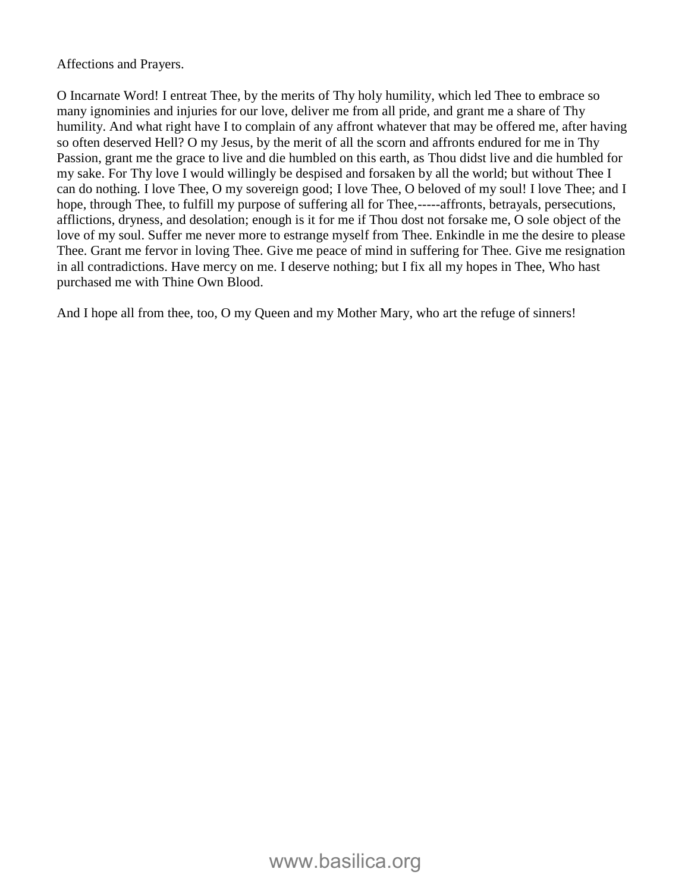Affections and Prayers.

O Incarnate Word! I entreat Thee, by the merits of Thy holy humility, which led Thee to embrace so many ignominies and injuries for our love, deliver me from all pride, and grant me a share of Thy humility. And what right have I to complain of any affront whatever that may be offered me, after having so often deserved Hell? O my Jesus, by the merit of all the scorn and affronts endured for me in Thy Passion, grant me the grace to live and die humbled on this earth, as Thou didst live and die humbled for my sake. For Thy love I would willingly be despised and forsaken by all the world; but without Thee I can do nothing. I love Thee, O my sovereign good; I love Thee, O beloved of my soul! I love Thee; and I hope, through Thee, to fulfill my purpose of suffering all for Thee,-----affronts, betrayals, persecutions, afflictions, dryness, and desolation; enough is it for me if Thou dost not forsake me, O sole object of the love of my soul. Suffer me never more to estrange myself from Thee. Enkindle in me the desire to please Thee. Grant me fervor in loving Thee. Give me peace of mind in suffering for Thee. Give me resignation in all contradictions. Have mercy on me. I deserve nothing; but I fix all my hopes in Thee, Who hast purchased me with Thine Own Blood.

And I hope all from thee, too, O my Queen and my Mother Mary, who art the refuge of sinners!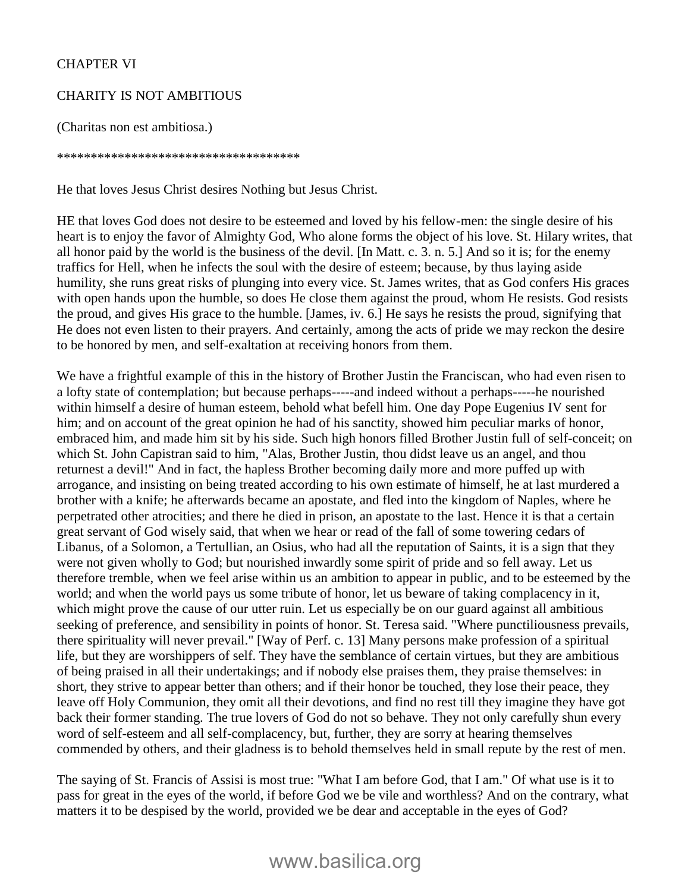### CHAPTER VI

#### CHARITY IS NOT AMBITIOUS

(Charitas non est ambitiosa.)

\*\*\*\*\*\*\*\*\*\*\*\*\*\*\*\*\*\*\*\*\*\*\*\*\*\*\*\*\*\*\*\*\*\*\*\*

He that loves Jesus Christ desires Nothing but Jesus Christ.

HE that loves God does not desire to be esteemed and loved by his fellow-men: the single desire of his heart is to enjoy the favor of Almighty God, Who alone forms the object of his love. St. Hilary writes, that all honor paid by the world is the business of the devil. [In Matt. c. 3. n. 5.] And so it is; for the enemy traffics for Hell, when he infects the soul with the desire of esteem; because, by thus laying aside humility, she runs great risks of plunging into every vice. St. James writes, that as God confers His graces with open hands upon the humble, so does He close them against the proud, whom He resists. God resists the proud, and gives His grace to the humble. [James, iv. 6.] He says he resists the proud, signifying that He does not even listen to their prayers. And certainly, among the acts of pride we may reckon the desire to be honored by men, and self-exaltation at receiving honors from them.

We have a frightful example of this in the history of Brother Justin the Franciscan, who had even risen to a lofty state of contemplation; but because perhaps-----and indeed without a perhaps-----he nourished within himself a desire of human esteem, behold what befell him. One day Pope Eugenius IV sent for him; and on account of the great opinion he had of his sanctity, showed him peculiar marks of honor, embraced him, and made him sit by his side. Such high honors filled Brother Justin full of self-conceit; on which St. John Capistran said to him, "Alas, Brother Justin, thou didst leave us an angel, and thou returnest a devil!" And in fact, the hapless Brother becoming daily more and more puffed up with arrogance, and insisting on being treated according to his own estimate of himself, he at last murdered a brother with a knife; he afterwards became an apostate, and fled into the kingdom of Naples, where he perpetrated other atrocities; and there he died in prison, an apostate to the last. Hence it is that a certain great servant of God wisely said, that when we hear or read of the fall of some towering cedars of Libanus, of a Solomon, a Tertullian, an Osius, who had all the reputation of Saints, it is a sign that they were not given wholly to God; but nourished inwardly some spirit of pride and so fell away. Let us therefore tremble, when we feel arise within us an ambition to appear in public, and to be esteemed by the world; and when the world pays us some tribute of honor, let us beware of taking complacency in it, which might prove the cause of our utter ruin. Let us especially be on our guard against all ambitious seeking of preference, and sensibility in points of honor. St. Teresa said. "Where punctiliousness prevails, there spirituality will never prevail." [Way of Perf. c. 13] Many persons make profession of a spiritual life, but they are worshippers of self. They have the semblance of certain virtues, but they are ambitious of being praised in all their undertakings; and if nobody else praises them, they praise themselves: in short, they strive to appear better than others; and if their honor be touched, they lose their peace, they leave off Holy Communion, they omit all their devotions, and find no rest till they imagine they have got back their former standing. The true lovers of God do not so behave. They not only carefully shun every word of self-esteem and all self-complacency, but, further, they are sorry at hearing themselves commended by others, and their gladness is to behold themselves held in small repute by the rest of men.

The saying of St. Francis of Assisi is most true: "What I am before God, that I am." Of what use is it to pass for great in the eyes of the world, if before God we be vile and worthless? And on the contrary, what matters it to be despised by the world, provided we be dear and acceptable in the eyes of God?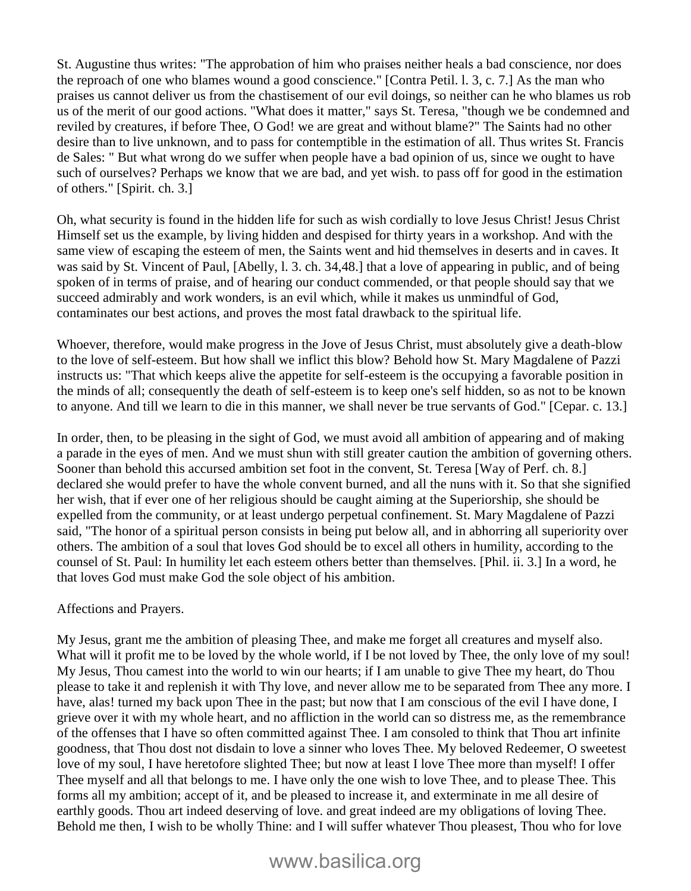St. Augustine thus writes: "The approbation of him who praises neither heals a bad conscience, nor does the reproach of one who blames wound a good conscience." [Contra Petil. l. 3, c. 7.] As the man who praises us cannot deliver us from the chastisement of our evil doings, so neither can he who blames us rob us of the merit of our good actions. "What does it matter," says St. Teresa, "though we be condemned and reviled by creatures, if before Thee, O God! we are great and without blame?" The Saints had no other desire than to live unknown, and to pass for contemptible in the estimation of all. Thus writes St. Francis de Sales: " But what wrong do we suffer when people have a bad opinion of us, since we ought to have such of ourselves? Perhaps we know that we are bad, and yet wish. to pass off for good in the estimation of others." [Spirit. ch. 3.]

Oh, what security is found in the hidden life for such as wish cordially to love Jesus Christ! Jesus Christ Himself set us the example, by living hidden and despised for thirty years in a workshop. And with the same view of escaping the esteem of men, the Saints went and hid themselves in deserts and in caves. It was said by St. Vincent of Paul, [Abelly, l. 3. ch. 34,48.] that a love of appearing in public, and of being spoken of in terms of praise, and of hearing our conduct commended, or that people should say that we succeed admirably and work wonders, is an evil which, while it makes us unmindful of God, contaminates our best actions, and proves the most fatal drawback to the spiritual life.

Whoever, therefore, would make progress in the Jove of Jesus Christ, must absolutely give a death-blow to the love of self-esteem. But how shall we inflict this blow? Behold how St. Mary Magdalene of Pazzi instructs us: "That which keeps alive the appetite for self-esteem is the occupying a favorable position in the minds of all; consequently the death of self-esteem is to keep one's self hidden, so as not to be known to anyone. And till we learn to die in this manner, we shall never be true servants of God." [Cepar. c. 13.]

In order, then, to be pleasing in the sight of God, we must avoid all ambition of appearing and of making a parade in the eyes of men. And we must shun with still greater caution the ambition of governing others. Sooner than behold this accursed ambition set foot in the convent, St. Teresa [Way of Perf. ch. 8.] declared she would prefer to have the whole convent burned, and all the nuns with it. So that she signified her wish, that if ever one of her religious should be caught aiming at the Superiorship, she should be expelled from the community, or at least undergo perpetual confinement. St. Mary Magdalene of Pazzi said, "The honor of a spiritual person consists in being put below all, and in abhorring all superiority over others. The ambition of a soul that loves God should be to excel all others in humility, according to the counsel of St. Paul: In humility let each esteem others better than themselves. [Phil. ii. 3.] In a word, he that loves God must make God the sole object of his ambition.

#### Affections and Prayers.

My Jesus, grant me the ambition of pleasing Thee, and make me forget all creatures and myself also. What will it profit me to be loved by the whole world, if I be not loved by Thee, the only love of my soul! My Jesus, Thou camest into the world to win our hearts; if I am unable to give Thee my heart, do Thou please to take it and replenish it with Thy love, and never allow me to be separated from Thee any more. I have, alas! turned my back upon Thee in the past; but now that I am conscious of the evil I have done, I grieve over it with my whole heart, and no affliction in the world can so distress me, as the remembrance of the offenses that I have so often committed against Thee. I am consoled to think that Thou art infinite goodness, that Thou dost not disdain to love a sinner who loves Thee. My beloved Redeemer, O sweetest love of my soul, I have heretofore slighted Thee; but now at least I love Thee more than myself! I offer Thee myself and all that belongs to me. I have only the one wish to love Thee, and to please Thee. This forms all my ambition; accept of it, and be pleased to increase it, and exterminate in me all desire of earthly goods. Thou art indeed deserving of love. and great indeed are my obligations of loving Thee. Behold me then, I wish to be wholly Thine: and I will suffer whatever Thou pleasest, Thou who for love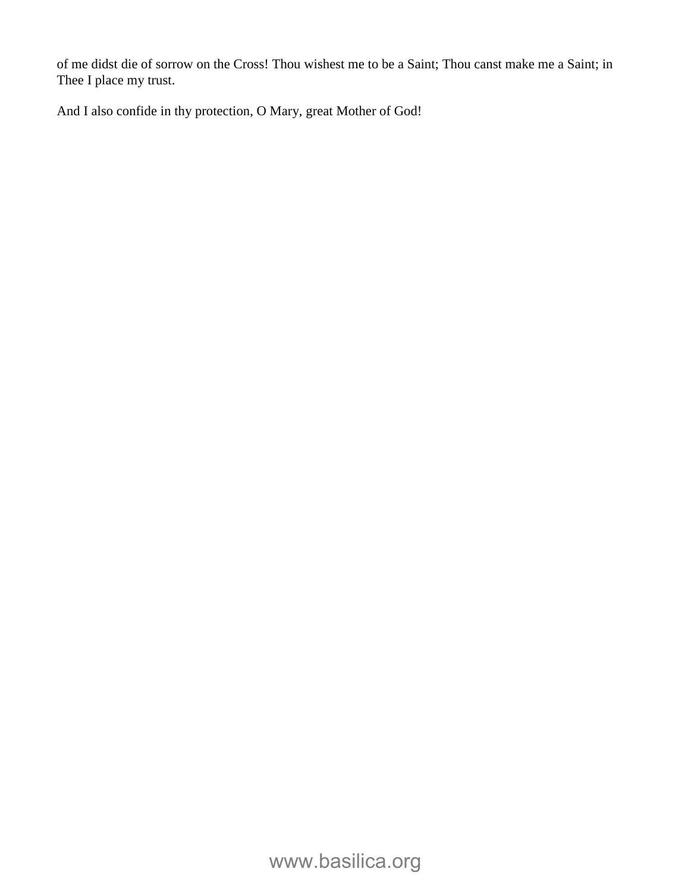of me didst die of sorrow on the Cross! Thou wishest me to be a Saint; Thou canst make me a Saint; in Thee I place my trust.

And I also confide in thy protection, O Mary, great Mother of God!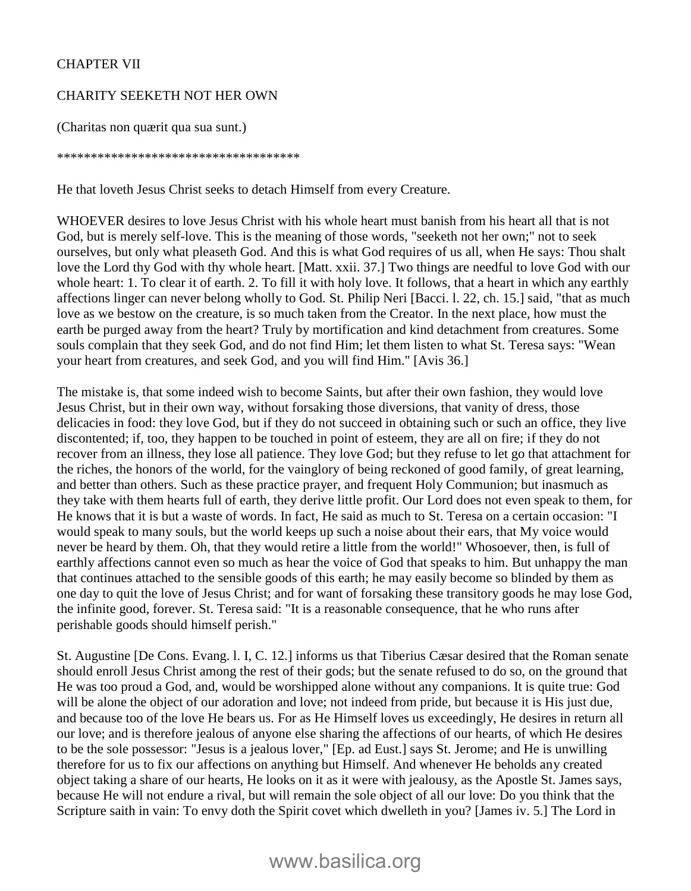### CHAPTER VII

#### CHARITY SEEKETH NOT HER OWN

(Charitas non quærit qua sua sunt.)

#### \*\*\*\*\*\*\*\*\*\*\*\*\*\*\*\*\*\*\*\*\*\*\*\*\*\*\*\*\*\*\*\*\*\*\*\*

He that loveth Jesus Christ seeks to detach Himself from every Creature.

WHOEVER desires to love Jesus Christ with his whole heart must banish from his heart all that is not God, but is merely self-love. This is the meaning of those words, "seeketh not her own;" not to seek ourselves, but only what pleaseth God. And this is what God requires of us all, when He says: Thou shalt love the Lord thy God with thy whole heart. [Matt. xxii. 37.] Two things are needful to love God with our whole heart: 1. To clear it of earth. 2. To fill it with holy love. It follows, that a heart in which any earthly affections linger can never belong wholly to God. St. Philip Neri [Bacci. l. 22, ch. 15.] said, "that as much love as we bestow on the creature, is so much taken from the Creator. In the next place, how must the earth be purged away from the heart? Truly by mortification and kind detachment from creatures. Some souls complain that they seek God, and do not find Him; let them listen to what St. Teresa says: "Wean your heart from creatures, and seek God, and you will find Him." [Avis 36.]

The mistake is, that some indeed wish to become Saints, but after their own fashion, they would love Jesus Christ, but in their own way, without forsaking those diversions, that vanity of dress, those delicacies in food: they love God, but if they do not succeed in obtaining such or such an office, they live discontented; if, too, they happen to be touched in point of esteem, they are all on fire; if they do not recover from an illness, they lose all patience. They love God; but they refuse to let go that attachment for the riches, the honors of the world, for the vainglory of being reckoned of good family, of great learning, and better than others. Such as these practice prayer, and frequent Holy Communion; but inasmuch as they take with them hearts full of earth, they derive little profit. Our Lord does not even speak to them, for He knows that it is but a waste of words. In fact, He said as much to St. Teresa on a certain occasion: "I would speak to many souls, but the world keeps up such a noise about their ears, that My voice would never be heard by them. Oh, that they would retire a little from the world!" Whosoever, then, is full of earthly affections cannot even so much as hear the voice of God that speaks to him. But unhappy the man that continues attached to the sensible goods of this earth; he may easily become so blinded by them as one day to quit the love of Jesus Christ; and for want of forsaking these transitory goods he may lose God, the infinite good, forever. St. Teresa said: "It is a reasonable consequence, that he who runs after perishable goods should himself perish."

St. Augustine [De Cons. Evang. l. I, C. 12.] informs us that Tiberius Cæsar desired that the Roman senate should enroll Jesus Christ among the rest of their gods; but the senate refused to do so, on the ground that He was too proud a God, and, would be worshipped alone without any companions. It is quite true: God will be alone the object of our adoration and love; not indeed from pride, but because it is His just due, and because too of the love He bears us. For as He Himself loves us exceedingly, He desires in return all our love; and is therefore jealous of anyone else sharing the affections of our hearts, of which He desires to be the sole possessor: "Jesus is a jealous lover," [Ep. ad Eust.] says St. Jerome; and He is unwilling therefore for us to fix our affections on anything but Himself. And whenever He beholds any created object taking a share of our hearts, He looks on it as it were with jealousy, as the Apostle St. James says, because He will not endure a rival, but will remain the sole object of all our love: Do you think that the Scripture saith in vain: To envy doth the Spirit covet which dwelleth in you? [James iv. 5.] The Lord in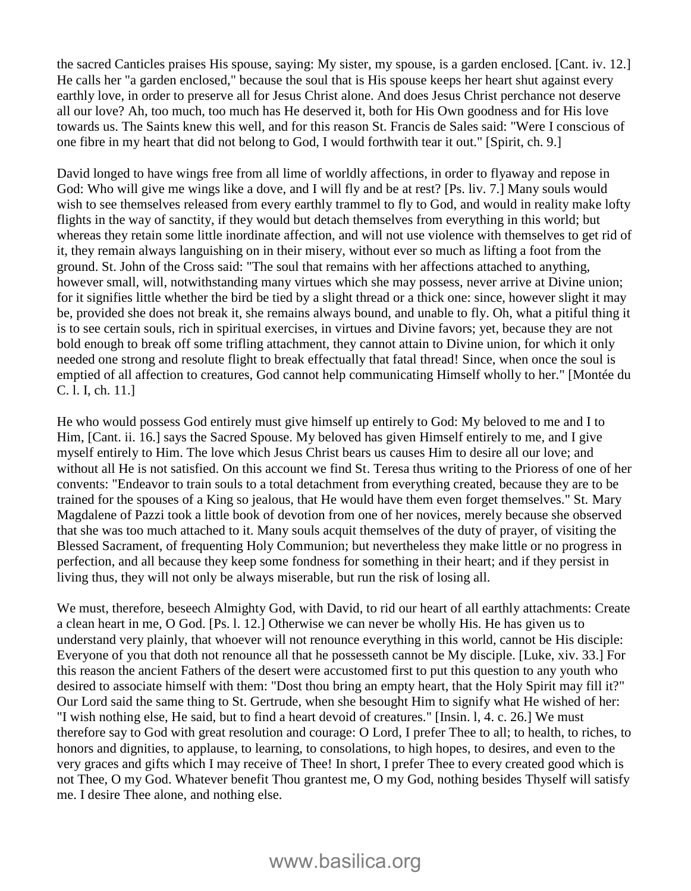the sacred Canticles praises His spouse, saying: My sister, my spouse, is a garden enclosed. [Cant. iv. 12.] He calls her "a garden enclosed," because the soul that is His spouse keeps her heart shut against every earthly love, in order to preserve all for Jesus Christ alone. And does Jesus Christ perchance not deserve all our love? Ah, too much, too much has He deserved it, both for His Own goodness and for His love towards us. The Saints knew this well, and for this reason St. Francis de Sales said: "Were I conscious of one fibre in my heart that did not belong to God, I would forthwith tear it out." [Spirit, ch. 9.]

David longed to have wings free from all lime of worldly affections, in order to flyaway and repose in God: Who will give me wings like a dove, and I will fly and be at rest? [Ps. liv. 7.] Many souls would wish to see themselves released from every earthly trammel to fly to God, and would in reality make lofty flights in the way of sanctity, if they would but detach themselves from everything in this world; but whereas they retain some little inordinate affection, and will not use violence with themselves to get rid of it, they remain always languishing on in their misery, without ever so much as lifting a foot from the ground. St. John of the Cross said: "The soul that remains with her affections attached to anything, however small, will, notwithstanding many virtues which she may possess, never arrive at Divine union; for it signifies little whether the bird be tied by a slight thread or a thick one: since, however slight it may be, provided she does not break it, she remains always bound, and unable to fly. Oh, what a pitiful thing it is to see certain souls, rich in spiritual exercises, in virtues and Divine favors; yet, because they are not bold enough to break off some trifling attachment, they cannot attain to Divine union, for which it only needed one strong and resolute flight to break effectually that fatal thread! Since, when once the soul is emptied of all affection to creatures, God cannot help communicating Himself wholly to her." [Montée du C. l. I, ch. 11.]

He who would possess God entirely must give himself up entirely to God: My beloved to me and I to Him, [Cant. ii. 16.] says the Sacred Spouse. My beloved has given Himself entirely to me, and I give myself entirely to Him. The love which Jesus Christ bears us causes Him to desire all our love; and without all He is not satisfied. On this account we find St. Teresa thus writing to the Prioress of one of her convents: "Endeavor to train souls to a total detachment from everything created, because they are to be trained for the spouses of a King so jealous, that He would have them even forget themselves." St. Mary Magdalene of Pazzi took a little book of devotion from one of her novices, merely because she observed that she was too much attached to it. Many souls acquit themselves of the duty of prayer, of visiting the Blessed Sacrament, of frequenting Holy Communion; but nevertheless they make little or no progress in perfection, and all because they keep some fondness for something in their heart; and if they persist in living thus, they will not only be always miserable, but run the risk of losing all.

We must, therefore, beseech Almighty God, with David, to rid our heart of all earthly attachments: Create a clean heart in me, O God. [Ps. l. 12.] Otherwise we can never be wholly His. He has given us to understand very plainly, that whoever will not renounce everything in this world, cannot be His disciple: Everyone of you that doth not renounce all that he possesseth cannot be My disciple. [Luke, xiv. 33.] For this reason the ancient Fathers of the desert were accustomed first to put this question to any youth who desired to associate himself with them: "Dost thou bring an empty heart, that the Holy Spirit may fill it?" Our Lord said the same thing to St. Gertrude, when she besought Him to signify what He wished of her: "I wish nothing else, He said, but to find a heart devoid of creatures." [Insin. l, 4. c. 26.] We must therefore say to God with great resolution and courage: O Lord, I prefer Thee to all; to health, to riches, to honors and dignities, to applause, to learning, to consolations, to high hopes, to desires, and even to the very graces and gifts which I may receive of Thee! In short, I prefer Thee to every created good which is not Thee, O my God. Whatever benefit Thou grantest me, O my God, nothing besides Thyself will satisfy me. I desire Thee alone, and nothing else.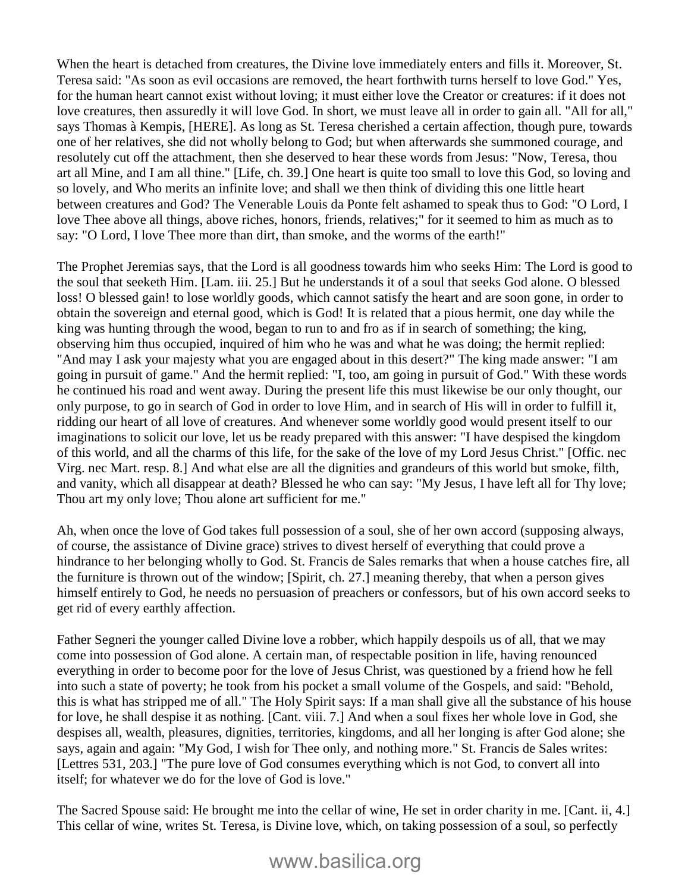When the heart is detached from creatures, the Divine love immediately enters and fills it. Moreover, St. Teresa said: "As soon as evil occasions are removed, the heart forthwith turns herself to love God." Yes, for the human heart cannot exist without loving; it must either love the Creator or creatures: if it does not love creatures, then assuredly it will love God. In short, we must leave all in order to gain all. "All for all," says Thomas à Kempis, [HERE]. As long as St. Teresa cherished a certain affection, though pure, towards one of her relatives, she did not wholly belong to God; but when afterwards she summoned courage, and resolutely cut off the attachment, then she deserved to hear these words from Jesus: "Now, Teresa, thou art all Mine, and I am all thine." [Life, ch. 39.] One heart is quite too small to love this God, so loving and so lovely, and Who merits an infinite love; and shall we then think of dividing this one little heart between creatures and God? The Venerable Louis da Ponte felt ashamed to speak thus to God: "O Lord, I love Thee above all things, above riches, honors, friends, relatives;" for it seemed to him as much as to say: "O Lord, I love Thee more than dirt, than smoke, and the worms of the earth!"

The Prophet Jeremias says, that the Lord is all goodness towards him who seeks Him: The Lord is good to the soul that seeketh Him. [Lam. iii. 25.] But he understands it of a soul that seeks God alone. O blessed loss! O blessed gain! to lose worldly goods, which cannot satisfy the heart and are soon gone, in order to obtain the sovereign and eternal good, which is God! It is related that a pious hermit, one day while the king was hunting through the wood, began to run to and fro as if in search of something; the king, observing him thus occupied, inquired of him who he was and what he was doing; the hermit replied: "And may I ask your majesty what you are engaged about in this desert?" The king made answer: "I am going in pursuit of game." And the hermit replied: "I, too, am going in pursuit of God." With these words he continued his road and went away. During the present life this must likewise be our only thought, our only purpose, to go in search of God in order to love Him, and in search of His will in order to fulfill it, ridding our heart of all love of creatures. And whenever some worldly good would present itself to our imaginations to solicit our love, let us be ready prepared with this answer: "I have despised the kingdom of this world, and all the charms of this life, for the sake of the love of my Lord Jesus Christ." [Offic. nec Virg. nec Mart. resp. 8.] And what else are all the dignities and grandeurs of this world but smoke, filth, and vanity, which all disappear at death? Blessed he who can say: "My Jesus, I have left all for Thy love; Thou art my only love; Thou alone art sufficient for me."

Ah, when once the love of God takes full possession of a soul, she of her own accord (supposing always, of course, the assistance of Divine grace) strives to divest herself of everything that could prove a hindrance to her belonging wholly to God. St. Francis de Sales remarks that when a house catches fire, all the furniture is thrown out of the window; [Spirit, ch. 27.] meaning thereby, that when a person gives himself entirely to God, he needs no persuasion of preachers or confessors, but of his own accord seeks to get rid of every earthly affection.

Father Segneri the younger called Divine love a robber, which happily despoils us of all, that we may come into possession of God alone. A certain man, of respectable position in life, having renounced everything in order to become poor for the love of Jesus Christ, was questioned by a friend how he fell into such a state of poverty; he took from his pocket a small volume of the Gospels, and said: "Behold, this is what has stripped me of all." The Holy Spirit says: If a man shall give all the substance of his house for love, he shall despise it as nothing. [Cant. viii. 7.] And when a soul fixes her whole love in God, she despises all, wealth, pleasures, dignities, territories, kingdoms, and all her longing is after God alone; she says, again and again: "My God, I wish for Thee only, and nothing more." St. Francis de Sales writes: [Lettres 531, 203.] "The pure love of God consumes everything which is not God, to convert all into itself; for whatever we do for the love of God is love."

The Sacred Spouse said: He brought me into the cellar of wine, He set in order charity in me. [Cant. ii, 4.] This cellar of wine, writes St. Teresa, is Divine love, which, on taking possession of a soul, so perfectly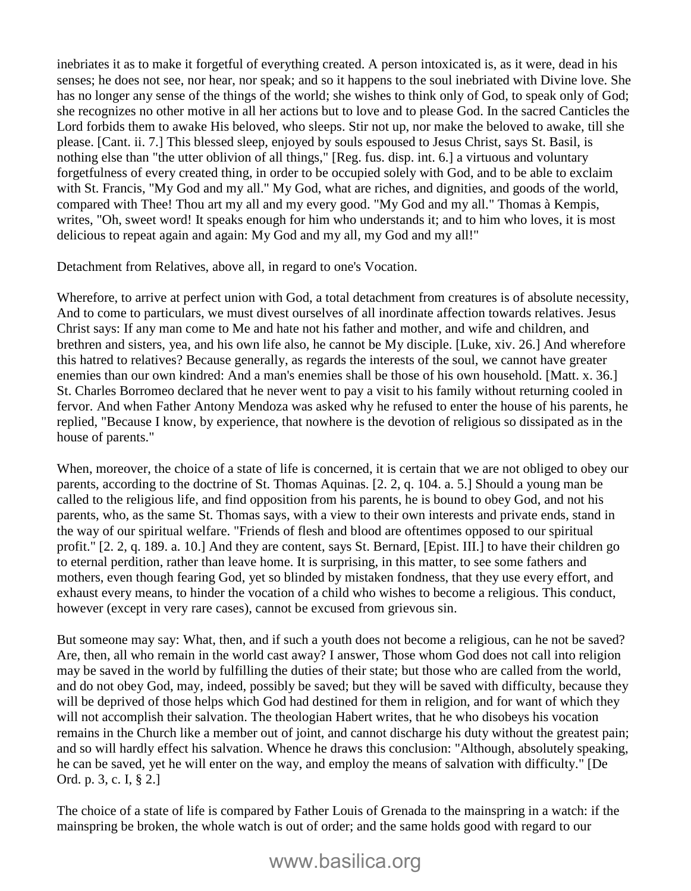inebriates it as to make it forgetful of everything created. A person intoxicated is, as it were, dead in his senses; he does not see, nor hear, nor speak; and so it happens to the soul inebriated with Divine love. She has no longer any sense of the things of the world; she wishes to think only of God, to speak only of God; she recognizes no other motive in all her actions but to love and to please God. In the sacred Canticles the Lord forbids them to awake His beloved, who sleeps. Stir not up, nor make the beloved to awake, till she please. [Cant. ii. 7.] This blessed sleep, enjoyed by souls espoused to Jesus Christ, says St. Basil, is nothing else than "the utter oblivion of all things," [Reg. fus. disp. int. 6.] a virtuous and voluntary forgetfulness of every created thing, in order to be occupied solely with God, and to be able to exclaim with St. Francis, "My God and my all." My God, what are riches, and dignities, and goods of the world, compared with Thee! Thou art my all and my every good. "My God and my all." Thomas à Kempis, writes, "Oh, sweet word! It speaks enough for him who understands it; and to him who loves, it is most delicious to repeat again and again: My God and my all, my God and my all!"

Detachment from Relatives, above all, in regard to one's Vocation.

Wherefore, to arrive at perfect union with God, a total detachment from creatures is of absolute necessity, And to come to particulars, we must divest ourselves of all inordinate affection towards relatives. Jesus Christ says: If any man come to Me and hate not his father and mother, and wife and children, and brethren and sisters, yea, and his own life also, he cannot be My disciple. [Luke, xiv. 26.] And wherefore this hatred to relatives? Because generally, as regards the interests of the soul, we cannot have greater enemies than our own kindred: And a man's enemies shall be those of his own household. [Matt. x. 36.] St. Charles Borromeo declared that he never went to pay a visit to his family without returning cooled in fervor. And when Father Antony Mendoza was asked why he refused to enter the house of his parents, he replied, "Because I know, by experience, that nowhere is the devotion of religious so dissipated as in the house of parents."

When, moreover, the choice of a state of life is concerned, it is certain that we are not obliged to obey our parents, according to the doctrine of St. Thomas Aquinas. [2. 2, q. 104. a. 5.] Should a young man be called to the religious life, and find opposition from his parents, he is bound to obey God, and not his parents, who, as the same St. Thomas says, with a view to their own interests and private ends, stand in the way of our spiritual welfare. "Friends of flesh and blood are oftentimes opposed to our spiritual profit." [2. 2, q. 189. a. 10.] And they are content, says St. Bernard, [Epist. III.] to have their children go to eternal perdition, rather than leave home. It is surprising, in this matter, to see some fathers and mothers, even though fearing God, yet so blinded by mistaken fondness, that they use every effort, and exhaust every means, to hinder the vocation of a child who wishes to become a religious. This conduct, however (except in very rare cases), cannot be excused from grievous sin.

But someone may say: What, then, and if such a youth does not become a religious, can he not be saved? Are, then, all who remain in the world cast away? I answer, Those whom God does not call into religion may be saved in the world by fulfilling the duties of their state; but those who are called from the world, and do not obey God, may, indeed, possibly be saved; but they will be saved with difficulty, because they will be deprived of those helps which God had destined for them in religion, and for want of which they will not accomplish their salvation. The theologian Habert writes, that he who disobeys his vocation remains in the Church like a member out of joint, and cannot discharge his duty without the greatest pain; and so will hardly effect his salvation. Whence he draws this conclusion: "Although, absolutely speaking, he can be saved, yet he will enter on the way, and employ the means of salvation with difficulty." [De Ord. p. 3, c. I, § 2.]

The choice of a state of life is compared by Father Louis of Grenada to the mainspring in a watch: if the mainspring be broken, the whole watch is out of order; and the same holds good with regard to our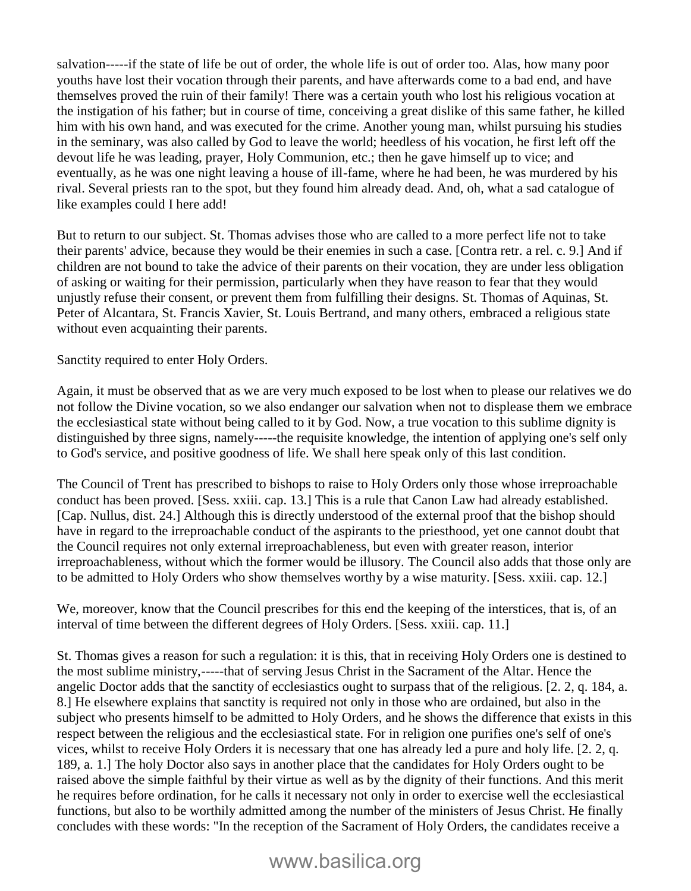salvation-----if the state of life be out of order, the whole life is out of order too. Alas, how many poor youths have lost their vocation through their parents, and have afterwards come to a bad end, and have themselves proved the ruin of their family! There was a certain youth who lost his religious vocation at the instigation of his father; but in course of time, conceiving a great dislike of this same father, he killed him with his own hand, and was executed for the crime. Another young man, whilst pursuing his studies in the seminary, was also called by God to leave the world; heedless of his vocation, he first left off the devout life he was leading, prayer, Holy Communion, etc.; then he gave himself up to vice; and eventually, as he was one night leaving a house of ill-fame, where he had been, he was murdered by his rival. Several priests ran to the spot, but they found him already dead. And, oh, what a sad catalogue of like examples could I here add!

But to return to our subject. St. Thomas advises those who are called to a more perfect life not to take their parents' advice, because they would be their enemies in such a case. [Contra retr. a rel. c. 9.] And if children are not bound to take the advice of their parents on their vocation, they are under less obligation of asking or waiting for their permission, particularly when they have reason to fear that they would unjustly refuse their consent, or prevent them from fulfilling their designs. St. Thomas of Aquinas, St. Peter of Alcantara, St. Francis Xavier, St. Louis Bertrand, and many others, embraced a religious state without even acquainting their parents.

Sanctity required to enter Holy Orders.

Again, it must be observed that as we are very much exposed to be lost when to please our relatives we do not follow the Divine vocation, so we also endanger our salvation when not to displease them we embrace the ecclesiastical state without being called to it by God. Now, a true vocation to this sublime dignity is distinguished by three signs, namely-----the requisite knowledge, the intention of applying one's self only to God's service, and positive goodness of life. We shall here speak only of this last condition.

The Council of Trent has prescribed to bishops to raise to Holy Orders only those whose irreproachable conduct has been proved. [Sess. xxiii. cap. 13.] This is a rule that Canon Law had already established. [Cap. Nullus, dist. 24.] Although this is directly understood of the external proof that the bishop should have in regard to the irreproachable conduct of the aspirants to the priesthood, yet one cannot doubt that the Council requires not only external irreproachableness, but even with greater reason, interior irreproachableness, without which the former would be illusory. The Council also adds that those only are to be admitted to Holy Orders who show themselves worthy by a wise maturity. [Sess. xxiii. cap. 12.]

We, moreover, know that the Council prescribes for this end the keeping of the interstices, that is, of an interval of time between the different degrees of Holy Orders. [Sess. xxiii. cap. 11.]

St. Thomas gives a reason for such a regulation: it is this, that in receiving Holy Orders one is destined to the most sublime ministry,-----that of serving Jesus Christ in the Sacrament of the Altar. Hence the angelic Doctor adds that the sanctity of ecclesiastics ought to surpass that of the religious. [2. 2, q. 184, a. 8.] He elsewhere explains that sanctity is required not only in those who are ordained, but also in the subject who presents himself to be admitted to Holy Orders, and he shows the difference that exists in this respect between the religious and the ecclesiastical state. For in religion one purifies one's self of one's vices, whilst to receive Holy Orders it is necessary that one has already led a pure and holy life. [2. 2, q. 189, a. 1.] The holy Doctor also says in another place that the candidates for Holy Orders ought to be raised above the simple faithful by their virtue as well as by the dignity of their functions. And this merit he requires before ordination, for he calls it necessary not only in order to exercise well the ecclesiastical functions, but also to be worthily admitted among the number of the ministers of Jesus Christ. He finally concludes with these words: "In the reception of the Sacrament of Holy Orders, the candidates receive a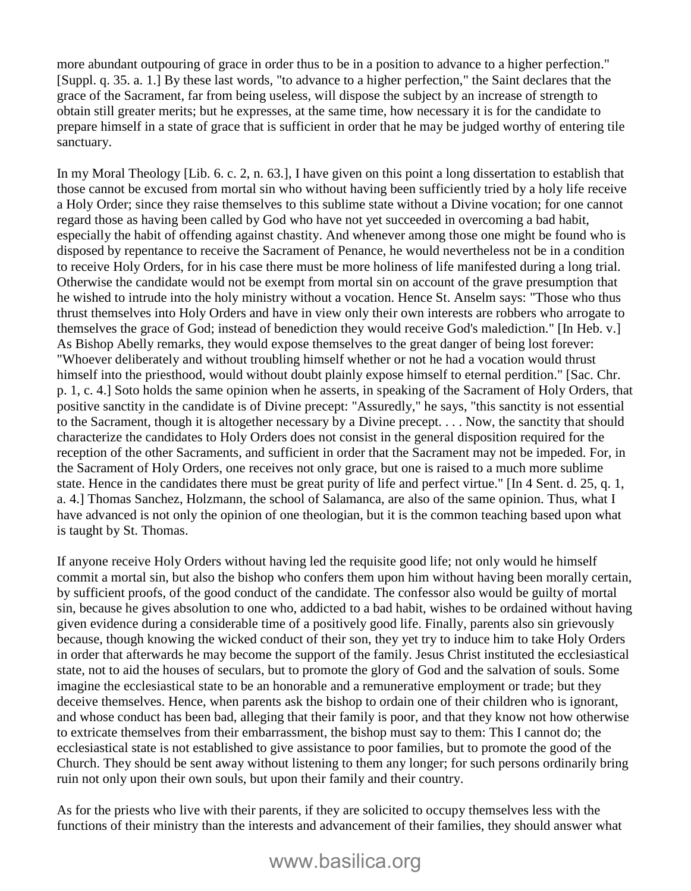more abundant outpouring of grace in order thus to be in a position to advance to a higher perfection." [Suppl. q. 35. a. 1.] By these last words, "to advance to a higher perfection," the Saint declares that the grace of the Sacrament, far from being useless, will dispose the subject by an increase of strength to obtain still greater merits; but he expresses, at the same time, how necessary it is for the candidate to prepare himself in a state of grace that is sufficient in order that he may be judged worthy of entering tile sanctuary.

In my Moral Theology [Lib. 6. c. 2, n. 63.], I have given on this point a long dissertation to establish that those cannot be excused from mortal sin who without having been sufficiently tried by a holy life receive a Holy Order; since they raise themselves to this sublime state without a Divine vocation; for one cannot regard those as having been called by God who have not yet succeeded in overcoming a bad habit, especially the habit of offending against chastity. And whenever among those one might be found who is disposed by repentance to receive the Sacrament of Penance, he would nevertheless not be in a condition to receive Holy Orders, for in his case there must be more holiness of life manifested during a long trial. Otherwise the candidate would not be exempt from mortal sin on account of the grave presumption that he wished to intrude into the holy ministry without a vocation. Hence St. Anselm says: "Those who thus thrust themselves into Holy Orders and have in view only their own interests are robbers who arrogate to themselves the grace of God; instead of benediction they would receive God's malediction." [In Heb. v.] As Bishop Abelly remarks, they would expose themselves to the great danger of being lost forever: "Whoever deliberately and without troubling himself whether or not he had a vocation would thrust himself into the priesthood, would without doubt plainly expose himself to eternal perdition." [Sac. Chr. p. 1, c. 4.] Soto holds the same opinion when he asserts, in speaking of the Sacrament of Holy Orders, that positive sanctity in the candidate is of Divine precept: "Assuredly," he says, "this sanctity is not essential to the Sacrament, though it is altogether necessary by a Divine precept. . . . Now, the sanctity that should characterize the candidates to Holy Orders does not consist in the general disposition required for the reception of the other Sacraments, and sufficient in order that the Sacrament may not be impeded. For, in the Sacrament of Holy Orders, one receives not only grace, but one is raised to a much more sublime state. Hence in the candidates there must be great purity of life and perfect virtue." [In 4 Sent. d. 25, q. 1, a. 4.] Thomas Sanchez, Holzmann, the school of Salamanca, are also of the same opinion. Thus, what I have advanced is not only the opinion of one theologian, but it is the common teaching based upon what is taught by St. Thomas.

If anyone receive Holy Orders without having led the requisite good life; not only would he himself commit a mortal sin, but also the bishop who confers them upon him without having been morally certain, by sufficient proofs, of the good conduct of the candidate. The confessor also would be guilty of mortal sin, because he gives absolution to one who, addicted to a bad habit, wishes to be ordained without having given evidence during a considerable time of a positively good life. Finally, parents also sin grievously because, though knowing the wicked conduct of their son, they yet try to induce him to take Holy Orders in order that afterwards he may become the support of the family. Jesus Christ instituted the ecclesiastical state, not to aid the houses of seculars, but to promote the glory of God and the salvation of souls. Some imagine the ecclesiastical state to be an honorable and a remunerative employment or trade; but they deceive themselves. Hence, when parents ask the bishop to ordain one of their children who is ignorant, and whose conduct has been bad, alleging that their family is poor, and that they know not how otherwise to extricate themselves from their embarrassment, the bishop must say to them: This I cannot do; the ecclesiastical state is not established to give assistance to poor families, but to promote the good of the Church. They should be sent away without listening to them any longer; for such persons ordinarily bring ruin not only upon their own souls, but upon their family and their country.

As for the priests who live with their parents, if they are solicited to occupy themselves less with the functions of their ministry than the interests and advancement of their families, they should answer what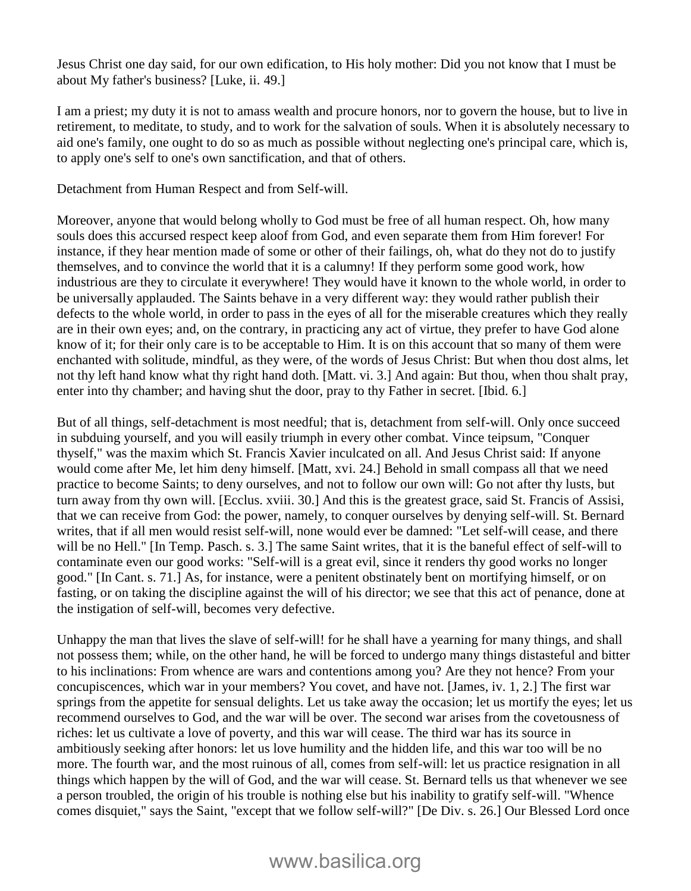Jesus Christ one day said, for our own edification, to His holy mother: Did you not know that I must be about My father's business? [Luke, ii. 49.]

I am a priest; my duty it is not to amass wealth and procure honors, nor to govern the house, but to live in retirement, to meditate, to study, and to work for the salvation of souls. When it is absolutely necessary to aid one's family, one ought to do so as much as possible without neglecting one's principal care, which is, to apply one's self to one's own sanctification, and that of others.

Detachment from Human Respect and from Self-will.

Moreover, anyone that would belong wholly to God must be free of all human respect. Oh, how many souls does this accursed respect keep aloof from God, and even separate them from Him forever! For instance, if they hear mention made of some or other of their failings, oh, what do they not do to justify themselves, and to convince the world that it is a calumny! If they perform some good work, how industrious are they to circulate it everywhere! They would have it known to the whole world, in order to be universally applauded. The Saints behave in a very different way: they would rather publish their defects to the whole world, in order to pass in the eyes of all for the miserable creatures which they really are in their own eyes; and, on the contrary, in practicing any act of virtue, they prefer to have God alone know of it; for their only care is to be acceptable to Him. It is on this account that so many of them were enchanted with solitude, mindful, as they were, of the words of Jesus Christ: But when thou dost alms, let not thy left hand know what thy right hand doth. [Matt. vi. 3.] And again: But thou, when thou shalt pray, enter into thy chamber; and having shut the door, pray to thy Father in secret. [Ibid. 6.]

But of all things, self-detachment is most needful; that is, detachment from self-will. Only once succeed in subduing yourself, and you will easily triumph in every other combat. Vince teipsum, "Conquer thyself," was the maxim which St. Francis Xavier inculcated on all. And Jesus Christ said: If anyone would come after Me, let him deny himself. [Matt, xvi. 24.] Behold in small compass all that we need practice to become Saints; to deny ourselves, and not to follow our own will: Go not after thy lusts, but turn away from thy own will. [Ecclus. xviii. 30.] And this is the greatest grace, said St. Francis of Assisi, that we can receive from God: the power, namely, to conquer ourselves by denying self-will. St. Bernard writes, that if all men would resist self-will, none would ever be damned: "Let self-will cease, and there will be no Hell." [In Temp. Pasch. s. 3.] The same Saint writes, that it is the baneful effect of self-will to contaminate even our good works: "Self-will is a great evil, since it renders thy good works no longer good." [In Cant. s. 71.] As, for instance, were a penitent obstinately bent on mortifying himself, or on fasting, or on taking the discipline against the will of his director; we see that this act of penance, done at the instigation of self-will, becomes very defective.

Unhappy the man that lives the slave of self-will! for he shall have a yearning for many things, and shall not possess them; while, on the other hand, he will be forced to undergo many things distasteful and bitter to his inclinations: From whence are wars and contentions among you? Are they not hence? From your concupiscences, which war in your members? You covet, and have not. [James, iv. 1, 2.] The first war springs from the appetite for sensual delights. Let us take away the occasion; let us mortify the eyes; let us recommend ourselves to God, and the war will be over. The second war arises from the covetousness of riches: let us cultivate a love of poverty, and this war will cease. The third war has its source in ambitiously seeking after honors: let us love humility and the hidden life, and this war too will be no more. The fourth war, and the most ruinous of all, comes from self-will: let us practice resignation in all things which happen by the will of God, and the war will cease. St. Bernard tells us that whenever we see a person troubled, the origin of his trouble is nothing else but his inability to gratify self-will. "Whence comes disquiet," says the Saint, "except that we follow self-will?" [De Div. s. 26.] Our Blessed Lord once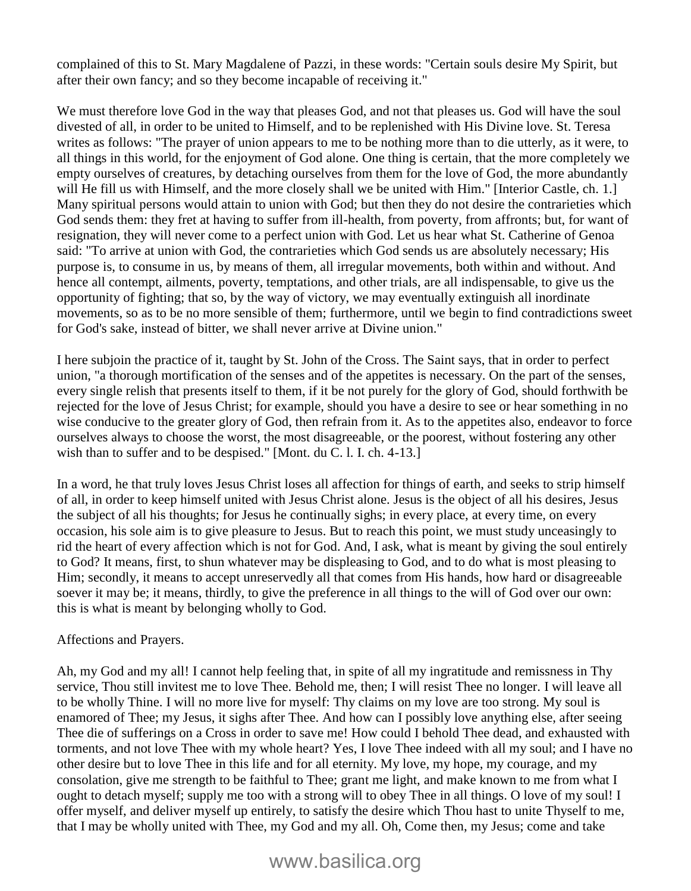complained of this to St. Mary Magdalene of Pazzi, in these words: "Certain souls desire My Spirit, but after their own fancy; and so they become incapable of receiving it."

We must therefore love God in the way that pleases God, and not that pleases us. God will have the soul divested of all, in order to be united to Himself, and to be replenished with His Divine love. St. Teresa writes as follows: "The prayer of union appears to me to be nothing more than to die utterly, as it were, to all things in this world, for the enjoyment of God alone. One thing is certain, that the more completely we empty ourselves of creatures, by detaching ourselves from them for the love of God, the more abundantly will He fill us with Himself, and the more closely shall we be united with Him." [Interior Castle, ch. 1.] Many spiritual persons would attain to union with God; but then they do not desire the contrarieties which God sends them: they fret at having to suffer from ill-health, from poverty, from affronts; but, for want of resignation, they will never come to a perfect union with God. Let us hear what St. Catherine of Genoa said: "To arrive at union with God, the contrarieties which God sends us are absolutely necessary; His purpose is, to consume in us, by means of them, all irregular movements, both within and without. And hence all contempt, ailments, poverty, temptations, and other trials, are all indispensable, to give us the opportunity of fighting; that so, by the way of victory, we may eventually extinguish all inordinate movements, so as to be no more sensible of them; furthermore, until we begin to find contradictions sweet for God's sake, instead of bitter, we shall never arrive at Divine union."

I here subjoin the practice of it, taught by St. John of the Cross. The Saint says, that in order to perfect union, "a thorough mortification of the senses and of the appetites is necessary. On the part of the senses, every single relish that presents itself to them, if it be not purely for the glory of God, should forthwith be rejected for the love of Jesus Christ; for example, should you have a desire to see or hear something in no wise conducive to the greater glory of God, then refrain from it. As to the appetites also, endeavor to force ourselves always to choose the worst, the most disagreeable, or the poorest, without fostering any other wish than to suffer and to be despised." [Mont. du C. l. I. ch. 4-13.]

In a word, he that truly loves Jesus Christ loses all affection for things of earth, and seeks to strip himself of all, in order to keep himself united with Jesus Christ alone. Jesus is the object of all his desires, Jesus the subject of all his thoughts; for Jesus he continually sighs; in every place, at every time, on every occasion, his sole aim is to give pleasure to Jesus. But to reach this point, we must study unceasingly to rid the heart of every affection which is not for God. And, I ask, what is meant by giving the soul entirely to God? It means, first, to shun whatever may be displeasing to God, and to do what is most pleasing to Him; secondly, it means to accept unreservedly all that comes from His hands, how hard or disagreeable soever it may be; it means, thirdly, to give the preference in all things to the will of God over our own: this is what is meant by belonging wholly to God.

#### Affections and Prayers.

Ah, my God and my all! I cannot help feeling that, in spite of all my ingratitude and remissness in Thy service, Thou still invitest me to love Thee. Behold me, then; I will resist Thee no longer. I will leave all to be wholly Thine. I will no more live for myself: Thy claims on my love are too strong. My soul is enamored of Thee; my Jesus, it sighs after Thee. And how can I possibly love anything else, after seeing Thee die of sufferings on a Cross in order to save me! How could I behold Thee dead, and exhausted with torments, and not love Thee with my whole heart? Yes, I love Thee indeed with all my soul; and I have no other desire but to love Thee in this life and for all eternity. My love, my hope, my courage, and my consolation, give me strength to be faithful to Thee; grant me light, and make known to me from what I ought to detach myself; supply me too with a strong will to obey Thee in all things. O love of my soul! I offer myself, and deliver myself up entirely, to satisfy the desire which Thou hast to unite Thyself to me, that I may be wholly united with Thee, my God and my all. Oh, Come then, my Jesus; come and take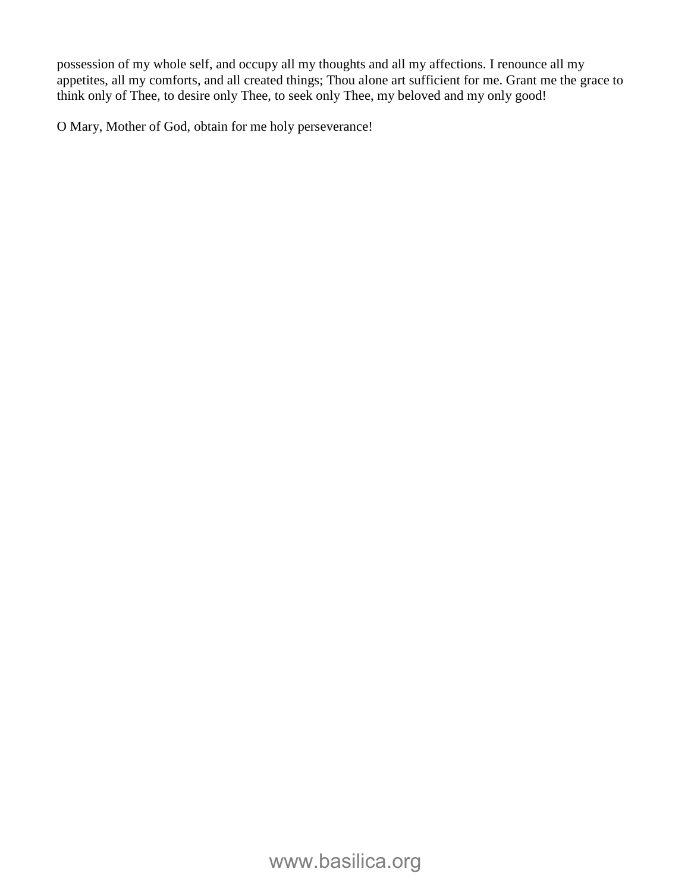possession of my whole self, and occupy all my thoughts and all my affections. I renounce all my appetites, all my comforts, and all created things; Thou alone art sufficient for me. Grant me the grace to think only of Thee, to desire only Thee, to seek only Thee, my beloved and my only good!

O Mary, Mother of God, obtain for me holy perseverance!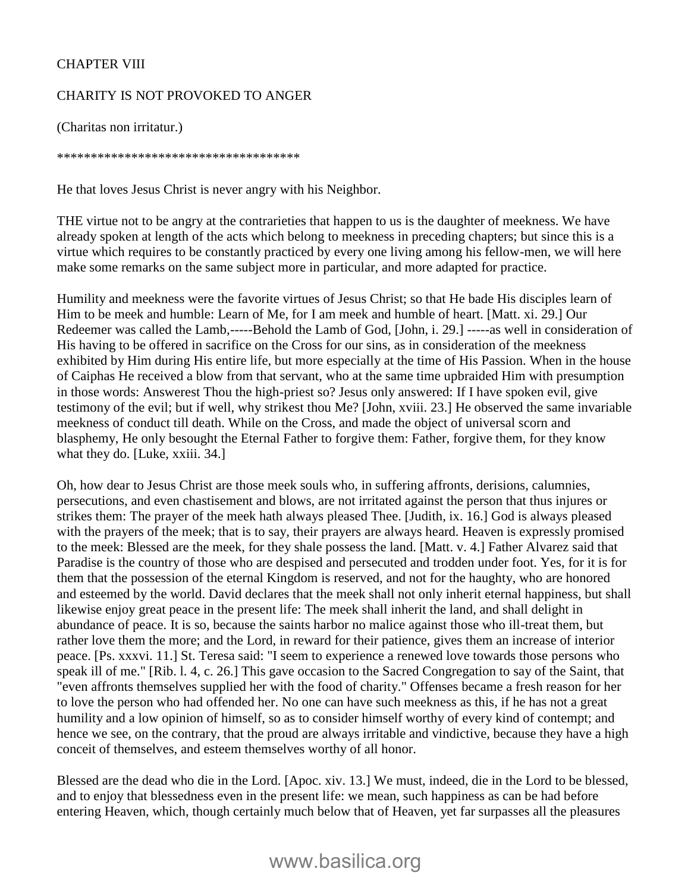#### CHAPTER VIII

#### CHARITY IS NOT PROVOKED TO ANGER

(Charitas non irritatur.)

\*\*\*\*\*\*\*\*\*\*\*\*\*\*\*\*\*\*\*\*\*\*\*\*\*\*\*\*\*\*\*\*\*\*\*\*

He that loves Jesus Christ is never angry with his Neighbor.

THE virtue not to be angry at the contrarieties that happen to us is the daughter of meekness. We have already spoken at length of the acts which belong to meekness in preceding chapters; but since this is a virtue which requires to be constantly practiced by every one living among his fellow-men, we will here make some remarks on the same subject more in particular, and more adapted for practice.

Humility and meekness were the favorite virtues of Jesus Christ; so that He bade His disciples learn of Him to be meek and humble: Learn of Me, for I am meek and humble of heart. [Matt. xi. 29.] Our Redeemer was called the Lamb,-----Behold the Lamb of God, [John, i. 29.] -----as well in consideration of His having to be offered in sacrifice on the Cross for our sins, as in consideration of the meekness exhibited by Him during His entire life, but more especially at the time of His Passion. When in the house of Caiphas He received a blow from that servant, who at the same time upbraided Him with presumption in those words: Answerest Thou the high-priest so? Jesus only answered: If I have spoken evil, give testimony of the evil; but if well, why strikest thou Me? [John, xviii. 23.] He observed the same invariable meekness of conduct till death. While on the Cross, and made the object of universal scorn and blasphemy, He only besought the Eternal Father to forgive them: Father, forgive them, for they know what they do. [Luke, xxiii. 34.]

Oh, how dear to Jesus Christ are those meek souls who, in suffering affronts, derisions, calumnies, persecutions, and even chastisement and blows, are not irritated against the person that thus injures or strikes them: The prayer of the meek hath always pleased Thee. [Judith, ix. 16.] God is always pleased with the prayers of the meek; that is to say, their prayers are always heard. Heaven is expressly promised to the meek: Blessed are the meek, for they shale possess the land. [Matt. v. 4.] Father Alvarez said that Paradise is the country of those who are despised and persecuted and trodden under foot. Yes, for it is for them that the possession of the eternal Kingdom is reserved, and not for the haughty, who are honored and esteemed by the world. David declares that the meek shall not only inherit eternal happiness, but shall likewise enjoy great peace in the present life: The meek shall inherit the land, and shall delight in abundance of peace. It is so, because the saints harbor no malice against those who ill-treat them, but rather love them the more; and the Lord, in reward for their patience, gives them an increase of interior peace. [Ps. xxxvi. 11.] St. Teresa said: "I seem to experience a renewed love towards those persons who speak ill of me." [Rib. l. 4, c. 26.] This gave occasion to the Sacred Congregation to say of the Saint, that "even affronts themselves supplied her with the food of charity." Offenses became a fresh reason for her to love the person who had offended her. No one can have such meekness as this, if he has not a great humility and a low opinion of himself, so as to consider himself worthy of every kind of contempt; and hence we see, on the contrary, that the proud are always irritable and vindictive, because they have a high conceit of themselves, and esteem themselves worthy of all honor.

Blessed are the dead who die in the Lord. [Apoc. xiv. 13.] We must, indeed, die in the Lord to be blessed, and to enjoy that blessedness even in the present life: we mean, such happiness as can be had before entering Heaven, which, though certainly much below that of Heaven, yet far surpasses all the pleasures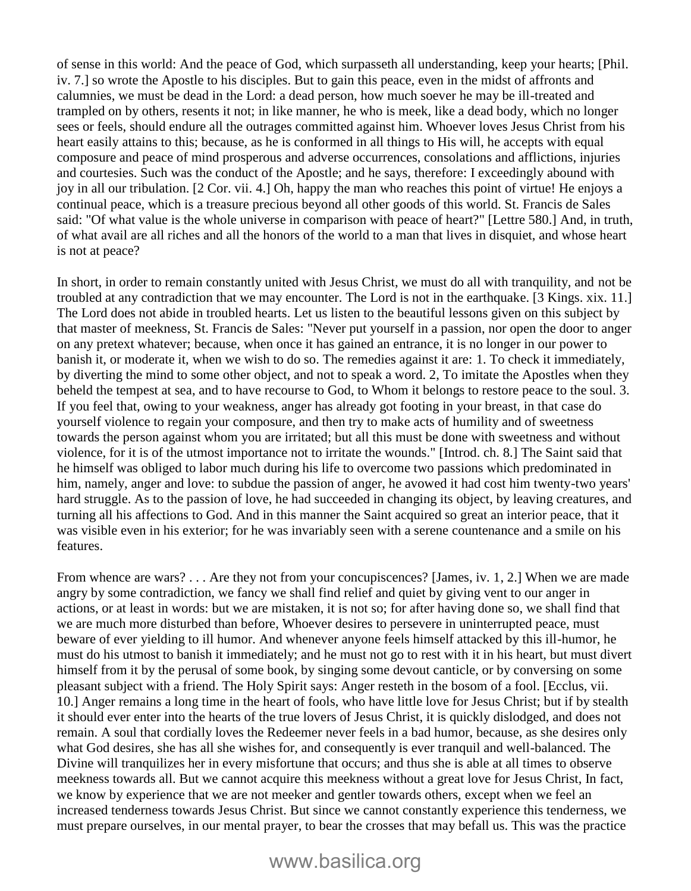of sense in this world: And the peace of God, which surpasseth all understanding, keep your hearts; [Phil. iv. 7.] so wrote the Apostle to his disciples. But to gain this peace, even in the midst of affronts and calumnies, we must be dead in the Lord: a dead person, how much soever he may be ill-treated and trampled on by others, resents it not; in like manner, he who is meek, like a dead body, which no longer sees or feels, should endure all the outrages committed against him. Whoever loves Jesus Christ from his heart easily attains to this; because, as he is conformed in all things to His will, he accepts with equal composure and peace of mind prosperous and adverse occurrences, consolations and afflictions, injuries and courtesies. Such was the conduct of the Apostle; and he says, therefore: I exceedingly abound with joy in all our tribulation. [2 Cor. vii. 4.] Oh, happy the man who reaches this point of virtue! He enjoys a continual peace, which is a treasure precious beyond all other goods of this world. St. Francis de Sales said: "Of what value is the whole universe in comparison with peace of heart?" [Lettre 580.] And, in truth, of what avail are all riches and all the honors of the world to a man that lives in disquiet, and whose heart is not at peace?

In short, in order to remain constantly united with Jesus Christ, we must do all with tranquility, and not be troubled at any contradiction that we may encounter. The Lord is not in the earthquake. [3 Kings. xix. 11.] The Lord does not abide in troubled hearts. Let us listen to the beautiful lessons given on this subject by that master of meekness, St. Francis de Sales: "Never put yourself in a passion, nor open the door to anger on any pretext whatever; because, when once it has gained an entrance, it is no longer in our power to banish it, or moderate it, when we wish to do so. The remedies against it are: 1. To check it immediately, by diverting the mind to some other object, and not to speak a word. 2, To imitate the Apostles when they beheld the tempest at sea, and to have recourse to God, to Whom it belongs to restore peace to the soul. 3. If you feel that, owing to your weakness, anger has already got footing in your breast, in that case do yourself violence to regain your composure, and then try to make acts of humility and of sweetness towards the person against whom you are irritated; but all this must be done with sweetness and without violence, for it is of the utmost importance not to irritate the wounds." [Introd. ch. 8.] The Saint said that he himself was obliged to labor much during his life to overcome two passions which predominated in him, namely, anger and love: to subdue the passion of anger, he avowed it had cost him twenty-two years' hard struggle. As to the passion of love, he had succeeded in changing its object, by leaving creatures, and turning all his affections to God. And in this manner the Saint acquired so great an interior peace, that it was visible even in his exterior; for he was invariably seen with a serene countenance and a smile on his features.

From whence are wars? . . . Are they not from your concupiscences? [James, iv. 1, 2.] When we are made angry by some contradiction, we fancy we shall find relief and quiet by giving vent to our anger in actions, or at least in words: but we are mistaken, it is not so; for after having done so, we shall find that we are much more disturbed than before, Whoever desires to persevere in uninterrupted peace, must beware of ever yielding to ill humor. And whenever anyone feels himself attacked by this ill-humor, he must do his utmost to banish it immediately; and he must not go to rest with it in his heart, but must divert himself from it by the perusal of some book, by singing some devout canticle, or by conversing on some pleasant subject with a friend. The Holy Spirit says: Anger resteth in the bosom of a fool. [Ecclus, vii. 10.] Anger remains a long time in the heart of fools, who have little love for Jesus Christ; but if by stealth it should ever enter into the hearts of the true lovers of Jesus Christ, it is quickly dislodged, and does not remain. A soul that cordially loves the Redeemer never feels in a bad humor, because, as she desires only what God desires, she has all she wishes for, and consequently is ever tranquil and well-balanced. The Divine will tranquilizes her in every misfortune that occurs; and thus she is able at all times to observe meekness towards all. But we cannot acquire this meekness without a great love for Jesus Christ, In fact, we know by experience that we are not meeker and gentler towards others, except when we feel an increased tenderness towards Jesus Christ. But since we cannot constantly experience this tenderness, we must prepare ourselves, in our mental prayer, to bear the crosses that may befall us. This was the practice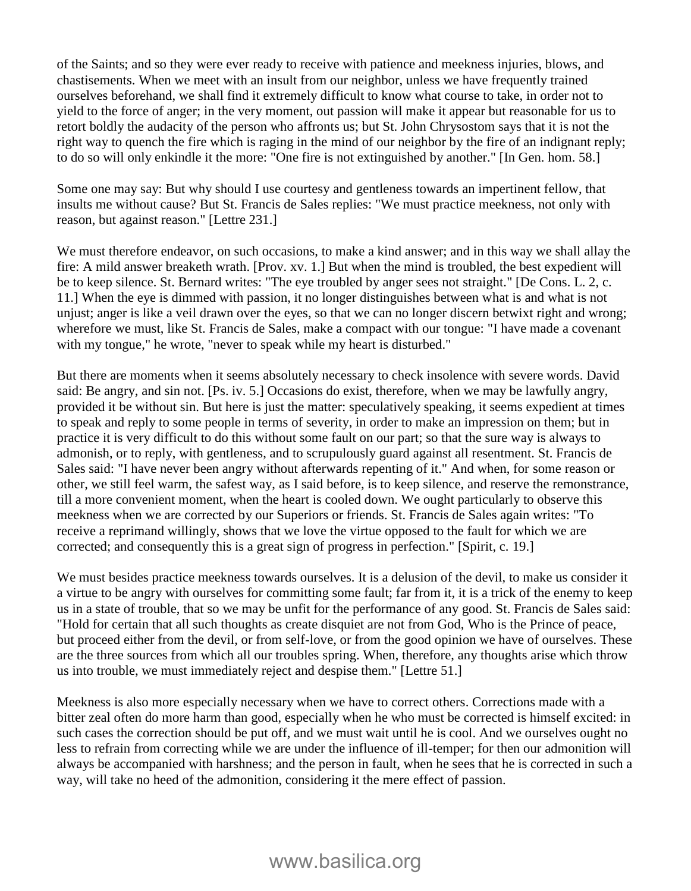of the Saints; and so they were ever ready to receive with patience and meekness injuries, blows, and chastisements. When we meet with an insult from our neighbor, unless we have frequently trained ourselves beforehand, we shall find it extremely difficult to know what course to take, in order not to yield to the force of anger; in the very moment, out passion will make it appear but reasonable for us to retort boldly the audacity of the person who affronts us; but St. John Chrysostom says that it is not the right way to quench the fire which is raging in the mind of our neighbor by the fire of an indignant reply; to do so will only enkindle it the more: "One fire is not extinguished by another." [In Gen. hom. 58.]

Some one may say: But why should I use courtesy and gentleness towards an impertinent fellow, that insults me without cause? But St. Francis de Sales replies: "We must practice meekness, not only with reason, but against reason." [Lettre 231.]

We must therefore endeavor, on such occasions, to make a kind answer; and in this way we shall allay the fire: A mild answer breaketh wrath. [Prov. xv. 1.] But when the mind is troubled, the best expedient will be to keep silence. St. Bernard writes: "The eye troubled by anger sees not straight." [De Cons. L. 2, c. 11.] When the eye is dimmed with passion, it no longer distinguishes between what is and what is not unjust; anger is like a veil drawn over the eyes, so that we can no longer discern betwixt right and wrong; wherefore we must, like St. Francis de Sales, make a compact with our tongue: "I have made a covenant with my tongue," he wrote, "never to speak while my heart is disturbed."

But there are moments when it seems absolutely necessary to check insolence with severe words. David said: Be angry, and sin not. [Ps. iv. 5.] Occasions do exist, therefore, when we may be lawfully angry, provided it be without sin. But here is just the matter: speculatively speaking, it seems expedient at times to speak and reply to some people in terms of severity, in order to make an impression on them; but in practice it is very difficult to do this without some fault on our part; so that the sure way is always to admonish, or to reply, with gentleness, and to scrupulously guard against all resentment. St. Francis de Sales said: "I have never been angry without afterwards repenting of it." And when, for some reason or other, we still feel warm, the safest way, as I said before, is to keep silence, and reserve the remonstrance, till a more convenient moment, when the heart is cooled down. We ought particularly to observe this meekness when we are corrected by our Superiors or friends. St. Francis de Sales again writes: "To receive a reprimand willingly, shows that we love the virtue opposed to the fault for which we are corrected; and consequently this is a great sign of progress in perfection." [Spirit, c. 19.]

We must besides practice meekness towards ourselves. It is a delusion of the devil, to make us consider it a virtue to be angry with ourselves for committing some fault; far from it, it is a trick of the enemy to keep us in a state of trouble, that so we may be unfit for the performance of any good. St. Francis de Sales said: "Hold for certain that all such thoughts as create disquiet are not from God, Who is the Prince of peace, but proceed either from the devil, or from self-love, or from the good opinion we have of ourselves. These are the three sources from which all our troubles spring. When, therefore, any thoughts arise which throw us into trouble, we must immediately reject and despise them." [Lettre 51.]

Meekness is also more especially necessary when we have to correct others. Corrections made with a bitter zeal often do more harm than good, especially when he who must be corrected is himself excited: in such cases the correction should be put off, and we must wait until he is cool. And we ourselves ought no less to refrain from correcting while we are under the influence of ill-temper; for then our admonition will always be accompanied with harshness; and the person in fault, when he sees that he is corrected in such a way, will take no heed of the admonition, considering it the mere effect of passion.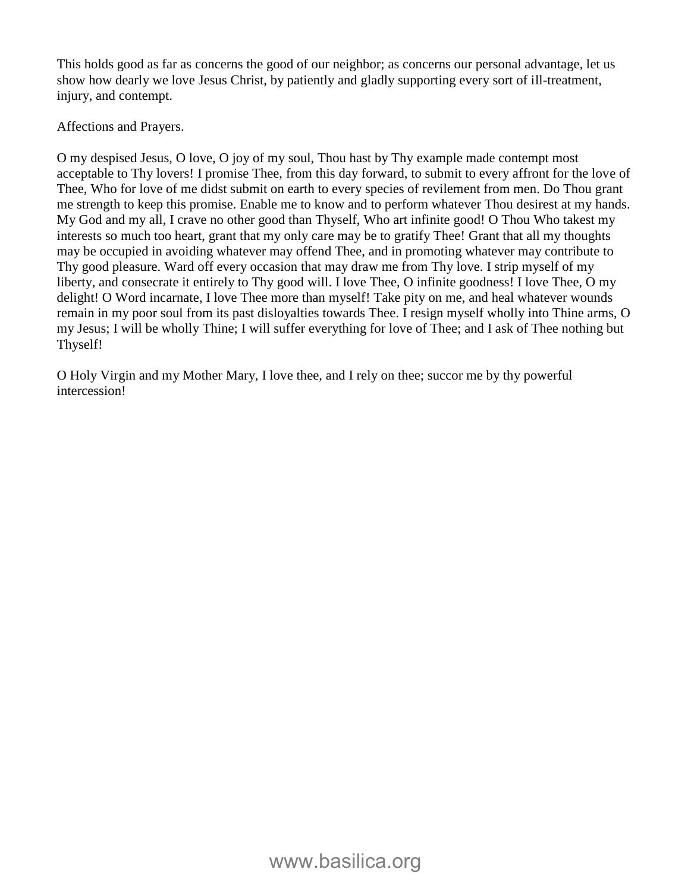This holds good as far as concerns the good of our neighbor; as concerns our personal advantage, let us show how dearly we love Jesus Christ, by patiently and gladly supporting every sort of ill-treatment, injury, and contempt.

Affections and Prayers.

O my despised Jesus, O love, O joy of my soul, Thou hast by Thy example made contempt most acceptable to Thy lovers! I promise Thee, from this day forward, to submit to every affront for the love of Thee, Who for love of me didst submit on earth to every species of revilement from men. Do Thou grant me strength to keep this promise. Enable me to know and to perform whatever Thou desirest at my hands. My God and my all, I crave no other good than Thyself, Who art infinite good! O Thou Who takest my interests so much too heart, grant that my only care may be to gratify Thee! Grant that all my thoughts may be occupied in avoiding whatever may offend Thee, and in promoting whatever may contribute to Thy good pleasure. Ward off every occasion that may draw me from Thy love. I strip myself of my liberty, and consecrate it entirely to Thy good will. I love Thee, O infinite goodness! I love Thee, O my delight! O Word incarnate, I love Thee more than myself! Take pity on me, and heal whatever wounds remain in my poor soul from its past disloyalties towards Thee. I resign myself wholly into Thine arms, O my Jesus; I will be wholly Thine; I will suffer everything for love of Thee; and I ask of Thee nothing but Thyself!

O Holy Virgin and my Mother Mary, I love thee, and I rely on thee; succor me by thy powerful intercession!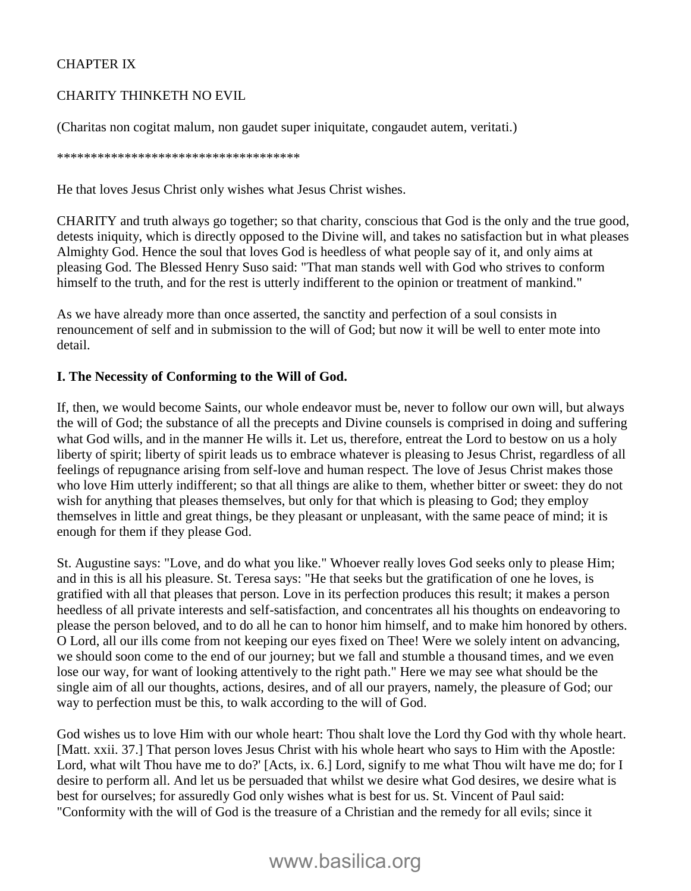### CHAPTER IX

#### CHARITY THINKETH NO EVIL

(Charitas non cogitat malum, non gaudet super iniquitate, congaudet autem, veritati.)

\*\*\*\*\*\*\*\*\*\*\*\*\*\*\*\*\*\*\*\*\*\*\*\*\*\*\*\*\*\*\*\*\*\*\*\*

He that loves Jesus Christ only wishes what Jesus Christ wishes.

CHARITY and truth always go together; so that charity, conscious that God is the only and the true good, detests iniquity, which is directly opposed to the Divine will, and takes no satisfaction but in what pleases Almighty God. Hence the soul that loves God is heedless of what people say of it, and only aims at pleasing God. The Blessed Henry Suso said: "That man stands well with God who strives to conform himself to the truth, and for the rest is utterly indifferent to the opinion or treatment of mankind."

As we have already more than once asserted, the sanctity and perfection of a soul consists in renouncement of self and in submission to the will of God; but now it will be well to enter mote into detail.

#### **I. The Necessity of Conforming to the Will of God.**

If, then, we would become Saints, our whole endeavor must be, never to follow our own will, but always the will of God; the substance of all the precepts and Divine counsels is comprised in doing and suffering what God wills, and in the manner He wills it. Let us, therefore, entreat the Lord to bestow on us a holy liberty of spirit; liberty of spirit leads us to embrace whatever is pleasing to Jesus Christ, regardless of all feelings of repugnance arising from self-love and human respect. The love of Jesus Christ makes those who love Him utterly indifferent; so that all things are alike to them, whether bitter or sweet: they do not wish for anything that pleases themselves, but only for that which is pleasing to God; they employ themselves in little and great things, be they pleasant or unpleasant, with the same peace of mind; it is enough for them if they please God.

St. Augustine says: "Love, and do what you like." Whoever really loves God seeks only to please Him; and in this is all his pleasure. St. Teresa says: "He that seeks but the gratification of one he loves, is gratified with all that pleases that person. Love in its perfection produces this result; it makes a person heedless of all private interests and self-satisfaction, and concentrates all his thoughts on endeavoring to please the person beloved, and to do all he can to honor him himself, and to make him honored by others. O Lord, all our ills come from not keeping our eyes fixed on Thee! Were we solely intent on advancing, we should soon come to the end of our journey; but we fall and stumble a thousand times, and we even lose our way, for want of looking attentively to the right path." Here we may see what should be the single aim of all our thoughts, actions, desires, and of all our prayers, namely, the pleasure of God; our way to perfection must be this, to walk according to the will of God.

God wishes us to love Him with our whole heart: Thou shalt love the Lord thy God with thy whole heart. [Matt. xxii. 37.] That person loves Jesus Christ with his whole heart who says to Him with the Apostle: Lord, what wilt Thou have me to do?' [Acts, ix. 6.] Lord, signify to me what Thou wilt have me do; for I desire to perform all. And let us be persuaded that whilst we desire what God desires, we desire what is best for ourselves; for assuredly God only wishes what is best for us. St. Vincent of Paul said: "Conformity with the will of God is the treasure of a Christian and the remedy for all evils; since it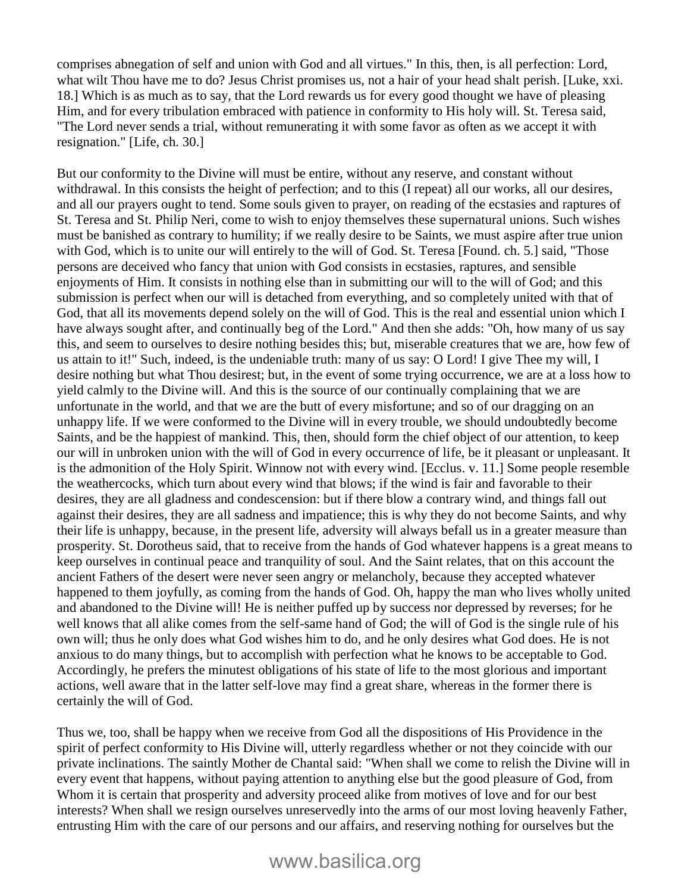comprises abnegation of self and union with God and all virtues." In this, then, is all perfection: Lord, what wilt Thou have me to do? Jesus Christ promises us, not a hair of your head shalt perish. [Luke, xxi.] 18.] Which is as much as to say, that the Lord rewards us for every good thought we have of pleasing Him, and for every tribulation embraced with patience in conformity to His holy will. St. Teresa said, "The Lord never sends a trial, without remunerating it with some favor as often as we accept it with resignation." [Life, ch. 30.]

But our conformity to the Divine will must be entire, without any reserve, and constant without withdrawal. In this consists the height of perfection; and to this (I repeat) all our works, all our desires, and all our prayers ought to tend. Some souls given to prayer, on reading of the ecstasies and raptures of St. Teresa and St. Philip Neri, come to wish to enjoy themselves these supernatural unions. Such wishes must be banished as contrary to humility; if we really desire to be Saints, we must aspire after true union with God, which is to unite our will entirely to the will of God. St. Teresa [Found. ch. 5.] said, "Those persons are deceived who fancy that union with God consists in ecstasies, raptures, and sensible enjoyments of Him. It consists in nothing else than in submitting our will to the will of God; and this submission is perfect when our will is detached from everything, and so completely united with that of God, that all its movements depend solely on the will of God. This is the real and essential union which I have always sought after, and continually beg of the Lord." And then she adds: "Oh, how many of us say this, and seem to ourselves to desire nothing besides this; but, miserable creatures that we are, how few of us attain to it!" Such, indeed, is the undeniable truth: many of us say: O Lord! I give Thee my will, I desire nothing but what Thou desirest; but, in the event of some trying occurrence, we are at a loss how to yield calmly to the Divine will. And this is the source of our continually complaining that we are unfortunate in the world, and that we are the butt of every misfortune; and so of our dragging on an unhappy life. If we were conformed to the Divine will in every trouble, we should undoubtedly become Saints, and be the happiest of mankind. This, then, should form the chief object of our attention, to keep our will in unbroken union with the will of God in every occurrence of life, be it pleasant or unpleasant. It is the admonition of the Holy Spirit. Winnow not with every wind. [Ecclus. v. 11.] Some people resemble the weathercocks, which turn about every wind that blows; if the wind is fair and favorable to their desires, they are all gladness and condescension: but if there blow a contrary wind, and things fall out against their desires, they are all sadness and impatience; this is why they do not become Saints, and why their life is unhappy, because, in the present life, adversity will always befall us in a greater measure than prosperity. St. Dorotheus said, that to receive from the hands of God whatever happens is a great means to keep ourselves in continual peace and tranquility of soul. And the Saint relates, that on this account the ancient Fathers of the desert were never seen angry or melancholy, because they accepted whatever happened to them joyfully, as coming from the hands of God. Oh, happy the man who lives wholly united and abandoned to the Divine will! He is neither puffed up by success nor depressed by reverses; for he well knows that all alike comes from the self-same hand of God; the will of God is the single rule of his own will; thus he only does what God wishes him to do, and he only desires what God does. He is not anxious to do many things, but to accomplish with perfection what he knows to be acceptable to God. Accordingly, he prefers the minutest obligations of his state of life to the most glorious and important actions, well aware that in the latter self-love may find a great share, whereas in the former there is certainly the will of God.

Thus we, too, shall be happy when we receive from God all the dispositions of His Providence in the spirit of perfect conformity to His Divine will, utterly regardless whether or not they coincide with our private inclinations. The saintly Mother de Chantal said: "When shall we come to relish the Divine will in every event that happens, without paying attention to anything else but the good pleasure of God, from Whom it is certain that prosperity and adversity proceed alike from motives of love and for our best interests? When shall we resign ourselves unreservedly into the arms of our most loving heavenly Father, entrusting Him with the care of our persons and our affairs, and reserving nothing for ourselves but the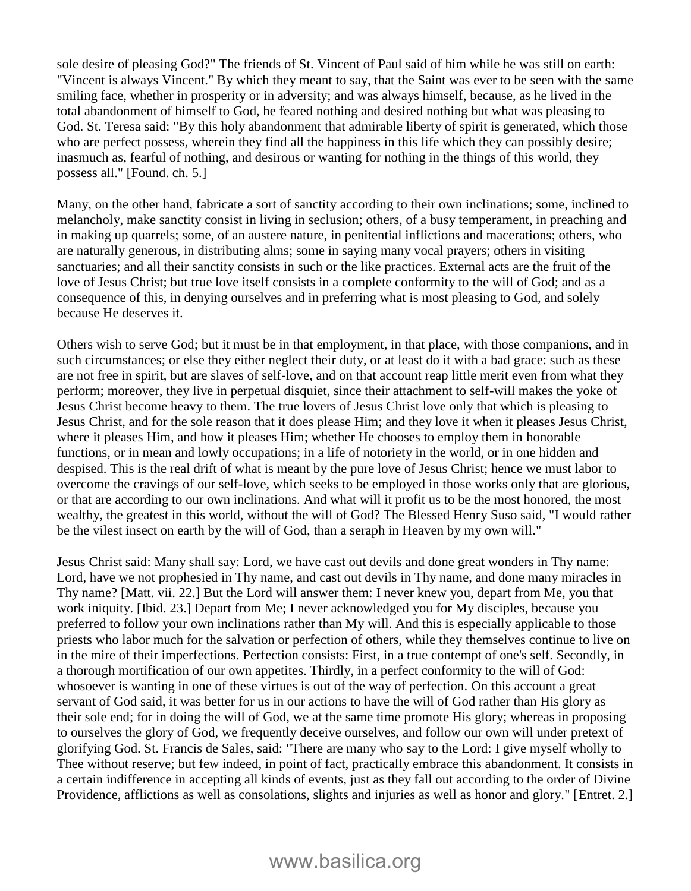sole desire of pleasing God?" The friends of St. Vincent of Paul said of him while he was still on earth: "Vincent is always Vincent." By which they meant to say, that the Saint was ever to be seen with the same smiling face, whether in prosperity or in adversity; and was always himself, because, as he lived in the total abandonment of himself to God, he feared nothing and desired nothing but what was pleasing to God. St. Teresa said: "By this holy abandonment that admirable liberty of spirit is generated, which those who are perfect possess, wherein they find all the happiness in this life which they can possibly desire; inasmuch as, fearful of nothing, and desirous or wanting for nothing in the things of this world, they possess all." [Found. ch. 5.]

Many, on the other hand, fabricate a sort of sanctity according to their own inclinations; some, inclined to melancholy, make sanctity consist in living in seclusion; others, of a busy temperament, in preaching and in making up quarrels; some, of an austere nature, in penitential inflictions and macerations; others, who are naturally generous, in distributing alms; some in saying many vocal prayers; others in visiting sanctuaries; and all their sanctity consists in such or the like practices. External acts are the fruit of the love of Jesus Christ; but true love itself consists in a complete conformity to the will of God; and as a consequence of this, in denying ourselves and in preferring what is most pleasing to God, and solely because He deserves it.

Others wish to serve God; but it must be in that employment, in that place, with those companions, and in such circumstances; or else they either neglect their duty, or at least do it with a bad grace: such as these are not free in spirit, but are slaves of self-love, and on that account reap little merit even from what they perform; moreover, they live in perpetual disquiet, since their attachment to self-will makes the yoke of Jesus Christ become heavy to them. The true lovers of Jesus Christ love only that which is pleasing to Jesus Christ, and for the sole reason that it does please Him; and they love it when it pleases Jesus Christ, where it pleases Him, and how it pleases Him; whether He chooses to employ them in honorable functions, or in mean and lowly occupations; in a life of notoriety in the world, or in one hidden and despised. This is the real drift of what is meant by the pure love of Jesus Christ; hence we must labor to overcome the cravings of our self-love, which seeks to be employed in those works only that are glorious, or that are according to our own inclinations. And what will it profit us to be the most honored, the most wealthy, the greatest in this world, without the will of God? The Blessed Henry Suso said, "I would rather be the vilest insect on earth by the will of God, than a seraph in Heaven by my own will."

Jesus Christ said: Many shall say: Lord, we have cast out devils and done great wonders in Thy name: Lord, have we not prophesied in Thy name, and cast out devils in Thy name, and done many miracles in Thy name? [Matt. vii. 22.] But the Lord will answer them: I never knew you, depart from Me, you that work iniquity. [Ibid. 23.] Depart from Me; I never acknowledged you for My disciples, because you preferred to follow your own inclinations rather than My will. And this is especially applicable to those priests who labor much for the salvation or perfection of others, while they themselves continue to live on in the mire of their imperfections. Perfection consists: First, in a true contempt of one's self. Secondly, in a thorough mortification of our own appetites. Thirdly, in a perfect conformity to the will of God: whosoever is wanting in one of these virtues is out of the way of perfection. On this account a great servant of God said, it was better for us in our actions to have the will of God rather than His glory as their sole end; for in doing the will of God, we at the same time promote His glory; whereas in proposing to ourselves the glory of God, we frequently deceive ourselves, and follow our own will under pretext of glorifying God. St. Francis de Sales, said: "There are many who say to the Lord: I give myself wholly to Thee without reserve; but few indeed, in point of fact, practically embrace this abandonment. It consists in a certain indifference in accepting all kinds of events, just as they fall out according to the order of Divine Providence, afflictions as well as consolations, slights and injuries as well as honor and glory." [Entret. 2.]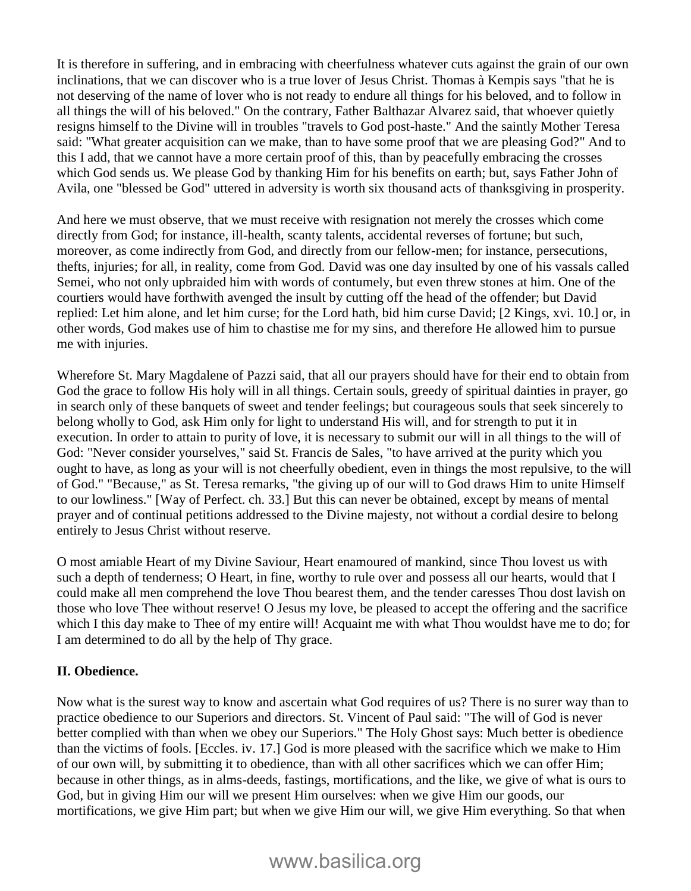It is therefore in suffering, and in embracing with cheerfulness whatever cuts against the grain of our own inclinations, that we can discover who is a true lover of Jesus Christ. Thomas à Kempis says "that he is not deserving of the name of lover who is not ready to endure all things for his beloved, and to follow in all things the will of his beloved." On the contrary, Father Balthazar Alvarez said, that whoever quietly resigns himself to the Divine will in troubles "travels to God post-haste." And the saintly Mother Teresa said: "What greater acquisition can we make, than to have some proof that we are pleasing God?" And to this I add, that we cannot have a more certain proof of this, than by peacefully embracing the crosses which God sends us. We please God by thanking Him for his benefits on earth; but, says Father John of Avila, one "blessed be God" uttered in adversity is worth six thousand acts of thanksgiving in prosperity.

And here we must observe, that we must receive with resignation not merely the crosses which come directly from God; for instance, ill-health, scanty talents, accidental reverses of fortune; but such, moreover, as come indirectly from God, and directly from our fellow-men; for instance, persecutions, thefts, injuries; for all, in reality, come from God. David was one day insulted by one of his vassals called Semei, who not only upbraided him with words of contumely, but even threw stones at him. One of the courtiers would have forthwith avenged the insult by cutting off the head of the offender; but David replied: Let him alone, and let him curse; for the Lord hath, bid him curse David; [2 Kings, xvi. 10.] or, in other words, God makes use of him to chastise me for my sins, and therefore He allowed him to pursue me with injuries.

Wherefore St. Mary Magdalene of Pazzi said, that all our prayers should have for their end to obtain from God the grace to follow His holy will in all things. Certain souls, greedy of spiritual dainties in prayer, go in search only of these banquets of sweet and tender feelings; but courageous souls that seek sincerely to belong wholly to God, ask Him only for light to understand His will, and for strength to put it in execution. In order to attain to purity of love, it is necessary to submit our will in all things to the will of God: "Never consider yourselves," said St. Francis de Sales, "to have arrived at the purity which you ought to have, as long as your will is not cheerfully obedient, even in things the most repulsive, to the will of God." "Because," as St. Teresa remarks, "the giving up of our will to God draws Him to unite Himself to our lowliness." [Way of Perfect. ch. 33.] But this can never be obtained, except by means of mental prayer and of continual petitions addressed to the Divine majesty, not without a cordial desire to belong entirely to Jesus Christ without reserve.

O most amiable Heart of my Divine Saviour, Heart enamoured of mankind, since Thou lovest us with such a depth of tenderness; O Heart, in fine, worthy to rule over and possess all our hearts, would that I could make all men comprehend the love Thou bearest them, and the tender caresses Thou dost lavish on those who love Thee without reserve! O Jesus my love, be pleased to accept the offering and the sacrifice which I this day make to Thee of my entire will! Acquaint me with what Thou wouldst have me to do; for I am determined to do all by the help of Thy grace.

#### **II. Obedience.**

Now what is the surest way to know and ascertain what God requires of us? There is no surer way than to practice obedience to our Superiors and directors. St. Vincent of Paul said: "The will of God is never better complied with than when we obey our Superiors." The Holy Ghost says: Much better is obedience than the victims of fools. [Eccles. iv. 17.] God is more pleased with the sacrifice which we make to Him of our own will, by submitting it to obedience, than with all other sacrifices which we can offer Him; because in other things, as in alms-deeds, fastings, mortifications, and the like, we give of what is ours to God, but in giving Him our will we present Him ourselves: when we give Him our goods, our mortifications, we give Him part; but when we give Him our will, we give Him everything. So that when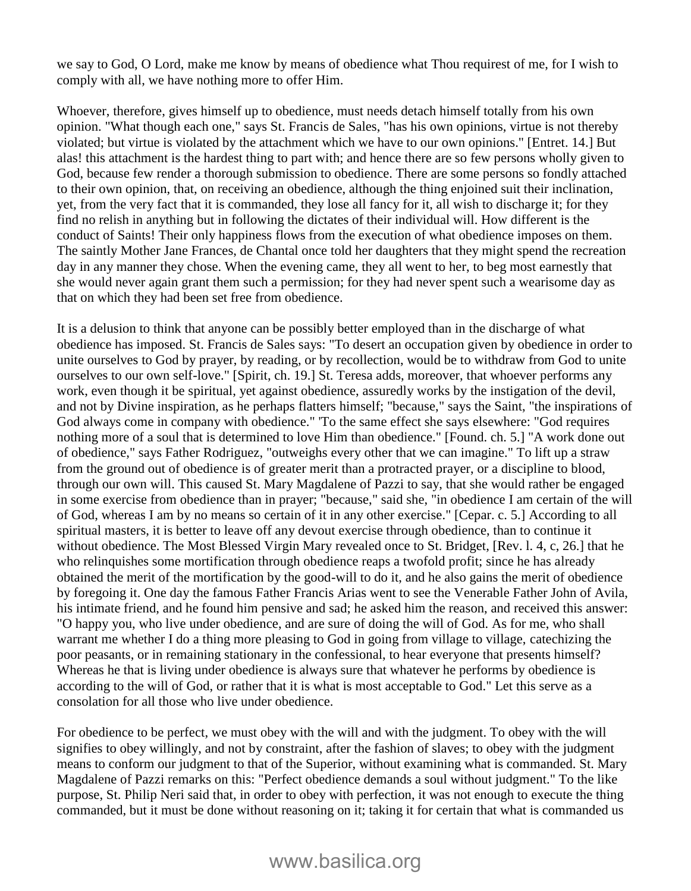we say to God, O Lord, make me know by means of obedience what Thou requirest of me, for I wish to comply with all, we have nothing more to offer Him.

Whoever, therefore, gives himself up to obedience, must needs detach himself totally from his own opinion. "What though each one," says St. Francis de Sales, "has his own opinions, virtue is not thereby violated; but virtue is violated by the attachment which we have to our own opinions." [Entret. 14.] But alas! this attachment is the hardest thing to part with; and hence there are so few persons wholly given to God, because few render a thorough submission to obedience. There are some persons so fondly attached to their own opinion, that, on receiving an obedience, although the thing enjoined suit their inclination, yet, from the very fact that it is commanded, they lose all fancy for it, all wish to discharge it; for they find no relish in anything but in following the dictates of their individual will. How different is the conduct of Saints! Their only happiness flows from the execution of what obedience imposes on them. The saintly Mother Jane Frances, de Chantal once told her daughters that they might spend the recreation day in any manner they chose. When the evening came, they all went to her, to beg most earnestly that she would never again grant them such a permission; for they had never spent such a wearisome day as that on which they had been set free from obedience.

It is a delusion to think that anyone can be possibly better employed than in the discharge of what obedience has imposed. St. Francis de Sales says: "To desert an occupation given by obedience in order to unite ourselves to God by prayer, by reading, or by recollection, would be to withdraw from God to unite ourselves to our own self-love." [Spirit, ch. 19.] St. Teresa adds, moreover, that whoever performs any work, even though it be spiritual, yet against obedience, assuredly works by the instigation of the devil, and not by Divine inspiration, as he perhaps flatters himself; "because," says the Saint, "the inspirations of God always come in company with obedience." 'To the same effect she says elsewhere: "God requires nothing more of a soul that is determined to love Him than obedience." [Found. ch. 5.] "A work done out of obedience," says Father Rodriguez, "outweighs every other that we can imagine." To lift up a straw from the ground out of obedience is of greater merit than a protracted prayer, or a discipline to blood, through our own will. This caused St. Mary Magdalene of Pazzi to say, that she would rather be engaged in some exercise from obedience than in prayer; "because," said she, "in obedience I am certain of the will of God, whereas I am by no means so certain of it in any other exercise." [Cepar. c. 5.] According to all spiritual masters, it is better to leave off any devout exercise through obedience, than to continue it without obedience. The Most Blessed Virgin Mary revealed once to St. Bridget, [Rev. l. 4, c, 26.] that he who relinquishes some mortification through obedience reaps a twofold profit; since he has already obtained the merit of the mortification by the good-will to do it, and he also gains the merit of obedience by foregoing it. One day the famous Father Francis Arias went to see the Venerable Father John of Avila, his intimate friend, and he found him pensive and sad; he asked him the reason, and received this answer: "O happy you, who live under obedience, and are sure of doing the will of God. As for me, who shall warrant me whether I do a thing more pleasing to God in going from village to village, catechizing the poor peasants, or in remaining stationary in the confessional, to hear everyone that presents himself? Whereas he that is living under obedience is always sure that whatever he performs by obedience is according to the will of God, or rather that it is what is most acceptable to God." Let this serve as a consolation for all those who live under obedience.

For obedience to be perfect, we must obey with the will and with the judgment. To obey with the will signifies to obey willingly, and not by constraint, after the fashion of slaves; to obey with the judgment means to conform our judgment to that of the Superior, without examining what is commanded. St. Mary Magdalene of Pazzi remarks on this: "Perfect obedience demands a soul without judgment." To the like purpose, St. Philip Neri said that, in order to obey with perfection, it was not enough to execute the thing commanded, but it must be done without reasoning on it; taking it for certain that what is commanded us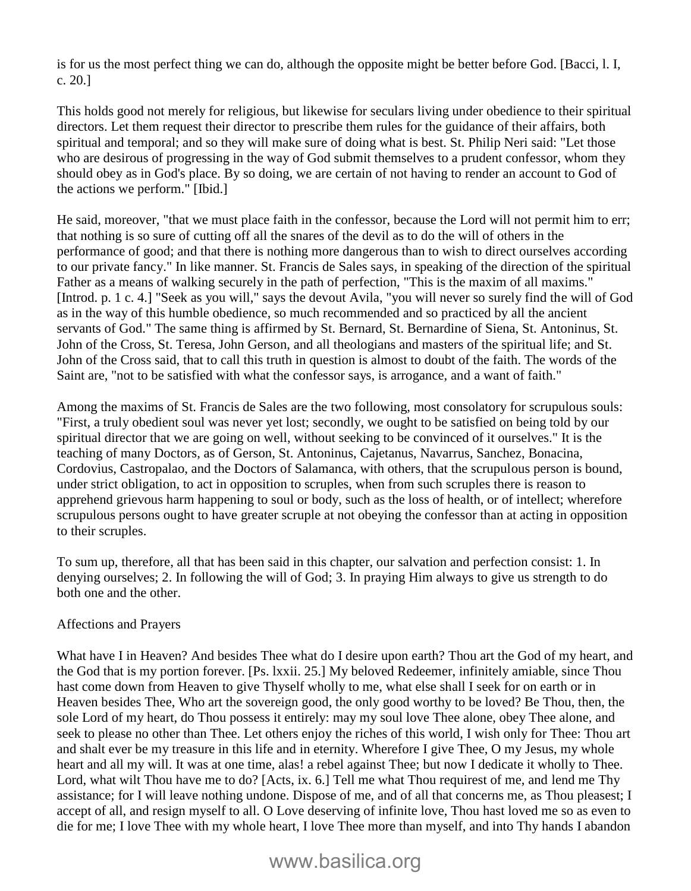is for us the most perfect thing we can do, although the opposite might be better before God. [Bacci, l. I, c. 20.]

This holds good not merely for religious, but likewise for seculars living under obedience to their spiritual directors. Let them request their director to prescribe them rules for the guidance of their affairs, both spiritual and temporal; and so they will make sure of doing what is best. St. Philip Neri said: "Let those who are desirous of progressing in the way of God submit themselves to a prudent confessor, whom they should obey as in God's place. By so doing, we are certain of not having to render an account to God of the actions we perform." [Ibid.]

He said, moreover, "that we must place faith in the confessor, because the Lord will not permit him to err; that nothing is so sure of cutting off all the snares of the devil as to do the will of others in the performance of good; and that there is nothing more dangerous than to wish to direct ourselves according to our private fancy." In like manner. St. Francis de Sales says, in speaking of the direction of the spiritual Father as a means of walking securely in the path of perfection, "This is the maxim of all maxims." [Introd. p. 1 c. 4.] "Seek as you will," says the devout Avila, "you will never so surely find the will of God as in the way of this humble obedience, so much recommended and so practiced by all the ancient servants of God." The same thing is affirmed by St. Bernard, St. Bernardine of Siena, St. Antoninus, St. John of the Cross, St. Teresa, John Gerson, and all theologians and masters of the spiritual life; and St. John of the Cross said, that to call this truth in question is almost to doubt of the faith. The words of the Saint are, "not to be satisfied with what the confessor says, is arrogance, and a want of faith."

Among the maxims of St. Francis de Sales are the two following, most consolatory for scrupulous souls: "First, a truly obedient soul was never yet lost; secondly, we ought to be satisfied on being told by our spiritual director that we are going on well, without seeking to be convinced of it ourselves." It is the teaching of many Doctors, as of Gerson, St. Antoninus, Cajetanus, Navarrus, Sanchez, Bonacina, Cordovius, Castropalao, and the Doctors of Salamanca, with others, that the scrupulous person is bound, under strict obligation, to act in opposition to scruples, when from such scruples there is reason to apprehend grievous harm happening to soul or body, such as the loss of health, or of intellect; wherefore scrupulous persons ought to have greater scruple at not obeying the confessor than at acting in opposition to their scruples.

To sum up, therefore, all that has been said in this chapter, our salvation and perfection consist: 1. In denying ourselves; 2. In following the will of God; 3. In praying Him always to give us strength to do both one and the other.

#### Affections and Prayers

What have I in Heaven? And besides Thee what do I desire upon earth? Thou art the God of my heart, and the God that is my portion forever. [Ps. lxxii. 25.] My beloved Redeemer, infinitely amiable, since Thou hast come down from Heaven to give Thyself wholly to me, what else shall I seek for on earth or in Heaven besides Thee, Who art the sovereign good, the only good worthy to be loved? Be Thou, then, the sole Lord of my heart, do Thou possess it entirely: may my soul love Thee alone, obey Thee alone, and seek to please no other than Thee. Let others enjoy the riches of this world, I wish only for Thee: Thou art and shalt ever be my treasure in this life and in eternity. Wherefore I give Thee, O my Jesus, my whole heart and all my will. It was at one time, alas! a rebel against Thee; but now I dedicate it wholly to Thee. Lord, what wilt Thou have me to do? [Acts, ix. 6.] Tell me what Thou requirest of me, and lend me Thy assistance; for I will leave nothing undone. Dispose of me, and of all that concerns me, as Thou pleasest; I accept of all, and resign myself to all. O Love deserving of infinite love, Thou hast loved me so as even to die for me; I love Thee with my whole heart, I love Thee more than myself, and into Thy hands I abandon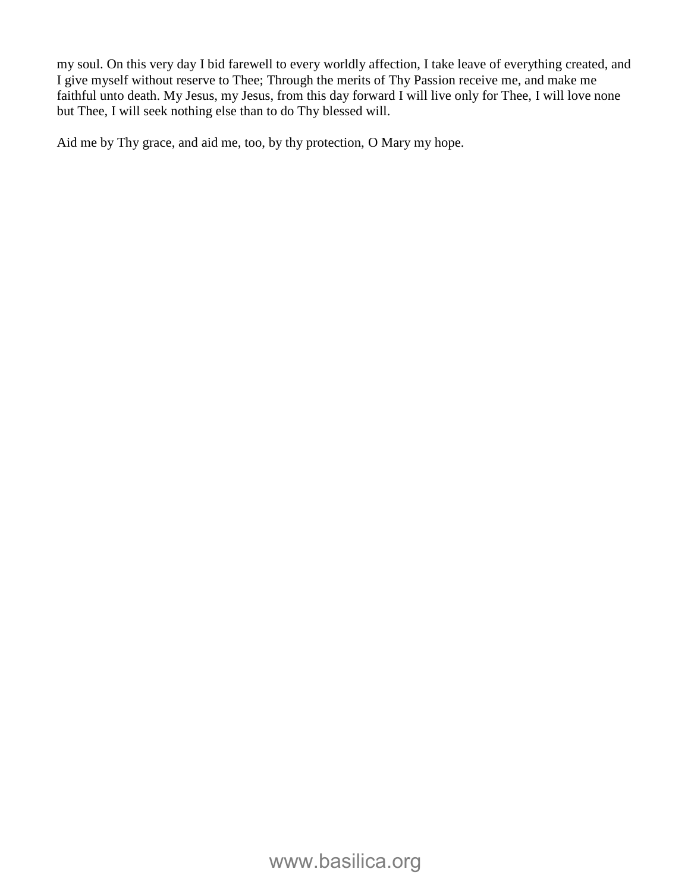my soul. On this very day I bid farewell to every worldly affection, I take leave of everything created, and I give myself without reserve to Thee; Through the merits of Thy Passion receive me, and make me faithful unto death. My Jesus, my Jesus, from this day forward I will live only for Thee, I will love none but Thee, I will seek nothing else than to do Thy blessed will.

Aid me by Thy grace, and aid me, too, by thy protection, O Mary my hope.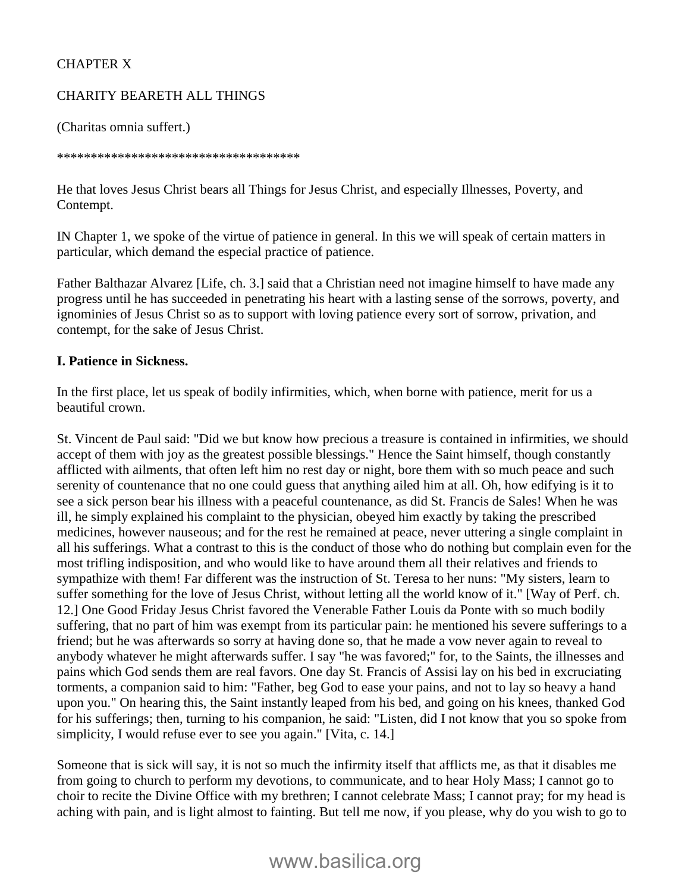### CHAPTER X

#### CHARITY BEARETH ALL THINGS

(Charitas omnia suffert.)

\*\*\*\*\*\*\*\*\*\*\*\*\*\*\*\*\*\*\*\*\*\*\*\*\*\*\*\*\*\*\*\*\*\*\*\*

He that loves Jesus Christ bears all Things for Jesus Christ, and especially Illnesses, Poverty, and Contempt.

IN Chapter 1, we spoke of the virtue of patience in general. In this we will speak of certain matters in particular, which demand the especial practice of patience.

Father Balthazar Alvarez [Life, ch. 3.] said that a Christian need not imagine himself to have made any progress until he has succeeded in penetrating his heart with a lasting sense of the sorrows, poverty, and ignominies of Jesus Christ so as to support with loving patience every sort of sorrow, privation, and contempt, for the sake of Jesus Christ.

#### **I. Patience in Sickness.**

In the first place, let us speak of bodily infirmities, which, when borne with patience, merit for us a beautiful crown.

St. Vincent de Paul said: "Did we but know how precious a treasure is contained in infirmities, we should accept of them with joy as the greatest possible blessings." Hence the Saint himself, though constantly afflicted with ailments, that often left him no rest day or night, bore them with so much peace and such serenity of countenance that no one could guess that anything ailed him at all. Oh, how edifying is it to see a sick person bear his illness with a peaceful countenance, as did St. Francis de Sales! When he was ill, he simply explained his complaint to the physician, obeyed him exactly by taking the prescribed medicines, however nauseous; and for the rest he remained at peace, never uttering a single complaint in all his sufferings. What a contrast to this is the conduct of those who do nothing but complain even for the most trifling indisposition, and who would like to have around them all their relatives and friends to sympathize with them! Far different was the instruction of St. Teresa to her nuns: "My sisters, learn to suffer something for the love of Jesus Christ, without letting all the world know of it." [Way of Perf. ch. 12.] One Good Friday Jesus Christ favored the Venerable Father Louis da Ponte with so much bodily suffering, that no part of him was exempt from its particular pain: he mentioned his severe sufferings to a friend; but he was afterwards so sorry at having done so, that he made a vow never again to reveal to anybody whatever he might afterwards suffer. I say "he was favored;" for, to the Saints, the illnesses and pains which God sends them are real favors. One day St. Francis of Assisi lay on his bed in excruciating torments, a companion said to him: "Father, beg God to ease your pains, and not to lay so heavy a hand upon you." On hearing this, the Saint instantly leaped from his bed, and going on his knees, thanked God for his sufferings; then, turning to his companion, he said: "Listen, did I not know that you so spoke from simplicity, I would refuse ever to see you again." [Vita, c. 14.]

Someone that is sick will say, it is not so much the infirmity itself that afflicts me, as that it disables me from going to church to perform my devotions, to communicate, and to hear Holy Mass; I cannot go to choir to recite the Divine Office with my brethren; I cannot celebrate Mass; I cannot pray; for my head is aching with pain, and is light almost to fainting. But tell me now, if you please, why do you wish to go to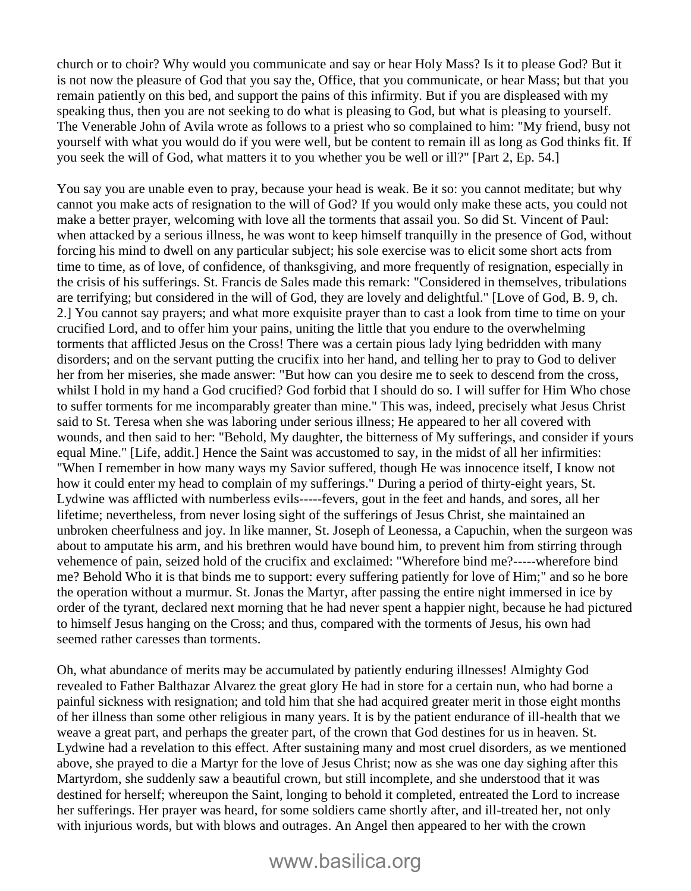church or to choir? Why would you communicate and say or hear Holy Mass? Is it to please God? But it is not now the pleasure of God that you say the, Office, that you communicate, or hear Mass; but that you remain patiently on this bed, and support the pains of this infirmity. But if you are displeased with my speaking thus, then you are not seeking to do what is pleasing to God, but what is pleasing to yourself. The Venerable John of Avila wrote as follows to a priest who so complained to him: "My friend, busy not yourself with what you would do if you were well, but be content to remain ill as long as God thinks fit. If you seek the will of God, what matters it to you whether you be well or ill?" [Part 2, Ep. 54.]

You say you are unable even to pray, because your head is weak. Be it so: you cannot meditate; but why cannot you make acts of resignation to the will of God? If you would only make these acts, you could not make a better prayer, welcoming with love all the torments that assail you. So did St. Vincent of Paul: when attacked by a serious illness, he was wont to keep himself tranquilly in the presence of God, without forcing his mind to dwell on any particular subject; his sole exercise was to elicit some short acts from time to time, as of love, of confidence, of thanksgiving, and more frequently of resignation, especially in the crisis of his sufferings. St. Francis de Sales made this remark: "Considered in themselves, tribulations are terrifying; but considered in the will of God, they are lovely and delightful." [Love of God, B. 9, ch. 2.] You cannot say prayers; and what more exquisite prayer than to cast a look from time to time on your crucified Lord, and to offer him your pains, uniting the little that you endure to the overwhelming torments that afflicted Jesus on the Cross! There was a certain pious lady lying bedridden with many disorders; and on the servant putting the crucifix into her hand, and telling her to pray to God to deliver her from her miseries, she made answer: "But how can you desire me to seek to descend from the cross, whilst I hold in my hand a God crucified? God forbid that I should do so. I will suffer for Him Who chose to suffer torments for me incomparably greater than mine." This was, indeed, precisely what Jesus Christ said to St. Teresa when she was laboring under serious illness; He appeared to her all covered with wounds, and then said to her: "Behold, My daughter, the bitterness of My sufferings, and consider if yours equal Mine." [Life, addit.] Hence the Saint was accustomed to say, in the midst of all her infirmities: "When I remember in how many ways my Savior suffered, though He was innocence itself, I know not how it could enter my head to complain of my sufferings." During a period of thirty-eight years, St. Lydwine was afflicted with numberless evils-----fevers, gout in the feet and hands, and sores, all her lifetime; nevertheless, from never losing sight of the sufferings of Jesus Christ, she maintained an unbroken cheerfulness and joy. In like manner, St. Joseph of Leonessa, a Capuchin, when the surgeon was about to amputate his arm, and his brethren would have bound him, to prevent him from stirring through vehemence of pain, seized hold of the crucifix and exclaimed: "Wherefore bind me?-----wherefore bind me? Behold Who it is that binds me to support: every suffering patiently for love of Him;" and so he bore the operation without a murmur. St. Jonas the Martyr, after passing the entire night immersed in ice by order of the tyrant, declared next morning that he had never spent a happier night, because he had pictured to himself Jesus hanging on the Cross; and thus, compared with the torments of Jesus, his own had seemed rather caresses than torments.

Oh, what abundance of merits may be accumulated by patiently enduring illnesses! Almighty God revealed to Father Balthazar Alvarez the great glory He had in store for a certain nun, who had borne a painful sickness with resignation; and told him that she had acquired greater merit in those eight months of her illness than some other religious in many years. It is by the patient endurance of ill-health that we weave a great part, and perhaps the greater part, of the crown that God destines for us in heaven. St. Lydwine had a revelation to this effect. After sustaining many and most cruel disorders, as we mentioned above, she prayed to die a Martyr for the love of Jesus Christ; now as she was one day sighing after this Martyrdom, she suddenly saw a beautiful crown, but still incomplete, and she understood that it was destined for herself; whereupon the Saint, longing to behold it completed, entreated the Lord to increase her sufferings. Her prayer was heard, for some soldiers came shortly after, and ill-treated her, not only with injurious words, but with blows and outrages. An Angel then appeared to her with the crown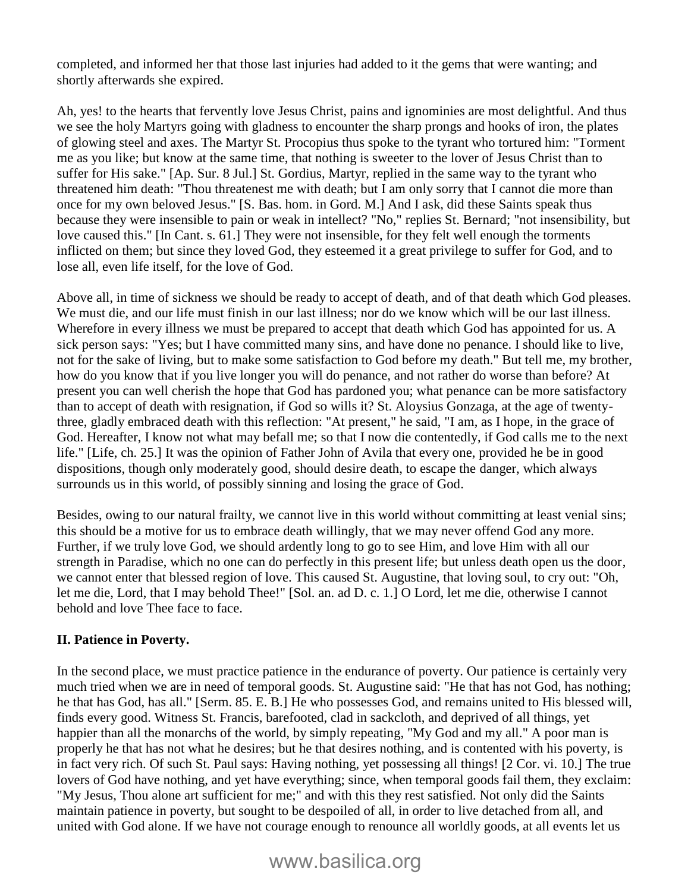completed, and informed her that those last injuries had added to it the gems that were wanting; and shortly afterwards she expired.

Ah, yes! to the hearts that fervently love Jesus Christ, pains and ignominies are most delightful. And thus we see the holy Martyrs going with gladness to encounter the sharp prongs and hooks of iron, the plates of glowing steel and axes. The Martyr St. Procopius thus spoke to the tyrant who tortured him: "Torment me as you like; but know at the same time, that nothing is sweeter to the lover of Jesus Christ than to suffer for His sake." [Ap. Sur. 8 Jul.] St. Gordius, Martyr, replied in the same way to the tyrant who threatened him death: "Thou threatenest me with death; but I am only sorry that I cannot die more than once for my own beloved Jesus." [S. Bas. hom. in Gord. M.] And I ask, did these Saints speak thus because they were insensible to pain or weak in intellect? "No," replies St. Bernard; "not insensibility, but love caused this." [In Cant. s. 61.] They were not insensible, for they felt well enough the torments inflicted on them; but since they loved God, they esteemed it a great privilege to suffer for God, and to lose all, even life itself, for the love of God.

Above all, in time of sickness we should be ready to accept of death, and of that death which God pleases. We must die, and our life must finish in our last illness; nor do we know which will be our last illness. Wherefore in every illness we must be prepared to accept that death which God has appointed for us. A sick person says: "Yes; but I have committed many sins, and have done no penance. I should like to live, not for the sake of living, but to make some satisfaction to God before my death." But tell me, my brother, how do you know that if you live longer you will do penance, and not rather do worse than before? At present you can well cherish the hope that God has pardoned you; what penance can be more satisfactory than to accept of death with resignation, if God so wills it? St. Aloysius Gonzaga, at the age of twentythree, gladly embraced death with this reflection: "At present," he said, "I am, as I hope, in the grace of God. Hereafter, I know not what may befall me; so that I now die contentedly, if God calls me to the next life." [Life, ch. 25.] It was the opinion of Father John of Avila that every one, provided he be in good dispositions, though only moderately good, should desire death, to escape the danger, which always surrounds us in this world, of possibly sinning and losing the grace of God.

Besides, owing to our natural frailty, we cannot live in this world without committing at least venial sins; this should be a motive for us to embrace death willingly, that we may never offend God any more. Further, if we truly love God, we should ardently long to go to see Him, and love Him with all our strength in Paradise, which no one can do perfectly in this present life; but unless death open us the door, we cannot enter that blessed region of love. This caused St. Augustine, that loving soul, to cry out: "Oh, let me die, Lord, that I may behold Thee!" [Sol. an. ad D. c. 1.] O Lord, let me die, otherwise I cannot behold and love Thee face to face.

#### **II. Patience in Poverty.**

In the second place, we must practice patience in the endurance of poverty. Our patience is certainly very much tried when we are in need of temporal goods. St. Augustine said: "He that has not God, has nothing; he that has God, has all." [Serm. 85. E. B.] He who possesses God, and remains united to His blessed will, finds every good. Witness St. Francis, barefooted, clad in sackcloth, and deprived of all things, yet happier than all the monarchs of the world, by simply repeating, "My God and my all." A poor man is properly he that has not what he desires; but he that desires nothing, and is contented with his poverty, is in fact very rich. Of such St. Paul says: Having nothing, yet possessing all things! [2 Cor. vi. 10.] The true lovers of God have nothing, and yet have everything; since, when temporal goods fail them, they exclaim: "My Jesus, Thou alone art sufficient for me;" and with this they rest satisfied. Not only did the Saints maintain patience in poverty, but sought to be despoiled of all, in order to live detached from all, and united with God alone. If we have not courage enough to renounce all worldly goods, at all events let us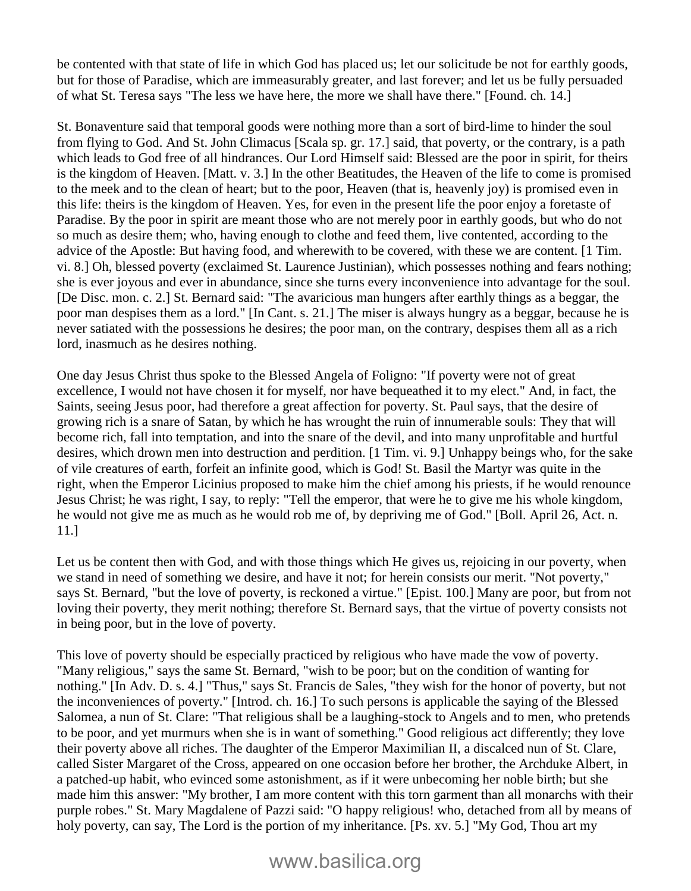be contented with that state of life in which God has placed us; let our solicitude be not for earthly goods, but for those of Paradise, which are immeasurably greater, and last forever; and let us be fully persuaded of what St. Teresa says "The less we have here, the more we shall have there." [Found. ch. 14.]

St. Bonaventure said that temporal goods were nothing more than a sort of bird-lime to hinder the soul from flying to God. And St. John Climacus [Scala sp. gr. 17.] said, that poverty, or the contrary, is a path which leads to God free of all hindrances. Our Lord Himself said: Blessed are the poor in spirit, for theirs is the kingdom of Heaven. [Matt. v. 3.] In the other Beatitudes, the Heaven of the life to come is promised to the meek and to the clean of heart; but to the poor, Heaven (that is, heavenly joy) is promised even in this life: theirs is the kingdom of Heaven. Yes, for even in the present life the poor enjoy a foretaste of Paradise. By the poor in spirit are meant those who are not merely poor in earthly goods, but who do not so much as desire them; who, having enough to clothe and feed them, live contented, according to the advice of the Apostle: But having food, and wherewith to be covered, with these we are content. [1 Tim. vi. 8.] Oh, blessed poverty (exclaimed St. Laurence Justinian), which possesses nothing and fears nothing; she is ever joyous and ever in abundance, since she turns every inconvenience into advantage for the soul. [De Disc. mon. c. 2.] St. Bernard said: "The avaricious man hungers after earthly things as a beggar, the poor man despises them as a lord." [In Cant. s. 21.] The miser is always hungry as a beggar, because he is never satiated with the possessions he desires; the poor man, on the contrary, despises them all as a rich lord, inasmuch as he desires nothing.

One day Jesus Christ thus spoke to the Blessed Angela of Foligno: "If poverty were not of great excellence, I would not have chosen it for myself, nor have bequeathed it to my elect." And, in fact, the Saints, seeing Jesus poor, had therefore a great affection for poverty. St. Paul says, that the desire of growing rich is a snare of Satan, by which he has wrought the ruin of innumerable souls: They that will become rich, fall into temptation, and into the snare of the devil, and into many unprofitable and hurtful desires, which drown men into destruction and perdition. [1 Tim. vi. 9.] Unhappy beings who, for the sake of vile creatures of earth, forfeit an infinite good, which is God! St. Basil the Martyr was quite in the right, when the Emperor Licinius proposed to make him the chief among his priests, if he would renounce Jesus Christ; he was right, I say, to reply: "Tell the emperor, that were he to give me his whole kingdom, he would not give me as much as he would rob me of, by depriving me of God." [Boll. April 26, Act. n. 11.]

Let us be content then with God, and with those things which He gives us, rejoicing in our poverty, when we stand in need of something we desire, and have it not; for herein consists our merit. "Not poverty," says St. Bernard, "but the love of poverty, is reckoned a virtue." [Epist. 100.] Many are poor, but from not loving their poverty, they merit nothing; therefore St. Bernard says, that the virtue of poverty consists not in being poor, but in the love of poverty.

This love of poverty should be especially practiced by religious who have made the vow of poverty. "Many religious," says the same St. Bernard, "wish to be poor; but on the condition of wanting for nothing." [In Adv. D. s. 4.] "Thus," says St. Francis de Sales, "they wish for the honor of poverty, but not the inconveniences of poverty." [Introd. ch. 16.] To such persons is applicable the saying of the Blessed Salomea, a nun of St. Clare: "That religious shall be a laughing-stock to Angels and to men, who pretends to be poor, and yet murmurs when she is in want of something." Good religious act differently; they love their poverty above all riches. The daughter of the Emperor Maximilian II, a discalced nun of St. Clare, called Sister Margaret of the Cross, appeared on one occasion before her brother, the Archduke Albert, in a patched-up habit, who evinced some astonishment, as if it were unbecoming her noble birth; but she made him this answer: "My brother, I am more content with this torn garment than all monarchs with their purple robes." St. Mary Magdalene of Pazzi said: "O happy religious! who, detached from all by means of holy poverty, can say, The Lord is the portion of my inheritance. [Ps. xv. 5.] "My God, Thou art my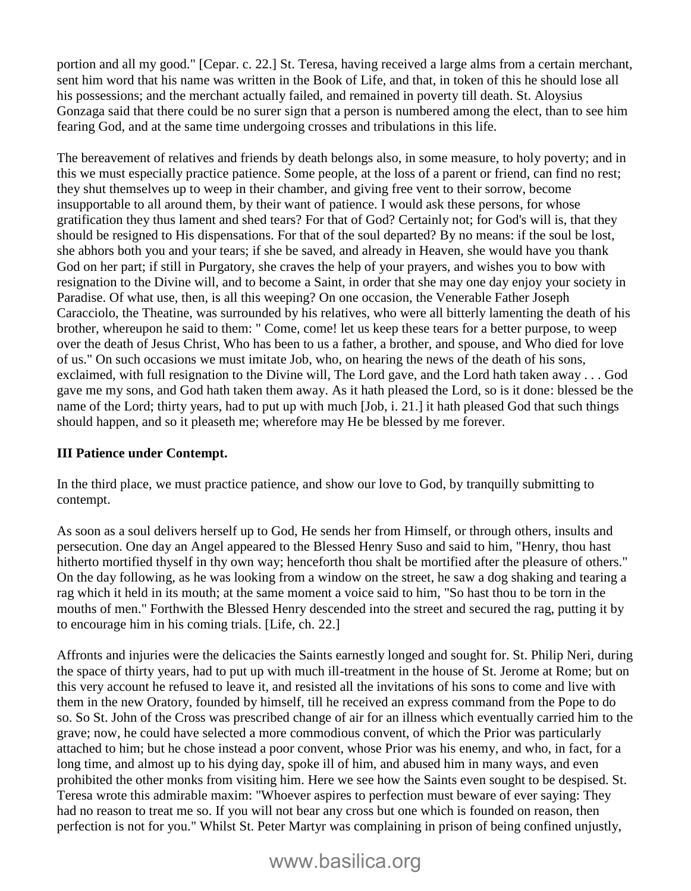portion and all my good." [Cepar. c. 22.] St. Teresa, having received a large alms from a certain merchant, sent him word that his name was written in the Book of Life, and that, in token of this he should lose all his possessions; and the merchant actually failed, and remained in poverty till death. St. Aloysius Gonzaga said that there could be no surer sign that a person is numbered among the elect, than to see him fearing God, and at the same time undergoing crosses and tribulations in this life.

The bereavement of relatives and friends by death belongs also, in some measure, to holy poverty; and in this we must especially practice patience. Some people, at the loss of a parent or friend, can find no rest; they shut themselves up to weep in their chamber, and giving free vent to their sorrow, become insupportable to all around them, by their want of patience. I would ask these persons, for whose gratification they thus lament and shed tears? For that of God? Certainly not; for God's will is, that they should be resigned to His dispensations. For that of the soul departed? By no means: if the soul be lost, she abhors both you and your tears; if she be saved, and already in Heaven, she would have you thank God on her part; if still in Purgatory, she craves the help of your prayers, and wishes you to bow with resignation to the Divine will, and to become a Saint, in order that she may one day enjoy your society in Paradise. Of what use, then, is all this weeping? On one occasion, the Venerable Father Joseph Caracciolo, the Theatine, was surrounded by his relatives, who were all bitterly lamenting the death of his brother, whereupon he said to them: " Come, come! let us keep these tears for a better purpose, to weep over the death of Jesus Christ, Who has been to us a father, a brother, and spouse, and Who died for love of us." On such occasions we must imitate Job, who, on hearing the news of the death of his sons, exclaimed, with full resignation to the Divine will, The Lord gave, and the Lord hath taken away . . . God gave me my sons, and God hath taken them away. As it hath pleased the Lord, so is it done: blessed be the name of the Lord; thirty years, had to put up with much [Job, i. 21.] it hath pleased God that such things should happen, and so it pleaseth me; wherefore may He be blessed by me forever.

#### **III Patience under Contempt.**

In the third place, we must practice patience, and show our love to God, by tranquilly submitting to contempt.

As soon as a soul delivers herself up to God, He sends her from Himself, or through others, insults and persecution. One day an Angel appeared to the Blessed Henry Suso and said to him, "Henry, thou hast hitherto mortified thyself in thy own way; henceforth thou shalt be mortified after the pleasure of others." On the day following, as he was looking from a window on the street, he saw a dog shaking and tearing a rag which it held in its mouth; at the same moment a voice said to him, "So hast thou to be torn in the mouths of men." Forthwith the Blessed Henry descended into the street and secured the rag, putting it by to encourage him in his coming trials. [Life, ch. 22.]

Affronts and injuries were the delicacies the Saints earnestly longed and sought for. St. Philip Neri, during the space of thirty years, had to put up with much ill-treatment in the house of St. Jerome at Rome; but on this very account he refused to leave it, and resisted all the invitations of his sons to come and live with them in the new Oratory, founded by himself, till he received an express command from the Pope to do so. So St. John of the Cross was prescribed change of air for an illness which eventually carried him to the grave; now, he could have selected a more commodious convent, of which the Prior was particularly attached to him; but he chose instead a poor convent, whose Prior was his enemy, and who, in fact, for a long time, and almost up to his dying day, spoke ill of him, and abused him in many ways, and even prohibited the other monks from visiting him. Here we see how the Saints even sought to be despised. St. Teresa wrote this admirable maxim: "Whoever aspires to perfection must beware of ever saying: They had no reason to treat me so. If you will not bear any cross but one which is founded on reason, then perfection is not for you." Whilst St. Peter Martyr was complaining in prison of being confined unjustly,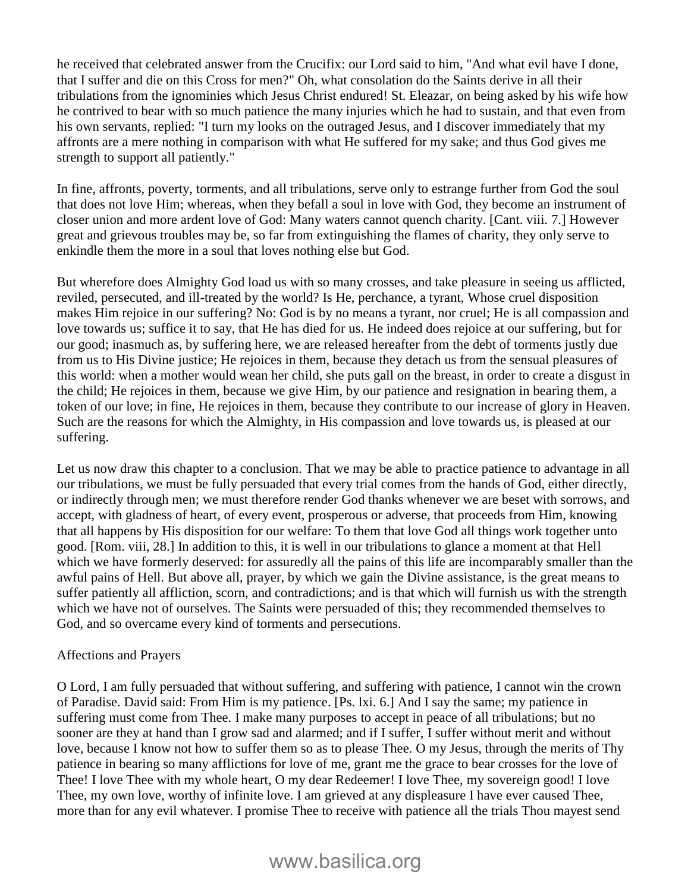he received that celebrated answer from the Crucifix: our Lord said to him, "And what evil have I done, that I suffer and die on this Cross for men?" Oh, what consolation do the Saints derive in all their tribulations from the ignominies which Jesus Christ endured! St. Eleazar, on being asked by his wife how he contrived to bear with so much patience the many injuries which he had to sustain, and that even from his own servants, replied: "I turn my looks on the outraged Jesus, and I discover immediately that my affronts are a mere nothing in comparison with what He suffered for my sake; and thus God gives me strength to support all patiently."

In fine, affronts, poverty, torments, and all tribulations, serve only to estrange further from God the soul that does not love Him; whereas, when they befall a soul in love with God, they become an instrument of closer union and more ardent love of God: Many waters cannot quench charity. [Cant. viii. 7.] However great and grievous troubles may be, so far from extinguishing the flames of charity, they only serve to enkindle them the more in a soul that loves nothing else but God.

But wherefore does Almighty God load us with so many crosses, and take pleasure in seeing us afflicted, reviled, persecuted, and ill-treated by the world? Is He, perchance, a tyrant, Whose cruel disposition makes Him rejoice in our suffering? No: God is by no means a tyrant, nor cruel; He is all compassion and love towards us; suffice it to say, that He has died for us. He indeed does rejoice at our suffering, but for our good; inasmuch as, by suffering here, we are released hereafter from the debt of torments justly due from us to His Divine justice; He rejoices in them, because they detach us from the sensual pleasures of this world: when a mother would wean her child, she puts gall on the breast, in order to create a disgust in the child; He rejoices in them, because we give Him, by our patience and resignation in bearing them, a token of our love; in fine, He rejoices in them, because they contribute to our increase of glory in Heaven. Such are the reasons for which the Almighty, in His compassion and love towards us, is pleased at our suffering.

Let us now draw this chapter to a conclusion. That we may be able to practice patience to advantage in all our tribulations, we must be fully persuaded that every trial comes from the hands of God, either directly, or indirectly through men; we must therefore render God thanks whenever we are beset with sorrows, and accept, with gladness of heart, of every event, prosperous or adverse, that proceeds from Him, knowing that all happens by His disposition for our welfare: To them that love God all things work together unto good. [Rom. viii, 28.] In addition to this, it is well in our tribulations to glance a moment at that Hell which we have formerly deserved: for assuredly all the pains of this life are incomparably smaller than the awful pains of Hell. But above all, prayer, by which we gain the Divine assistance, is the great means to suffer patiently all affliction, scorn, and contradictions; and is that which will furnish us with the strength which we have not of ourselves. The Saints were persuaded of this; they recommended themselves to God, and so overcame every kind of torments and persecutions.

#### Affections and Prayers

O Lord, I am fully persuaded that without suffering, and suffering with patience, I cannot win the crown of Paradise. David said: From Him is my patience. [Ps. lxi. 6.] And I say the same; my patience in suffering must come from Thee. I make many purposes to accept in peace of all tribulations; but no sooner are they at hand than I grow sad and alarmed; and if I suffer, I suffer without merit and without love, because I know not how to suffer them so as to please Thee. O my Jesus, through the merits of Thy patience in bearing so many afflictions for love of me, grant me the grace to bear crosses for the love of Thee! I love Thee with my whole heart, O my dear Redeemer! I love Thee, my sovereign good! I love Thee, my own love, worthy of infinite love. I am grieved at any displeasure I have ever caused Thee, more than for any evil whatever. I promise Thee to receive with patience all the trials Thou mayest send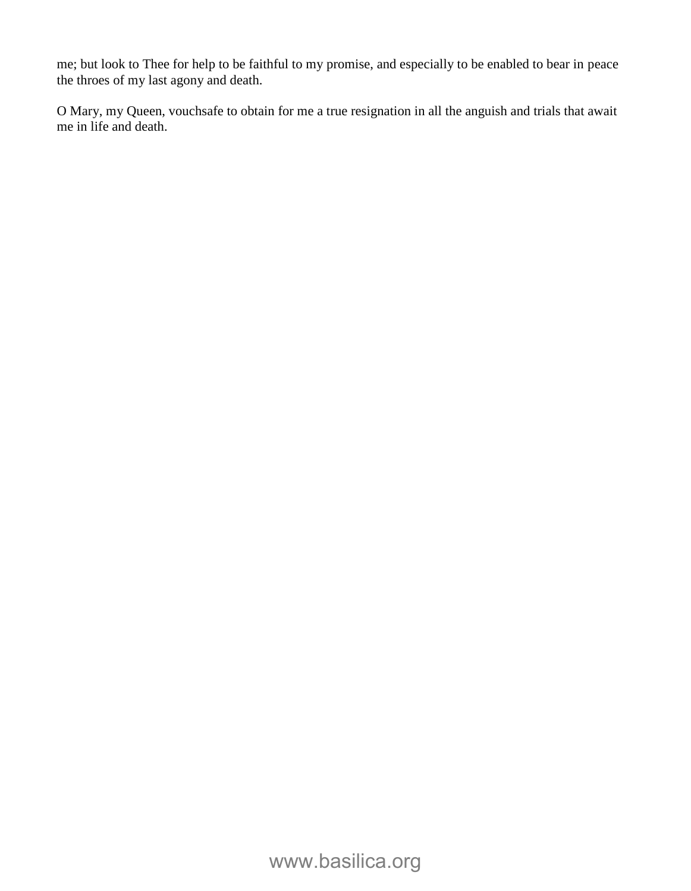me; but look to Thee for help to be faithful to my promise, and especially to be enabled to bear in peace the throes of my last agony and death.

O Mary, my Queen, vouchsafe to obtain for me a true resignation in all the anguish and trials that await me in life and death.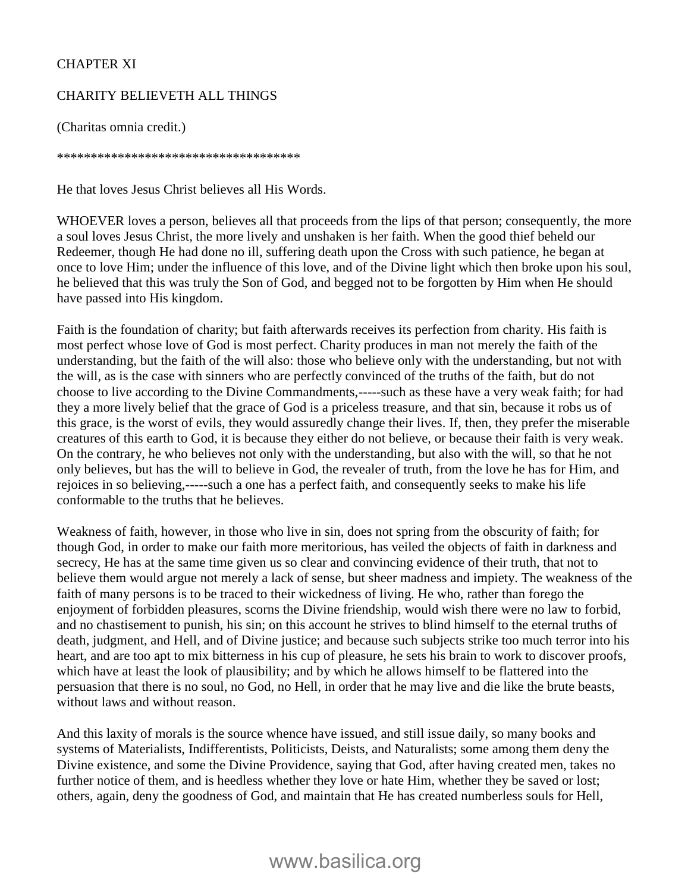### CHAPTER XI

#### CHARITY BELIEVETH ALL THINGS

(Charitas omnia credit.)

\*\*\*\*\*\*\*\*\*\*\*\*\*\*\*\*\*\*\*\*\*\*\*\*\*\*\*\*\*\*\*\*\*\*\*\*

He that loves Jesus Christ believes all His Words.

WHOEVER loves a person, believes all that proceeds from the lips of that person; consequently, the more a soul loves Jesus Christ, the more lively and unshaken is her faith. When the good thief beheld our Redeemer, though He had done no ill, suffering death upon the Cross with such patience, he began at once to love Him; under the influence of this love, and of the Divine light which then broke upon his soul, he believed that this was truly the Son of God, and begged not to be forgotten by Him when He should have passed into His kingdom.

Faith is the foundation of charity; but faith afterwards receives its perfection from charity. His faith is most perfect whose love of God is most perfect. Charity produces in man not merely the faith of the understanding, but the faith of the will also: those who believe only with the understanding, but not with the will, as is the case with sinners who are perfectly convinced of the truths of the faith, but do not choose to live according to the Divine Commandments,-----such as these have a very weak faith; for had they a more lively belief that the grace of God is a priceless treasure, and that sin, because it robs us of this grace, is the worst of evils, they would assuredly change their lives. If, then, they prefer the miserable creatures of this earth to God, it is because they either do not believe, or because their faith is very weak. On the contrary, he who believes not only with the understanding, but also with the will, so that he not only believes, but has the will to believe in God, the revealer of truth, from the love he has for Him, and rejoices in so believing,-----such a one has a perfect faith, and consequently seeks to make his life conformable to the truths that he believes.

Weakness of faith, however, in those who live in sin, does not spring from the obscurity of faith; for though God, in order to make our faith more meritorious, has veiled the objects of faith in darkness and secrecy, He has at the same time given us so clear and convincing evidence of their truth, that not to believe them would argue not merely a lack of sense, but sheer madness and impiety. The weakness of the faith of many persons is to be traced to their wickedness of living. He who, rather than forego the enjoyment of forbidden pleasures, scorns the Divine friendship, would wish there were no law to forbid, and no chastisement to punish, his sin; on this account he strives to blind himself to the eternal truths of death, judgment, and Hell, and of Divine justice; and because such subjects strike too much terror into his heart, and are too apt to mix bitterness in his cup of pleasure, he sets his brain to work to discover proofs, which have at least the look of plausibility; and by which he allows himself to be flattered into the persuasion that there is no soul, no God, no Hell, in order that he may live and die like the brute beasts, without laws and without reason.

And this laxity of morals is the source whence have issued, and still issue daily, so many books and systems of Materialists, Indifferentists, Politicists, Deists, and Naturalists; some among them deny the Divine existence, and some the Divine Providence, saying that God, after having created men, takes no further notice of them, and is heedless whether they love or hate Him, whether they be saved or lost; others, again, deny the goodness of God, and maintain that He has created numberless souls for Hell,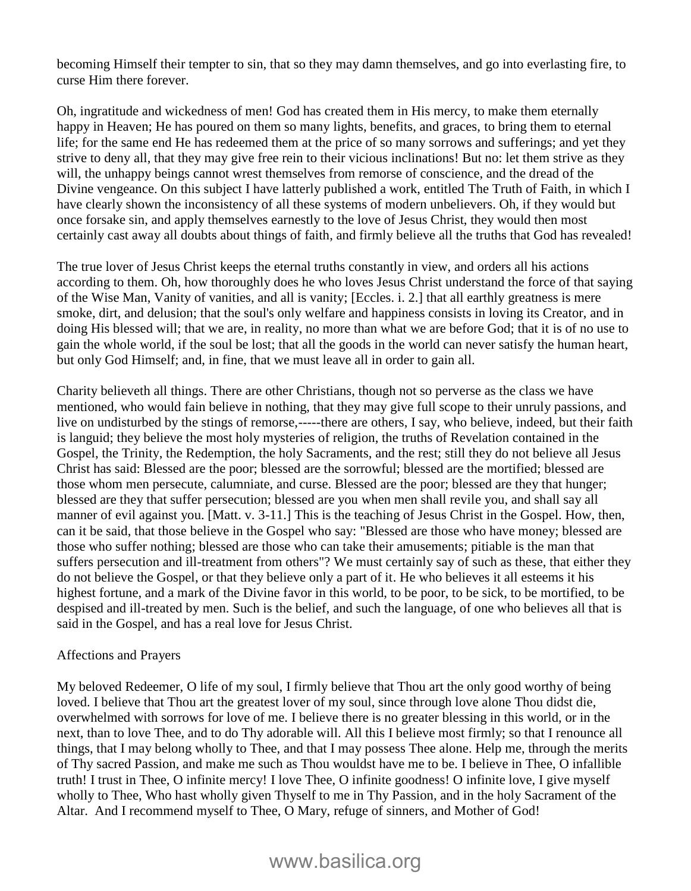becoming Himself their tempter to sin, that so they may damn themselves, and go into everlasting fire, to curse Him there forever.

Oh, ingratitude and wickedness of men! God has created them in His mercy, to make them eternally happy in Heaven; He has poured on them so many lights, benefits, and graces, to bring them to eternal life; for the same end He has redeemed them at the price of so many sorrows and sufferings; and yet they strive to deny all, that they may give free rein to their vicious inclinations! But no: let them strive as they will, the unhappy beings cannot wrest themselves from remorse of conscience, and the dread of the Divine vengeance. On this subject I have latterly published a work, entitled The Truth of Faith, in which I have clearly shown the inconsistency of all these systems of modern unbelievers. Oh, if they would but once forsake sin, and apply themselves earnestly to the love of Jesus Christ, they would then most certainly cast away all doubts about things of faith, and firmly believe all the truths that God has revealed!

The true lover of Jesus Christ keeps the eternal truths constantly in view, and orders all his actions according to them. Oh, how thoroughly does he who loves Jesus Christ understand the force of that saying of the Wise Man, Vanity of vanities, and all is vanity; [Eccles. i. 2.] that all earthly greatness is mere smoke, dirt, and delusion; that the soul's only welfare and happiness consists in loving its Creator, and in doing His blessed will; that we are, in reality, no more than what we are before God; that it is of no use to gain the whole world, if the soul be lost; that all the goods in the world can never satisfy the human heart, but only God Himself; and, in fine, that we must leave all in order to gain all.

Charity believeth all things. There are other Christians, though not so perverse as the class we have mentioned, who would fain believe in nothing, that they may give full scope to their unruly passions, and live on undisturbed by the stings of remorse,-----there are others, I say, who believe, indeed, but their faith is languid; they believe the most holy mysteries of religion, the truths of Revelation contained in the Gospel, the Trinity, the Redemption, the holy Sacraments, and the rest; still they do not believe all Jesus Christ has said: Blessed are the poor; blessed are the sorrowful; blessed are the mortified; blessed are those whom men persecute, calumniate, and curse. Blessed are the poor; blessed are they that hunger; blessed are they that suffer persecution; blessed are you when men shall revile you, and shall say all manner of evil against you. [Matt. v. 3-11.] This is the teaching of Jesus Christ in the Gospel. How, then, can it be said, that those believe in the Gospel who say: "Blessed are those who have money; blessed are those who suffer nothing; blessed are those who can take their amusements; pitiable is the man that suffers persecution and ill-treatment from others"? We must certainly say of such as these, that either they do not believe the Gospel, or that they believe only a part of it. He who believes it all esteems it his highest fortune, and a mark of the Divine favor in this world, to be poor, to be sick, to be mortified, to be despised and ill-treated by men. Such is the belief, and such the language, of one who believes all that is said in the Gospel, and has a real love for Jesus Christ.

#### Affections and Prayers

My beloved Redeemer, O life of my soul, I firmly believe that Thou art the only good worthy of being loved. I believe that Thou art the greatest lover of my soul, since through love alone Thou didst die, overwhelmed with sorrows for love of me. I believe there is no greater blessing in this world, or in the next, than to love Thee, and to do Thy adorable will. All this I believe most firmly; so that I renounce all things, that I may belong wholly to Thee, and that I may possess Thee alone. Help me, through the merits of Thy sacred Passion, and make me such as Thou wouldst have me to be. I believe in Thee, O infallible truth! I trust in Thee, O infinite mercy! I love Thee, O infinite goodness! O infinite love, I give myself wholly to Thee, Who hast wholly given Thyself to me in Thy Passion, and in the holy Sacrament of the Altar. And I recommend myself to Thee, O Mary, refuge of sinners, and Mother of God!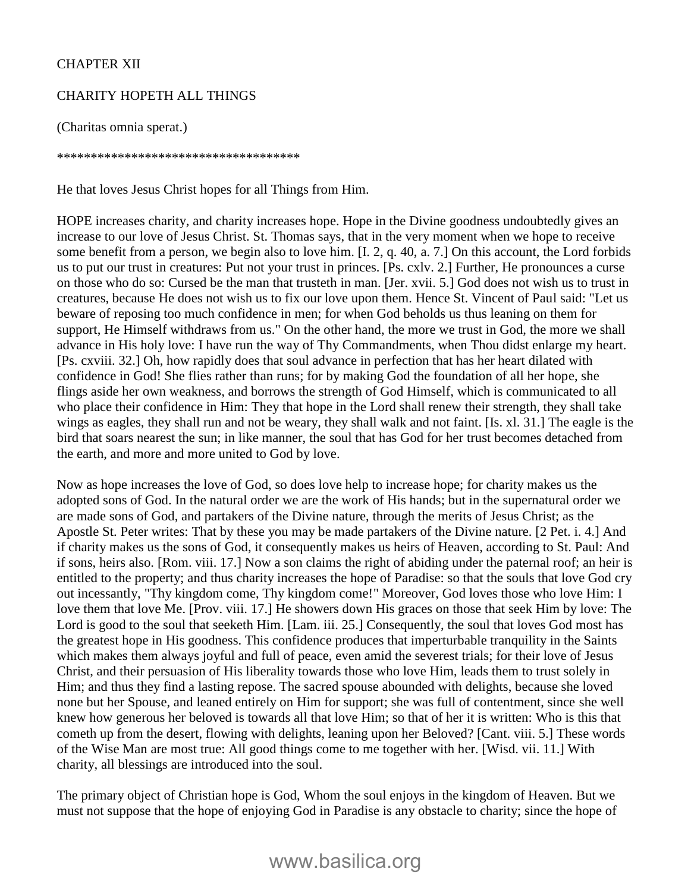#### CHAPTER XII

#### CHARITY HOPETH ALL THINGS

(Charitas omnia sperat.)

\*\*\*\*\*\*\*\*\*\*\*\*\*\*\*\*\*\*\*\*\*\*\*\*\*\*\*\*\*\*\*\*\*\*\*\*

He that loves Jesus Christ hopes for all Things from Him.

HOPE increases charity, and charity increases hope. Hope in the Divine goodness undoubtedly gives an increase to our love of Jesus Christ. St. Thomas says, that in the very moment when we hope to receive some benefit from a person, we begin also to love him. [I. 2, q. 40, a. 7.] On this account, the Lord forbids us to put our trust in creatures: Put not your trust in princes. [Ps. cxlv. 2.] Further, He pronounces a curse on those who do so: Cursed be the man that trusteth in man. [Jer. xvii. 5.] God does not wish us to trust in creatures, because He does not wish us to fix our love upon them. Hence St. Vincent of Paul said: "Let us beware of reposing too much confidence in men; for when God beholds us thus leaning on them for support, He Himself withdraws from us." On the other hand, the more we trust in God, the more we shall advance in His holy love: I have run the way of Thy Commandments, when Thou didst enlarge my heart. [Ps. cxviii. 32.] Oh, how rapidly does that soul advance in perfection that has her heart dilated with confidence in God! She flies rather than runs; for by making God the foundation of all her hope, she flings aside her own weakness, and borrows the strength of God Himself, which is communicated to all who place their confidence in Him: They that hope in the Lord shall renew their strength, they shall take wings as eagles, they shall run and not be weary, they shall walk and not faint. [Is. xl. 31.] The eagle is the bird that soars nearest the sun; in like manner, the soul that has God for her trust becomes detached from the earth, and more and more united to God by love.

Now as hope increases the love of God, so does love help to increase hope; for charity makes us the adopted sons of God. In the natural order we are the work of His hands; but in the supernatural order we are made sons of God, and partakers of the Divine nature, through the merits of Jesus Christ; as the Apostle St. Peter writes: That by these you may be made partakers of the Divine nature. [2 Pet. i. 4.] And if charity makes us the sons of God, it consequently makes us heirs of Heaven, according to St. Paul: And if sons, heirs also. [Rom. viii. 17.] Now a son claims the right of abiding under the paternal roof; an heir is entitled to the property; and thus charity increases the hope of Paradise: so that the souls that love God cry out incessantly, "Thy kingdom come, Thy kingdom come!" Moreover, God loves those who love Him: I love them that love Me. [Prov. viii. 17.] He showers down His graces on those that seek Him by love: The Lord is good to the soul that seeketh Him. [Lam. iii. 25.] Consequently, the soul that loves God most has the greatest hope in His goodness. This confidence produces that imperturbable tranquility in the Saints which makes them always joyful and full of peace, even amid the severest trials; for their love of Jesus Christ, and their persuasion of His liberality towards those who love Him, leads them to trust solely in Him; and thus they find a lasting repose. The sacred spouse abounded with delights, because she loved none but her Spouse, and leaned entirely on Him for support; she was full of contentment, since she well knew how generous her beloved is towards all that love Him; so that of her it is written: Who is this that cometh up from the desert, flowing with delights, leaning upon her Beloved? [Cant. viii. 5.] These words of the Wise Man are most true: All good things come to me together with her. [Wisd. vii. 11.] With charity, all blessings are introduced into the soul.

The primary object of Christian hope is God, Whom the soul enjoys in the kingdom of Heaven. But we must not suppose that the hope of enjoying God in Paradise is any obstacle to charity; since the hope of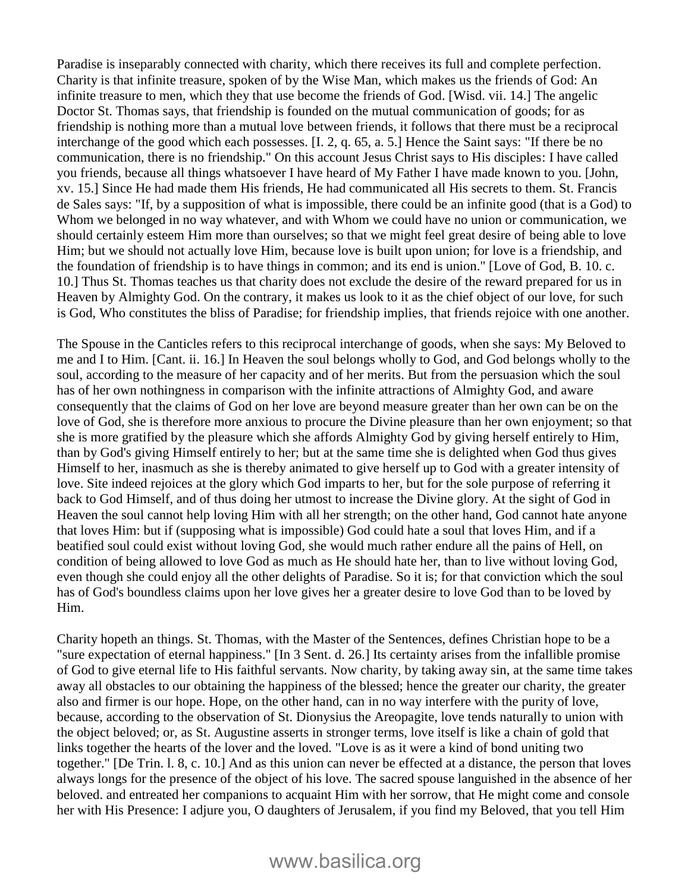Paradise is inseparably connected with charity, which there receives its full and complete perfection. Charity is that infinite treasure, spoken of by the Wise Man, which makes us the friends of God: An infinite treasure to men, which they that use become the friends of God. [Wisd. vii. 14.] The angelic Doctor St. Thomas says, that friendship is founded on the mutual communication of goods; for as friendship is nothing more than a mutual love between friends, it follows that there must be a reciprocal interchange of the good which each possesses. [I. 2, q. 65, a. 5.] Hence the Saint says: "If there be no communication, there is no friendship." On this account Jesus Christ says to His disciples: I have called you friends, because all things whatsoever I have heard of My Father I have made known to you. [John, xv. 15.] Since He had made them His friends, He had communicated all His secrets to them. St. Francis de Sales says: "If, by a supposition of what is impossible, there could be an infinite good (that is a God) to Whom we belonged in no way whatever, and with Whom we could have no union or communication, we should certainly esteem Him more than ourselves; so that we might feel great desire of being able to love Him; but we should not actually love Him, because love is built upon union; for love is a friendship, and the foundation of friendship is to have things in common; and its end is union." [Love of God, B. 10. c. 10.] Thus St. Thomas teaches us that charity does not exclude the desire of the reward prepared for us in Heaven by Almighty God. On the contrary, it makes us look to it as the chief object of our love, for such is God, Who constitutes the bliss of Paradise; for friendship implies, that friends rejoice with one another.

The Spouse in the Canticles refers to this reciprocal interchange of goods, when she says: My Beloved to me and I to Him. [Cant. ii. 16.] In Heaven the soul belongs wholly to God, and God belongs wholly to the soul, according to the measure of her capacity and of her merits. But from the persuasion which the soul has of her own nothingness in comparison with the infinite attractions of Almighty God, and aware consequently that the claims of God on her love are beyond measure greater than her own can be on the love of God, she is therefore more anxious to procure the Divine pleasure than her own enjoyment; so that she is more gratified by the pleasure which she affords Almighty God by giving herself entirely to Him, than by God's giving Himself entirely to her; but at the same time she is delighted when God thus gives Himself to her, inasmuch as she is thereby animated to give herself up to God with a greater intensity of love. Site indeed rejoices at the glory which God imparts to her, but for the sole purpose of referring it back to God Himself, and of thus doing her utmost to increase the Divine glory. At the sight of God in Heaven the soul cannot help loving Him with all her strength; on the other hand, God cannot hate anyone that loves Him: but if (supposing what is impossible) God could hate a soul that loves Him, and if a beatified soul could exist without loving God, she would much rather endure all the pains of Hell, on condition of being allowed to love God as much as He should hate her, than to live without loving God, even though she could enjoy all the other delights of Paradise. So it is; for that conviction which the soul has of God's boundless claims upon her love gives her a greater desire to love God than to be loved by Him.

Charity hopeth an things. St. Thomas, with the Master of the Sentences, defines Christian hope to be a "sure expectation of eternal happiness." [In 3 Sent. d. 26.] Its certainty arises from the infallible promise of God to give eternal life to His faithful servants. Now charity, by taking away sin, at the same time takes away all obstacles to our obtaining the happiness of the blessed; hence the greater our charity, the greater also and firmer is our hope. Hope, on the other hand, can in no way interfere with the purity of love, because, according to the observation of St. Dionysius the Areopagite, love tends naturally to union with the object beloved; or, as St. Augustine asserts in stronger terms, love itself is like a chain of gold that links together the hearts of the lover and the loved. "Love is as it were a kind of bond uniting two together." [De Trin. l. 8, c. 10.] And as this union can never be effected at a distance, the person that loves always longs for the presence of the object of his love. The sacred spouse languished in the absence of her beloved. and entreated her companions to acquaint Him with her sorrow, that He might come and console her with His Presence: I adjure you, O daughters of Jerusalem, if you find my Beloved, that you tell Him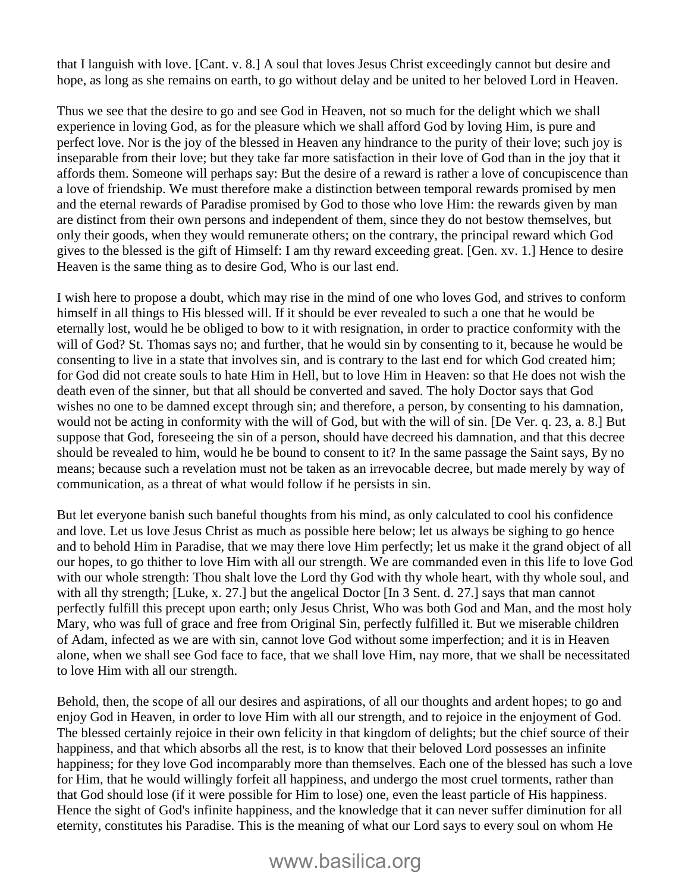that I languish with love. [Cant. v. 8.] A soul that loves Jesus Christ exceedingly cannot but desire and hope, as long as she remains on earth, to go without delay and be united to her beloved Lord in Heaven.

Thus we see that the desire to go and see God in Heaven, not so much for the delight which we shall experience in loving God, as for the pleasure which we shall afford God by loving Him, is pure and perfect love. Nor is the joy of the blessed in Heaven any hindrance to the purity of their love; such joy is inseparable from their love; but they take far more satisfaction in their love of God than in the joy that it affords them. Someone will perhaps say: But the desire of a reward is rather a love of concupiscence than a love of friendship. We must therefore make a distinction between temporal rewards promised by men and the eternal rewards of Paradise promised by God to those who love Him: the rewards given by man are distinct from their own persons and independent of them, since they do not bestow themselves, but only their goods, when they would remunerate others; on the contrary, the principal reward which God gives to the blessed is the gift of Himself: I am thy reward exceeding great. [Gen. xv. 1.] Hence to desire Heaven is the same thing as to desire God, Who is our last end.

I wish here to propose a doubt, which may rise in the mind of one who loves God, and strives to conform himself in all things to His blessed will. If it should be ever revealed to such a one that he would be eternally lost, would he be obliged to bow to it with resignation, in order to practice conformity with the will of God? St. Thomas says no; and further, that he would sin by consenting to it, because he would be consenting to live in a state that involves sin, and is contrary to the last end for which God created him; for God did not create souls to hate Him in Hell, but to love Him in Heaven: so that He does not wish the death even of the sinner, but that all should be converted and saved. The holy Doctor says that God wishes no one to be damned except through sin; and therefore, a person, by consenting to his damnation, would not be acting in conformity with the will of God, but with the will of sin. [De Ver. q. 23, a. 8.] But suppose that God, foreseeing the sin of a person, should have decreed his damnation, and that this decree should be revealed to him, would he be bound to consent to it? In the same passage the Saint says, By no means; because such a revelation must not be taken as an irrevocable decree, but made merely by way of communication, as a threat of what would follow if he persists in sin.

But let everyone banish such baneful thoughts from his mind, as only calculated to cool his confidence and love. Let us love Jesus Christ as much as possible here below; let us always be sighing to go hence and to behold Him in Paradise, that we may there love Him perfectly; let us make it the grand object of all our hopes, to go thither to love Him with all our strength. We are commanded even in this life to love God with our whole strength: Thou shalt love the Lord thy God with thy whole heart, with thy whole soul, and with all thy strength; [Luke, x. 27.] but the angelical Doctor [In 3 Sent. d. 27.] says that man cannot perfectly fulfill this precept upon earth; only Jesus Christ, Who was both God and Man, and the most holy Mary, who was full of grace and free from Original Sin, perfectly fulfilled it. But we miserable children of Adam, infected as we are with sin, cannot love God without some imperfection; and it is in Heaven alone, when we shall see God face to face, that we shall love Him, nay more, that we shall be necessitated to love Him with all our strength.

Behold, then, the scope of all our desires and aspirations, of all our thoughts and ardent hopes; to go and enjoy God in Heaven, in order to love Him with all our strength, and to rejoice in the enjoyment of God. The blessed certainly rejoice in their own felicity in that kingdom of delights; but the chief source of their happiness, and that which absorbs all the rest, is to know that their beloved Lord possesses an infinite happiness; for they love God incomparably more than themselves. Each one of the blessed has such a love for Him, that he would willingly forfeit all happiness, and undergo the most cruel torments, rather than that God should lose (if it were possible for Him to lose) one, even the least particle of His happiness. Hence the sight of God's infinite happiness, and the knowledge that it can never suffer diminution for all eternity, constitutes his Paradise. This is the meaning of what our Lord says to every soul on whom He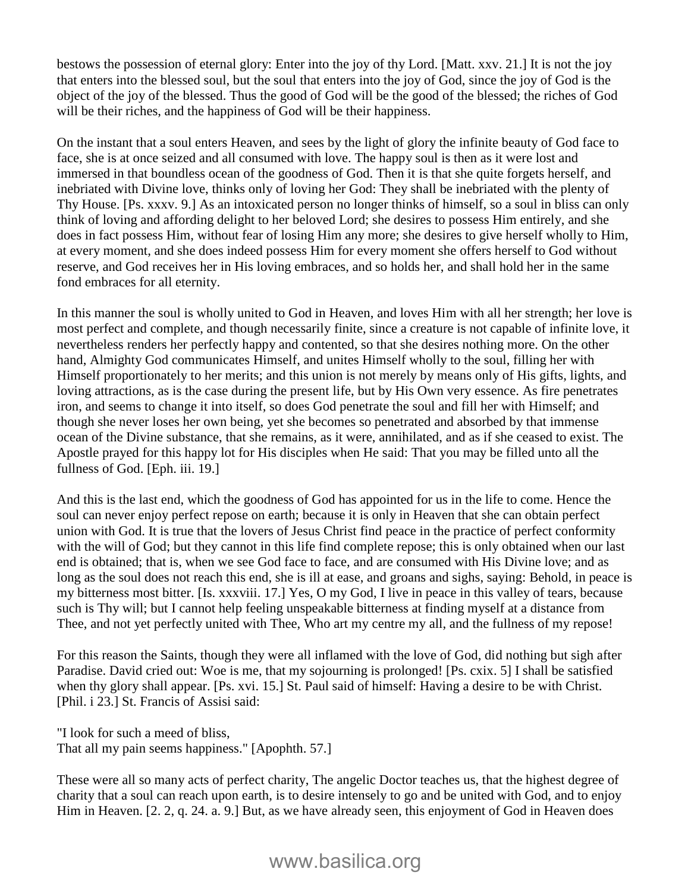bestows the possession of eternal glory: Enter into the joy of thy Lord. [Matt. xxv. 21.] It is not the joy that enters into the blessed soul, but the soul that enters into the joy of God, since the joy of God is the object of the joy of the blessed. Thus the good of God will be the good of the blessed; the riches of God will be their riches, and the happiness of God will be their happiness.

On the instant that a soul enters Heaven, and sees by the light of glory the infinite beauty of God face to face, she is at once seized and all consumed with love. The happy soul is then as it were lost and immersed in that boundless ocean of the goodness of God. Then it is that she quite forgets herself, and inebriated with Divine love, thinks only of loving her God: They shall be inebriated with the plenty of Thy House. [Ps. xxxv. 9.] As an intoxicated person no longer thinks of himself, so a soul in bliss can only think of loving and affording delight to her beloved Lord; she desires to possess Him entirely, and she does in fact possess Him, without fear of losing Him any more; she desires to give herself wholly to Him, at every moment, and she does indeed possess Him for every moment she offers herself to God without reserve, and God receives her in His loving embraces, and so holds her, and shall hold her in the same fond embraces for all eternity.

In this manner the soul is wholly united to God in Heaven, and loves Him with all her strength; her love is most perfect and complete, and though necessarily finite, since a creature is not capable of infinite love, it nevertheless renders her perfectly happy and contented, so that she desires nothing more. On the other hand, Almighty God communicates Himself, and unites Himself wholly to the soul, filling her with Himself proportionately to her merits; and this union is not merely by means only of His gifts, lights, and loving attractions, as is the case during the present life, but by His Own very essence. As fire penetrates iron, and seems to change it into itself, so does God penetrate the soul and fill her with Himself; and though she never loses her own being, yet she becomes so penetrated and absorbed by that immense ocean of the Divine substance, that she remains, as it were, annihilated, and as if she ceased to exist. The Apostle prayed for this happy lot for His disciples when He said: That you may be filled unto all the fullness of God. [Eph. iii. 19.]

And this is the last end, which the goodness of God has appointed for us in the life to come. Hence the soul can never enjoy perfect repose on earth; because it is only in Heaven that she can obtain perfect union with God. It is true that the lovers of Jesus Christ find peace in the practice of perfect conformity with the will of God; but they cannot in this life find complete repose; this is only obtained when our last end is obtained; that is, when we see God face to face, and are consumed with His Divine love; and as long as the soul does not reach this end, she is ill at ease, and groans and sighs, saying: Behold, in peace is my bitterness most bitter. [Is. xxxviii. 17.] Yes, O my God, I live in peace in this valley of tears, because such is Thy will; but I cannot help feeling unspeakable bitterness at finding myself at a distance from Thee, and not yet perfectly united with Thee, Who art my centre my all, and the fullness of my repose!

For this reason the Saints, though they were all inflamed with the love of God, did nothing but sigh after Paradise. David cried out: Woe is me, that my sojourning is prolonged! [Ps. cxix. 5] I shall be satisfied when thy glory shall appear. [Ps. xvi. 15.] St. Paul said of himself: Having a desire to be with Christ. [Phil. i 23.] St. Francis of Assisi said:

"I look for such a meed of bliss, That all my pain seems happiness." [Apophth. 57.]

These were all so many acts of perfect charity, The angelic Doctor teaches us, that the highest degree of charity that a soul can reach upon earth, is to desire intensely to go and be united with God, and to enjoy Him in Heaven. [2. 2, q. 24. a. 9.] But, as we have already seen, this enjoyment of God in Heaven does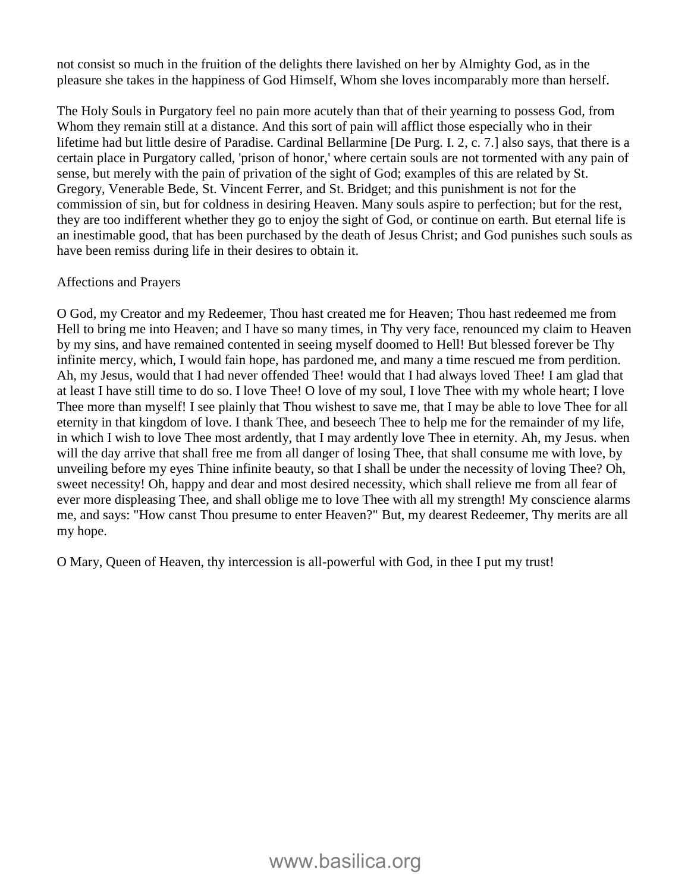not consist so much in the fruition of the delights there lavished on her by Almighty God, as in the pleasure she takes in the happiness of God Himself, Whom she loves incomparably more than herself.

The Holy Souls in Purgatory feel no pain more acutely than that of their yearning to possess God, from Whom they remain still at a distance. And this sort of pain will afflict those especially who in their lifetime had but little desire of Paradise. Cardinal Bellarmine [De Purg. I. 2, c. 7.] also says, that there is a certain place in Purgatory called, 'prison of honor,' where certain souls are not tormented with any pain of sense, but merely with the pain of privation of the sight of God; examples of this are related by St. Gregory, Venerable Bede, St. Vincent Ferrer, and St. Bridget; and this punishment is not for the commission of sin, but for coldness in desiring Heaven. Many souls aspire to perfection; but for the rest, they are too indifferent whether they go to enjoy the sight of God, or continue on earth. But eternal life is an inestimable good, that has been purchased by the death of Jesus Christ; and God punishes such souls as have been remiss during life in their desires to obtain it.

#### Affections and Prayers

O God, my Creator and my Redeemer, Thou hast created me for Heaven; Thou hast redeemed me from Hell to bring me into Heaven; and I have so many times, in Thy very face, renounced my claim to Heaven by my sins, and have remained contented in seeing myself doomed to Hell! But blessed forever be Thy infinite mercy, which, I would fain hope, has pardoned me, and many a time rescued me from perdition. Ah, my Jesus, would that I had never offended Thee! would that I had always loved Thee! I am glad that at least I have still time to do so. I love Thee! O love of my soul, I love Thee with my whole heart; I love Thee more than myself! I see plainly that Thou wishest to save me, that I may be able to love Thee for all eternity in that kingdom of love. I thank Thee, and beseech Thee to help me for the remainder of my life, in which I wish to love Thee most ardently, that I may ardently love Thee in eternity. Ah, my Jesus. when will the day arrive that shall free me from all danger of losing Thee, that shall consume me with love, by unveiling before my eyes Thine infinite beauty, so that I shall be under the necessity of loving Thee? Oh, sweet necessity! Oh, happy and dear and most desired necessity, which shall relieve me from all fear of ever more displeasing Thee, and shall oblige me to love Thee with all my strength! My conscience alarms me, and says: "How canst Thou presume to enter Heaven?" But, my dearest Redeemer, Thy merits are all my hope.

O Mary, Queen of Heaven, thy intercession is all-powerful with God, in thee I put my trust!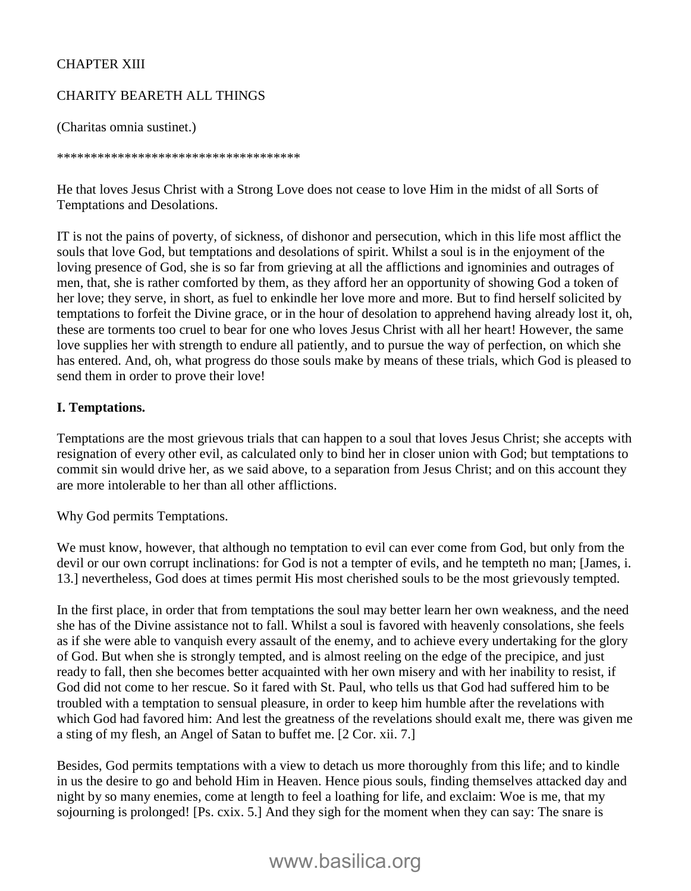### CHAPTER XIII

#### CHARITY BEARETH ALL THINGS

(Charitas omnia sustinet.)

\*\*\*\*\*\*\*\*\*\*\*\*\*\*\*\*\*\*\*\*\*\*\*\*\*\*\*\*\*\*\*\*\*\*\*\*

He that loves Jesus Christ with a Strong Love does not cease to love Him in the midst of all Sorts of Temptations and Desolations.

IT is not the pains of poverty, of sickness, of dishonor and persecution, which in this life most afflict the souls that love God, but temptations and desolations of spirit. Whilst a soul is in the enjoyment of the loving presence of God, she is so far from grieving at all the afflictions and ignominies and outrages of men, that, she is rather comforted by them, as they afford her an opportunity of showing God a token of her love; they serve, in short, as fuel to enkindle her love more and more. But to find herself solicited by temptations to forfeit the Divine grace, or in the hour of desolation to apprehend having already lost it, oh, these are torments too cruel to bear for one who loves Jesus Christ with all her heart! However, the same love supplies her with strength to endure all patiently, and to pursue the way of perfection, on which she has entered. And, oh, what progress do those souls make by means of these trials, which God is pleased to send them in order to prove their love!

#### **I. Temptations.**

Temptations are the most grievous trials that can happen to a soul that loves Jesus Christ; she accepts with resignation of every other evil, as calculated only to bind her in closer union with God; but temptations to commit sin would drive her, as we said above, to a separation from Jesus Christ; and on this account they are more intolerable to her than all other afflictions.

Why God permits Temptations.

We must know, however, that although no temptation to evil can ever come from God, but only from the devil or our own corrupt inclinations: for God is not a tempter of evils, and he tempteth no man; [James, i. 13.] nevertheless, God does at times permit His most cherished souls to be the most grievously tempted.

In the first place, in order that from temptations the soul may better learn her own weakness, and the need she has of the Divine assistance not to fall. Whilst a soul is favored with heavenly consolations, she feels as if she were able to vanquish every assault of the enemy, and to achieve every undertaking for the glory of God. But when she is strongly tempted, and is almost reeling on the edge of the precipice, and just ready to fall, then she becomes better acquainted with her own misery and with her inability to resist, if God did not come to her rescue. So it fared with St. Paul, who tells us that God had suffered him to be troubled with a temptation to sensual pleasure, in order to keep him humble after the revelations with which God had favored him: And lest the greatness of the revelations should exalt me, there was given me a sting of my flesh, an Angel of Satan to buffet me. [2 Cor. xii. 7.]

Besides, God permits temptations with a view to detach us more thoroughly from this life; and to kindle in us the desire to go and behold Him in Heaven. Hence pious souls, finding themselves attacked day and night by so many enemies, come at length to feel a loathing for life, and exclaim: Woe is me, that my sojourning is prolonged! [Ps. cxix. 5.] And they sigh for the moment when they can say: The snare is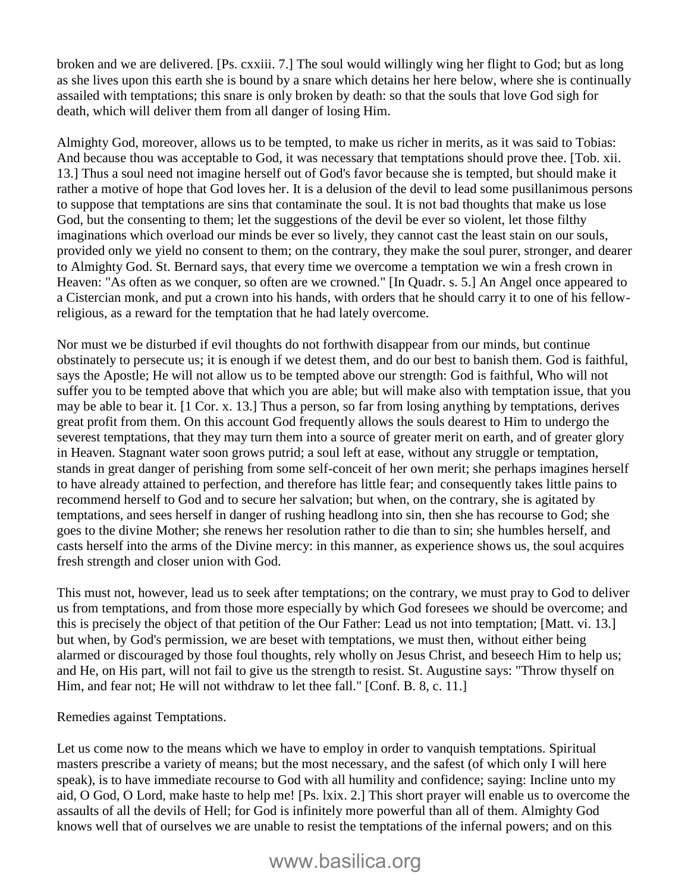broken and we are delivered. [Ps. cxxiii. 7.] The soul would willingly wing her flight to God; but as long as she lives upon this earth she is bound by a snare which detains her here below, where she is continually assailed with temptations; this snare is only broken by death: so that the souls that love God sigh for death, which will deliver them from all danger of losing Him.

Almighty God, moreover, allows us to be tempted, to make us richer in merits, as it was said to Tobias: And because thou was acceptable to God, it was necessary that temptations should prove thee. [Tob. xii. 13.] Thus a soul need not imagine herself out of God's favor because she is tempted, but should make it rather a motive of hope that God loves her. It is a delusion of the devil to lead some pusillanimous persons to suppose that temptations are sins that contaminate the soul. It is not bad thoughts that make us lose God, but the consenting to them; let the suggestions of the devil be ever so violent, let those filthy imaginations which overload our minds be ever so lively, they cannot cast the least stain on our souls, provided only we yield no consent to them; on the contrary, they make the soul purer, stronger, and dearer to Almighty God. St. Bernard says, that every time we overcome a temptation we win a fresh crown in Heaven: "As often as we conquer, so often are we crowned." [In Quadr. s. 5.] An Angel once appeared to a Cistercian monk, and put a crown into his hands, with orders that he should carry it to one of his fellowreligious, as a reward for the temptation that he had lately overcome.

Nor must we be disturbed if evil thoughts do not forthwith disappear from our minds, but continue obstinately to persecute us; it is enough if we detest them, and do our best to banish them. God is faithful, says the Apostle; He will not allow us to be tempted above our strength: God is faithful, Who will not suffer you to be tempted above that which you are able; but will make also with temptation issue, that you may be able to bear it. [1 Cor. x. 13.] Thus a person, so far from losing anything by temptations, derives great profit from them. On this account God frequently allows the souls dearest to Him to undergo the severest temptations, that they may turn them into a source of greater merit on earth, and of greater glory in Heaven. Stagnant water soon grows putrid; a soul left at ease, without any struggle or temptation, stands in great danger of perishing from some self-conceit of her own merit; she perhaps imagines herself to have already attained to perfection, and therefore has little fear; and consequently takes little pains to recommend herself to God and to secure her salvation; but when, on the contrary, she is agitated by temptations, and sees herself in danger of rushing headlong into sin, then she has recourse to God; she goes to the divine Mother; she renews her resolution rather to die than to sin; she humbles herself, and casts herself into the arms of the Divine mercy: in this manner, as experience shows us, the soul acquires fresh strength and closer union with God.

This must not, however, lead us to seek after temptations; on the contrary, we must pray to God to deliver us from temptations, and from those more especially by which God foresees we should be overcome; and this is precisely the object of that petition of the Our Father: Lead us not into temptation; [Matt. vi. 13.] but when, by God's permission, we are beset with temptations, we must then, without either being alarmed or discouraged by those foul thoughts, rely wholly on Jesus Christ, and beseech Him to help us; and He, on His part, will not fail to give us the strength to resist. St. Augustine says: "Throw thyself on Him, and fear not; He will not withdraw to let thee fall." [Conf. B. 8, c. 11.]

Remedies against Temptations.

Let us come now to the means which we have to employ in order to vanguish temptations. Spiritual masters prescribe a variety of means; but the most necessary, and the safest (of which only I will here speak), is to have immediate recourse to God with all humility and confidence; saying: Incline unto my aid, O God, O Lord, make haste to help me! [Ps. lxix. 2.] This short prayer will enable us to overcome the assaults of all the devils of Hell; for God is infinitely more powerful than all of them. Almighty God knows well that of ourselves we are unable to resist the temptations of the infernal powers; and on this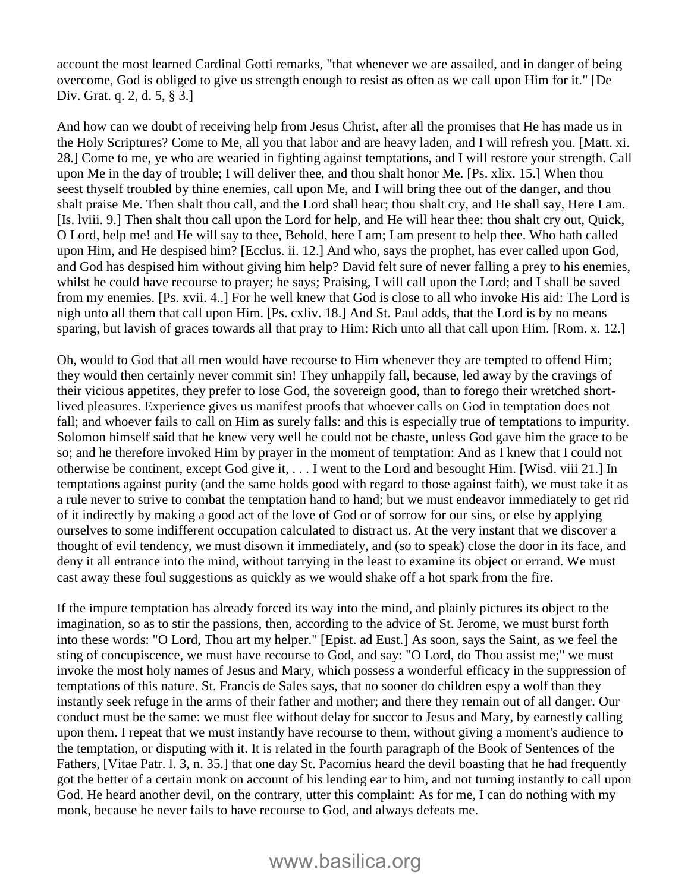account the most learned Cardinal Gotti remarks, "that whenever we are assailed, and in danger of being overcome, God is obliged to give us strength enough to resist as often as we call upon Him for it." [De Div. Grat. q. 2, d. 5, § 3.]

And how can we doubt of receiving help from Jesus Christ, after all the promises that He has made us in the Holy Scriptures? Come to Me, all you that labor and are heavy laden, and I will refresh you. [Matt. xi. 28.] Come to me, ye who are wearied in fighting against temptations, and I will restore your strength. Call upon Me in the day of trouble; I will deliver thee, and thou shalt honor Me. [Ps. xlix. 15.] When thou seest thyself troubled by thine enemies, call upon Me, and I will bring thee out of the danger, and thou shalt praise Me. Then shalt thou call, and the Lord shall hear; thou shalt cry, and He shall say, Here I am. [Is. lviii. 9.] Then shalt thou call upon the Lord for help, and He will hear thee: thou shalt cry out, Quick, O Lord, help me! and He will say to thee, Behold, here I am; I am present to help thee. Who hath called upon Him, and He despised him? [Ecclus. ii. 12.] And who, says the prophet, has ever called upon God, and God has despised him without giving him help? David felt sure of never falling a prey to his enemies, whilst he could have recourse to prayer; he says; Praising, I will call upon the Lord; and I shall be saved from my enemies. [Ps. xvii. 4..] For he well knew that God is close to all who invoke His aid: The Lord is nigh unto all them that call upon Him. [Ps. cxliv. 18.] And St. Paul adds, that the Lord is by no means sparing, but lavish of graces towards all that pray to Him: Rich unto all that call upon Him. [Rom. x. 12.]

Oh, would to God that all men would have recourse to Him whenever they are tempted to offend Him; they would then certainly never commit sin! They unhappily fall, because, led away by the cravings of their vicious appetites, they prefer to lose God, the sovereign good, than to forego their wretched shortlived pleasures. Experience gives us manifest proofs that whoever calls on God in temptation does not fall; and whoever fails to call on Him as surely falls: and this is especially true of temptations to impurity. Solomon himself said that he knew very well he could not be chaste, unless God gave him the grace to be so; and he therefore invoked Him by prayer in the moment of temptation: And as I knew that I could not otherwise be continent, except God give it, . . . I went to the Lord and besought Him. [Wisd. viii 21.] In temptations against purity (and the same holds good with regard to those against faith), we must take it as a rule never to strive to combat the temptation hand to hand; but we must endeavor immediately to get rid of it indirectly by making a good act of the love of God or of sorrow for our sins, or else by applying ourselves to some indifferent occupation calculated to distract us. At the very instant that we discover a thought of evil tendency, we must disown it immediately, and (so to speak) close the door in its face, and deny it all entrance into the mind, without tarrying in the least to examine its object or errand. We must cast away these foul suggestions as quickly as we would shake off a hot spark from the fire.

If the impure temptation has already forced its way into the mind, and plainly pictures its object to the imagination, so as to stir the passions, then, according to the advice of St. Jerome, we must burst forth into these words: "O Lord, Thou art my helper." [Epist. ad Eust.] As soon, says the Saint, as we feel the sting of concupiscence, we must have recourse to God, and say: "O Lord, do Thou assist me;" we must invoke the most holy names of Jesus and Mary, which possess a wonderful efficacy in the suppression of temptations of this nature. St. Francis de Sales says, that no sooner do children espy a wolf than they instantly seek refuge in the arms of their father and mother; and there they remain out of all danger. Our conduct must be the same: we must flee without delay for succor to Jesus and Mary, by earnestly calling upon them. I repeat that we must instantly have recourse to them, without giving a moment's audience to the temptation, or disputing with it. It is related in the fourth paragraph of the Book of Sentences of the Fathers, [Vitae Patr. l. 3, n. 35.] that one day St. Pacomius heard the devil boasting that he had frequently got the better of a certain monk on account of his lending ear to him, and not turning instantly to call upon God. He heard another devil, on the contrary, utter this complaint: As for me, I can do nothing with my monk, because he never fails to have recourse to God, and always defeats me.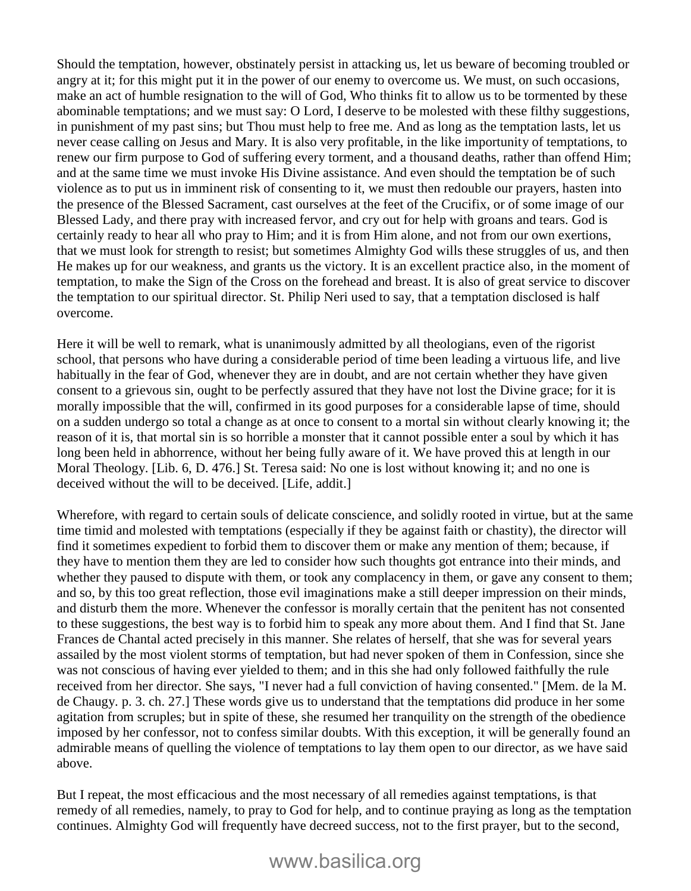Should the temptation, however, obstinately persist in attacking us, let us beware of becoming troubled or angry at it; for this might put it in the power of our enemy to overcome us. We must, on such occasions, make an act of humble resignation to the will of God, Who thinks fit to allow us to be tormented by these abominable temptations; and we must say: O Lord, I deserve to be molested with these filthy suggestions, in punishment of my past sins; but Thou must help to free me. And as long as the temptation lasts, let us never cease calling on Jesus and Mary. It is also very profitable, in the like importunity of temptations, to renew our firm purpose to God of suffering every torment, and a thousand deaths, rather than offend Him; and at the same time we must invoke His Divine assistance. And even should the temptation be of such violence as to put us in imminent risk of consenting to it, we must then redouble our prayers, hasten into the presence of the Blessed Sacrament, cast ourselves at the feet of the Crucifix, or of some image of our Blessed Lady, and there pray with increased fervor, and cry out for help with groans and tears. God is certainly ready to hear all who pray to Him; and it is from Him alone, and not from our own exertions, that we must look for strength to resist; but sometimes Almighty God wills these struggles of us, and then He makes up for our weakness, and grants us the victory. It is an excellent practice also, in the moment of temptation, to make the Sign of the Cross on the forehead and breast. It is also of great service to discover the temptation to our spiritual director. St. Philip Neri used to say, that a temptation disclosed is half overcome.

Here it will be well to remark, what is unanimously admitted by all theologians, even of the rigorist school, that persons who have during a considerable period of time been leading a virtuous life, and live habitually in the fear of God, whenever they are in doubt, and are not certain whether they have given consent to a grievous sin, ought to be perfectly assured that they have not lost the Divine grace; for it is morally impossible that the will, confirmed in its good purposes for a considerable lapse of time, should on a sudden undergo so total a change as at once to consent to a mortal sin without clearly knowing it; the reason of it is, that mortal sin is so horrible a monster that it cannot possible enter a soul by which it has long been held in abhorrence, without her being fully aware of it. We have proved this at length in our Moral Theology. [Lib. 6, D. 476.] St. Teresa said: No one is lost without knowing it; and no one is deceived without the will to be deceived. [Life, addit.]

Wherefore, with regard to certain souls of delicate conscience, and solidly rooted in virtue, but at the same time timid and molested with temptations (especially if they be against faith or chastity), the director will find it sometimes expedient to forbid them to discover them or make any mention of them; because, if they have to mention them they are led to consider how such thoughts got entrance into their minds, and whether they paused to dispute with them, or took any complacency in them, or gave any consent to them; and so, by this too great reflection, those evil imaginations make a still deeper impression on their minds, and disturb them the more. Whenever the confessor is morally certain that the penitent has not consented to these suggestions, the best way is to forbid him to speak any more about them. And I find that St. Jane Frances de Chantal acted precisely in this manner. She relates of herself, that she was for several years assailed by the most violent storms of temptation, but had never spoken of them in Confession, since she was not conscious of having ever yielded to them; and in this she had only followed faithfully the rule received from her director. She says, "I never had a full conviction of having consented." [Mem. de la M. de Chaugy. p. 3. ch. 27.] These words give us to understand that the temptations did produce in her some agitation from scruples; but in spite of these, she resumed her tranquility on the strength of the obedience imposed by her confessor, not to confess similar doubts. With this exception, it will be generally found an admirable means of quelling the violence of temptations to lay them open to our director, as we have said above.

But I repeat, the most efficacious and the most necessary of all remedies against temptations, is that remedy of all remedies, namely, to pray to God for help, and to continue praying as long as the temptation continues. Almighty God will frequently have decreed success, not to the first prayer, but to the second,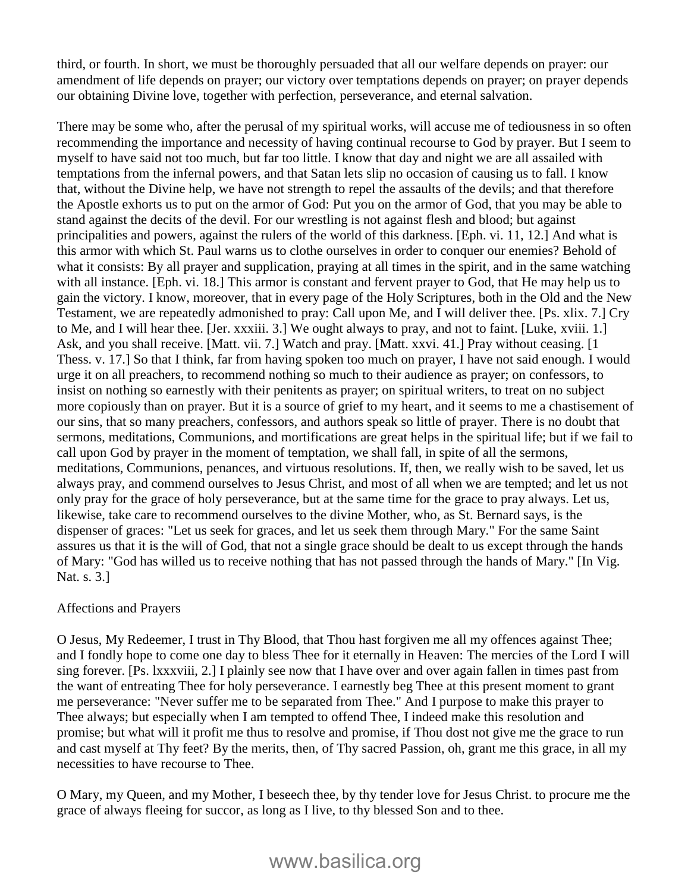third, or fourth. In short, we must be thoroughly persuaded that all our welfare depends on prayer: our amendment of life depends on prayer; our victory over temptations depends on prayer; on prayer depends our obtaining Divine love, together with perfection, perseverance, and eternal salvation.

There may be some who, after the perusal of my spiritual works, will accuse me of tediousness in so often recommending the importance and necessity of having continual recourse to God by prayer. But I seem to myself to have said not too much, but far too little. I know that day and night we are all assailed with temptations from the infernal powers, and that Satan lets slip no occasion of causing us to fall. I know that, without the Divine help, we have not strength to repel the assaults of the devils; and that therefore the Apostle exhorts us to put on the armor of God: Put you on the armor of God, that you may be able to stand against the decits of the devil. For our wrestling is not against flesh and blood; but against principalities and powers, against the rulers of the world of this darkness. [Eph. vi. 11, 12.] And what is this armor with which St. Paul warns us to clothe ourselves in order to conquer our enemies? Behold of what it consists: By all prayer and supplication, praying at all times in the spirit, and in the same watching with all instance. [Eph. vi. 18.] This armor is constant and fervent prayer to God, that He may help us to gain the victory. I know, moreover, that in every page of the Holy Scriptures, both in the Old and the New Testament, we are repeatedly admonished to pray: Call upon Me, and I will deliver thee. [Ps. xlix. 7.] Cry to Me, and I will hear thee. [Jer. xxxiii. 3.] We ought always to pray, and not to faint. [Luke, xviii. 1.] Ask, and you shall receive. [Matt. vii. 7.] Watch and pray. [Matt. xxvi. 41.] Pray without ceasing. [1 Thess. v. 17.] So that I think, far from having spoken too much on prayer, I have not said enough. I would urge it on all preachers, to recommend nothing so much to their audience as prayer; on confessors, to insist on nothing so earnestly with their penitents as prayer; on spiritual writers, to treat on no subject more copiously than on prayer. But it is a source of grief to my heart, and it seems to me a chastisement of our sins, that so many preachers, confessors, and authors speak so little of prayer. There is no doubt that sermons, meditations, Communions, and mortifications are great helps in the spiritual life; but if we fail to call upon God by prayer in the moment of temptation, we shall fall, in spite of all the sermons, meditations, Communions, penances, and virtuous resolutions. If, then, we really wish to be saved, let us always pray, and commend ourselves to Jesus Christ, and most of all when we are tempted; and let us not only pray for the grace of holy perseverance, but at the same time for the grace to pray always. Let us, likewise, take care to recommend ourselves to the divine Mother, who, as St. Bernard says, is the dispenser of graces: "Let us seek for graces, and let us seek them through Mary." For the same Saint assures us that it is the will of God, that not a single grace should be dealt to us except through the hands of Mary: "God has willed us to receive nothing that has not passed through the hands of Mary." [In Vig. Nat. s. 3.]

#### Affections and Prayers

O Jesus, My Redeemer, I trust in Thy Blood, that Thou hast forgiven me all my offences against Thee; and I fondly hope to come one day to bless Thee for it eternally in Heaven: The mercies of the Lord I will sing forever. [Ps. lxxxviii, 2.] I plainly see now that I have over and over again fallen in times past from the want of entreating Thee for holy perseverance. I earnestly beg Thee at this present moment to grant me perseverance: "Never suffer me to be separated from Thee." And I purpose to make this prayer to Thee always; but especially when I am tempted to offend Thee, I indeed make this resolution and promise; but what will it profit me thus to resolve and promise, if Thou dost not give me the grace to run and cast myself at Thy feet? By the merits, then, of Thy sacred Passion, oh, grant me this grace, in all my necessities to have recourse to Thee.

O Mary, my Queen, and my Mother, I beseech thee, by thy tender love for Jesus Christ. to procure me the grace of always fleeing for succor, as long as I live, to thy blessed Son and to thee.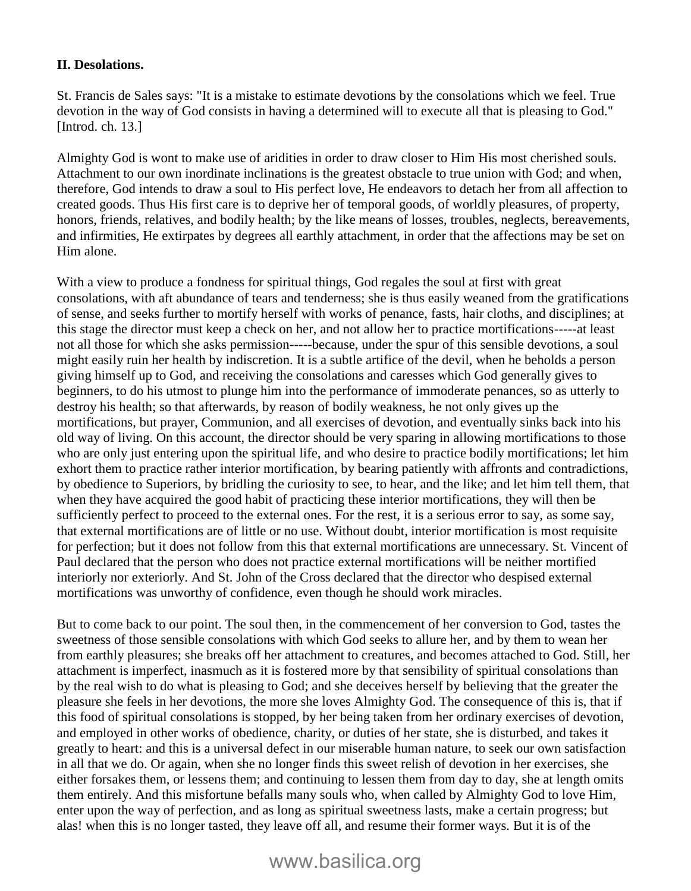#### **II. Desolations.**

St. Francis de Sales says: "It is a mistake to estimate devotions by the consolations which we feel. True devotion in the way of God consists in having a determined will to execute all that is pleasing to God." [Introd. ch. 13.]

Almighty God is wont to make use of aridities in order to draw closer to Him His most cherished souls. Attachment to our own inordinate inclinations is the greatest obstacle to true union with God; and when, therefore, God intends to draw a soul to His perfect love, He endeavors to detach her from all affection to created goods. Thus His first care is to deprive her of temporal goods, of worldly pleasures, of property, honors, friends, relatives, and bodily health; by the like means of losses, troubles, neglects, bereavements, and infirmities, He extirpates by degrees all earthly attachment, in order that the affections may be set on Him alone.

With a view to produce a fondness for spiritual things, God regales the soul at first with great consolations, with aft abundance of tears and tenderness; she is thus easily weaned from the gratifications of sense, and seeks further to mortify herself with works of penance, fasts, hair cloths, and disciplines; at this stage the director must keep a check on her, and not allow her to practice mortifications-----at least not all those for which she asks permission-----because, under the spur of this sensible devotions, a soul might easily ruin her health by indiscretion. It is a subtle artifice of the devil, when he beholds a person giving himself up to God, and receiving the consolations and caresses which God generally gives to beginners, to do his utmost to plunge him into the performance of immoderate penances, so as utterly to destroy his health; so that afterwards, by reason of bodily weakness, he not only gives up the mortifications, but prayer, Communion, and all exercises of devotion, and eventually sinks back into his old way of living. On this account, the director should be very sparing in allowing mortifications to those who are only just entering upon the spiritual life, and who desire to practice bodily mortifications; let him exhort them to practice rather interior mortification, by bearing patiently with affronts and contradictions, by obedience to Superiors, by bridling the curiosity to see, to hear, and the like; and let him tell them, that when they have acquired the good habit of practicing these interior mortifications, they will then be sufficiently perfect to proceed to the external ones. For the rest, it is a serious error to say, as some say, that external mortifications are of little or no use. Without doubt, interior mortification is most requisite for perfection; but it does not follow from this that external mortifications are unnecessary. St. Vincent of Paul declared that the person who does not practice external mortifications will be neither mortified interiorly nor exteriorly. And St. John of the Cross declared that the director who despised external mortifications was unworthy of confidence, even though he should work miracles.

But to come back to our point. The soul then, in the commencement of her conversion to God, tastes the sweetness of those sensible consolations with which God seeks to allure her, and by them to wean her from earthly pleasures; she breaks off her attachment to creatures, and becomes attached to God. Still, her attachment is imperfect, inasmuch as it is fostered more by that sensibility of spiritual consolations than by the real wish to do what is pleasing to God; and she deceives herself by believing that the greater the pleasure she feels in her devotions, the more she loves Almighty God. The consequence of this is, that if this food of spiritual consolations is stopped, by her being taken from her ordinary exercises of devotion, and employed in other works of obedience, charity, or duties of her state, she is disturbed, and takes it greatly to heart: and this is a universal defect in our miserable human nature, to seek our own satisfaction in all that we do. Or again, when she no longer finds this sweet relish of devotion in her exercises, she either forsakes them, or lessens them; and continuing to lessen them from day to day, she at length omits them entirely. And this misfortune befalls many souls who, when called by Almighty God to love Him, enter upon the way of perfection, and as long as spiritual sweetness lasts, make a certain progress; but alas! when this is no longer tasted, they leave off all, and resume their former ways. But it is of the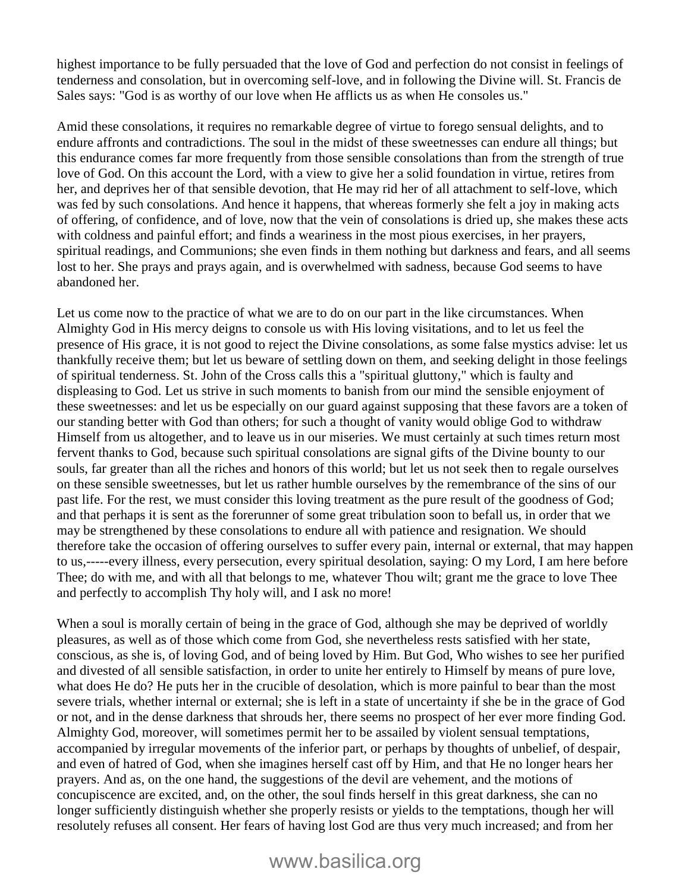highest importance to be fully persuaded that the love of God and perfection do not consist in feelings of tenderness and consolation, but in overcoming self-love, and in following the Divine will. St. Francis de Sales says: "God is as worthy of our love when He afflicts us as when He consoles us."

Amid these consolations, it requires no remarkable degree of virtue to forego sensual delights, and to endure affronts and contradictions. The soul in the midst of these sweetnesses can endure all things; but this endurance comes far more frequently from those sensible consolations than from the strength of true love of God. On this account the Lord, with a view to give her a solid foundation in virtue, retires from her, and deprives her of that sensible devotion, that He may rid her of all attachment to self-love, which was fed by such consolations. And hence it happens, that whereas formerly she felt a joy in making acts of offering, of confidence, and of love, now that the vein of consolations is dried up, she makes these acts with coldness and painful effort; and finds a weariness in the most pious exercises, in her prayers, spiritual readings, and Communions; she even finds in them nothing but darkness and fears, and all seems lost to her. She prays and prays again, and is overwhelmed with sadness, because God seems to have abandoned her.

Let us come now to the practice of what we are to do on our part in the like circumstances. When Almighty God in His mercy deigns to console us with His loving visitations, and to let us feel the presence of His grace, it is not good to reject the Divine consolations, as some false mystics advise: let us thankfully receive them; but let us beware of settling down on them, and seeking delight in those feelings of spiritual tenderness. St. John of the Cross calls this a "spiritual gluttony," which is faulty and displeasing to God. Let us strive in such moments to banish from our mind the sensible enjoyment of these sweetnesses: and let us be especially on our guard against supposing that these favors are a token of our standing better with God than others; for such a thought of vanity would oblige God to withdraw Himself from us altogether, and to leave us in our miseries. We must certainly at such times return most fervent thanks to God, because such spiritual consolations are signal gifts of the Divine bounty to our souls, far greater than all the riches and honors of this world; but let us not seek then to regale ourselves on these sensible sweetnesses, but let us rather humble ourselves by the remembrance of the sins of our past life. For the rest, we must consider this loving treatment as the pure result of the goodness of God; and that perhaps it is sent as the forerunner of some great tribulation soon to befall us, in order that we may be strengthened by these consolations to endure all with patience and resignation. We should therefore take the occasion of offering ourselves to suffer every pain, internal or external, that may happen to us,-----every illness, every persecution, every spiritual desolation, saying: O my Lord, I am here before Thee; do with me, and with all that belongs to me, whatever Thou wilt; grant me the grace to love Thee and perfectly to accomplish Thy holy will, and I ask no more!

When a soul is morally certain of being in the grace of God, although she may be deprived of worldly pleasures, as well as of those which come from God, she nevertheless rests satisfied with her state, conscious, as she is, of loving God, and of being loved by Him. But God, Who wishes to see her purified and divested of all sensible satisfaction, in order to unite her entirely to Himself by means of pure love, what does He do? He puts her in the crucible of desolation, which is more painful to bear than the most severe trials, whether internal or external; she is left in a state of uncertainty if she be in the grace of God or not, and in the dense darkness that shrouds her, there seems no prospect of her ever more finding God. Almighty God, moreover, will sometimes permit her to be assailed by violent sensual temptations, accompanied by irregular movements of the inferior part, or perhaps by thoughts of unbelief, of despair, and even of hatred of God, when she imagines herself cast off by Him, and that He no longer hears her prayers. And as, on the one hand, the suggestions of the devil are vehement, and the motions of concupiscence are excited, and, on the other, the soul finds herself in this great darkness, she can no longer sufficiently distinguish whether she properly resists or yields to the temptations, though her will resolutely refuses all consent. Her fears of having lost God are thus very much increased; and from her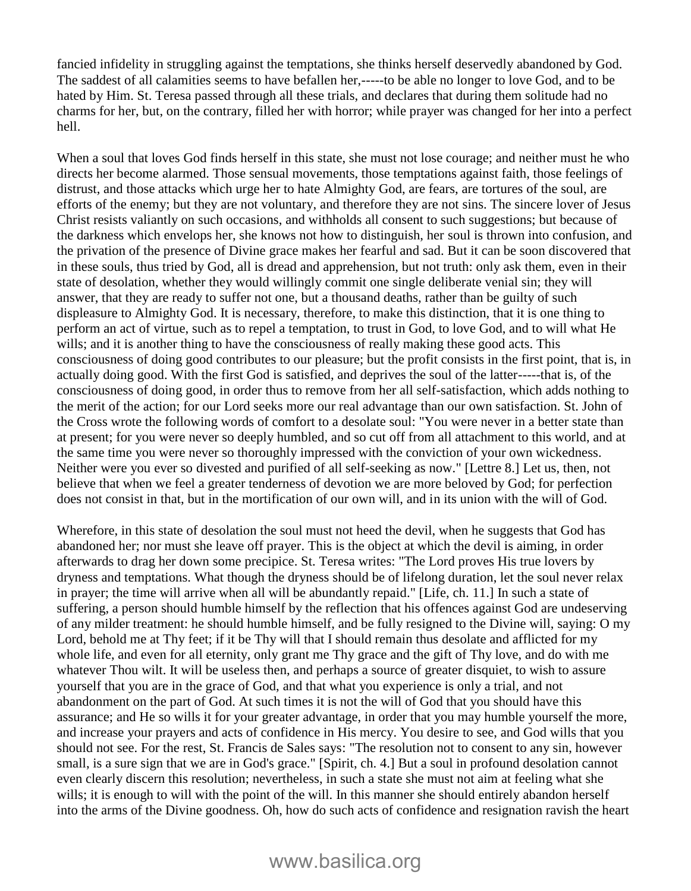fancied infidelity in struggling against the temptations, she thinks herself deservedly abandoned by God. The saddest of all calamities seems to have befallen her,-----to be able no longer to love God, and to be hated by Him. St. Teresa passed through all these trials, and declares that during them solitude had no charms for her, but, on the contrary, filled her with horror; while prayer was changed for her into a perfect hell.

When a soul that loves God finds herself in this state, she must not lose courage; and neither must he who directs her become alarmed. Those sensual movements, those temptations against faith, those feelings of distrust, and those attacks which urge her to hate Almighty God, are fears, are tortures of the soul, are efforts of the enemy; but they are not voluntary, and therefore they are not sins. The sincere lover of Jesus Christ resists valiantly on such occasions, and withholds all consent to such suggestions; but because of the darkness which envelops her, she knows not how to distinguish, her soul is thrown into confusion, and the privation of the presence of Divine grace makes her fearful and sad. But it can be soon discovered that in these souls, thus tried by God, all is dread and apprehension, but not truth: only ask them, even in their state of desolation, whether they would willingly commit one single deliberate venial sin; they will answer, that they are ready to suffer not one, but a thousand deaths, rather than be guilty of such displeasure to Almighty God. It is necessary, therefore, to make this distinction, that it is one thing to perform an act of virtue, such as to repel a temptation, to trust in God, to love God, and to will what He wills; and it is another thing to have the consciousness of really making these good acts. This consciousness of doing good contributes to our pleasure; but the profit consists in the first point, that is, in actually doing good. With the first God is satisfied, and deprives the soul of the latter-----that is, of the consciousness of doing good, in order thus to remove from her all self-satisfaction, which adds nothing to the merit of the action; for our Lord seeks more our real advantage than our own satisfaction. St. John of the Cross wrote the following words of comfort to a desolate soul: "You were never in a better state than at present; for you were never so deeply humbled, and so cut off from all attachment to this world, and at the same time you were never so thoroughly impressed with the conviction of your own wickedness. Neither were you ever so divested and purified of all self-seeking as now." [Lettre 8.] Let us, then, not believe that when we feel a greater tenderness of devotion we are more beloved by God; for perfection does not consist in that, but in the mortification of our own will, and in its union with the will of God.

Wherefore, in this state of desolation the soul must not heed the devil, when he suggests that God has abandoned her; nor must she leave off prayer. This is the object at which the devil is aiming, in order afterwards to drag her down some precipice. St. Teresa writes: "The Lord proves His true lovers by dryness and temptations. What though the dryness should be of lifelong duration, let the soul never relax in prayer; the time will arrive when all will be abundantly repaid." [Life, ch. 11.] In such a state of suffering, a person should humble himself by the reflection that his offences against God are undeserving of any milder treatment: he should humble himself, and be fully resigned to the Divine will, saying: O my Lord, behold me at Thy feet; if it be Thy will that I should remain thus desolate and afflicted for my whole life, and even for all eternity, only grant me Thy grace and the gift of Thy love, and do with me whatever Thou wilt. It will be useless then, and perhaps a source of greater disquiet, to wish to assure yourself that you are in the grace of God, and that what you experience is only a trial, and not abandonment on the part of God. At such times it is not the will of God that you should have this assurance; and He so wills it for your greater advantage, in order that you may humble yourself the more, and increase your prayers and acts of confidence in His mercy. You desire to see, and God wills that you should not see. For the rest, St. Francis de Sales says: "The resolution not to consent to any sin, however small, is a sure sign that we are in God's grace." [Spirit, ch. 4.] But a soul in profound desolation cannot even clearly discern this resolution; nevertheless, in such a state she must not aim at feeling what she wills; it is enough to will with the point of the will. In this manner she should entirely abandon herself into the arms of the Divine goodness. Oh, how do such acts of confidence and resignation ravish the heart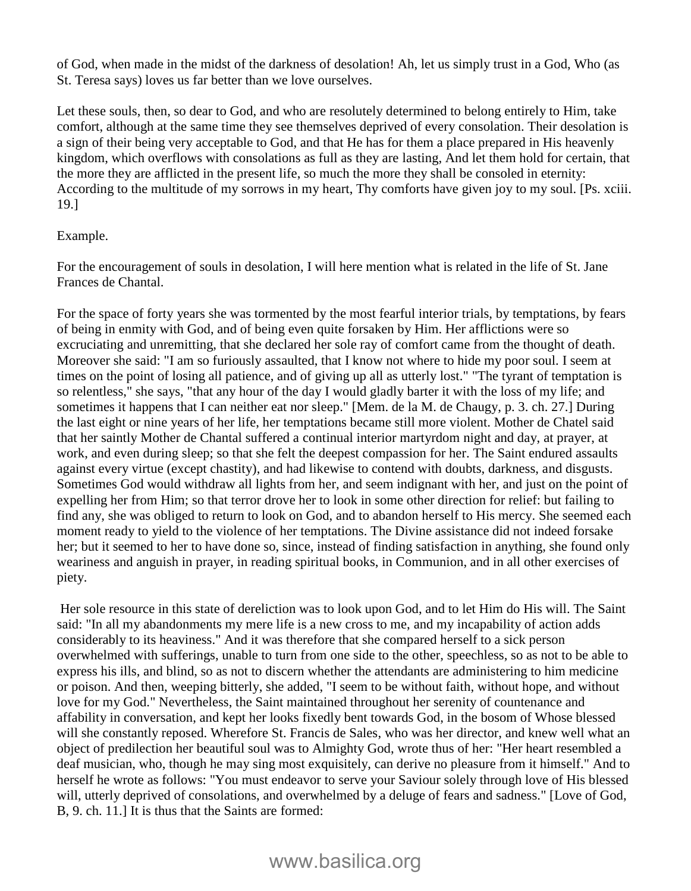of God, when made in the midst of the darkness of desolation! Ah, let us simply trust in a God, Who (as St. Teresa says) loves us far better than we love ourselves.

Let these souls, then, so dear to God, and who are resolutely determined to belong entirely to Him, take comfort, although at the same time they see themselves deprived of every consolation. Their desolation is a sign of their being very acceptable to God, and that He has for them a place prepared in His heavenly kingdom, which overflows with consolations as full as they are lasting, And let them hold for certain, that the more they are afflicted in the present life, so much the more they shall be consoled in eternity: According to the multitude of my sorrows in my heart, Thy comforts have given joy to my soul. [Ps. xciii. 19.]

#### Example.

For the encouragement of souls in desolation, I will here mention what is related in the life of St. Jane Frances de Chantal.

For the space of forty years she was tormented by the most fearful interior trials, by temptations, by fears of being in enmity with God, and of being even quite forsaken by Him. Her afflictions were so excruciating and unremitting, that she declared her sole ray of comfort came from the thought of death. Moreover she said: "I am so furiously assaulted, that I know not where to hide my poor soul. I seem at times on the point of losing all patience, and of giving up all as utterly lost." "The tyrant of temptation is so relentless," she says, "that any hour of the day I would gladly barter it with the loss of my life; and sometimes it happens that I can neither eat nor sleep." [Mem. de la M. de Chaugy, p. 3. ch. 27.] During the last eight or nine years of her life, her temptations became still more violent. Mother de Chatel said that her saintly Mother de Chantal suffered a continual interior martyrdom night and day, at prayer, at work, and even during sleep; so that she felt the deepest compassion for her. The Saint endured assaults against every virtue (except chastity), and had likewise to contend with doubts, darkness, and disgusts. Sometimes God would withdraw all lights from her, and seem indignant with her, and just on the point of expelling her from Him; so that terror drove her to look in some other direction for relief: but failing to find any, she was obliged to return to look on God, and to abandon herself to His mercy. She seemed each moment ready to yield to the violence of her temptations. The Divine assistance did not indeed forsake her; but it seemed to her to have done so, since, instead of finding satisfaction in anything, she found only weariness and anguish in prayer, in reading spiritual books, in Communion, and in all other exercises of piety.

Her sole resource in this state of dereliction was to look upon God, and to let Him do His will. The Saint said: "In all my abandonments my mere life is a new cross to me, and my incapability of action adds considerably to its heaviness." And it was therefore that she compared herself to a sick person overwhelmed with sufferings, unable to turn from one side to the other, speechless, so as not to be able to express his ills, and blind, so as not to discern whether the attendants are administering to him medicine or poison. And then, weeping bitterly, she added, "I seem to be without faith, without hope, and without love for my God." Nevertheless, the Saint maintained throughout her serenity of countenance and affability in conversation, and kept her looks fixedly bent towards God, in the bosom of Whose blessed will she constantly reposed. Wherefore St. Francis de Sales, who was her director, and knew well what an object of predilection her beautiful soul was to Almighty God, wrote thus of her: "Her heart resembled a deaf musician, who, though he may sing most exquisitely, can derive no pleasure from it himself." And to herself he wrote as follows: "You must endeavor to serve your Saviour solely through love of His blessed will, utterly deprived of consolations, and overwhelmed by a deluge of fears and sadness." [Love of God, B, 9. ch. 11.] It is thus that the Saints are formed: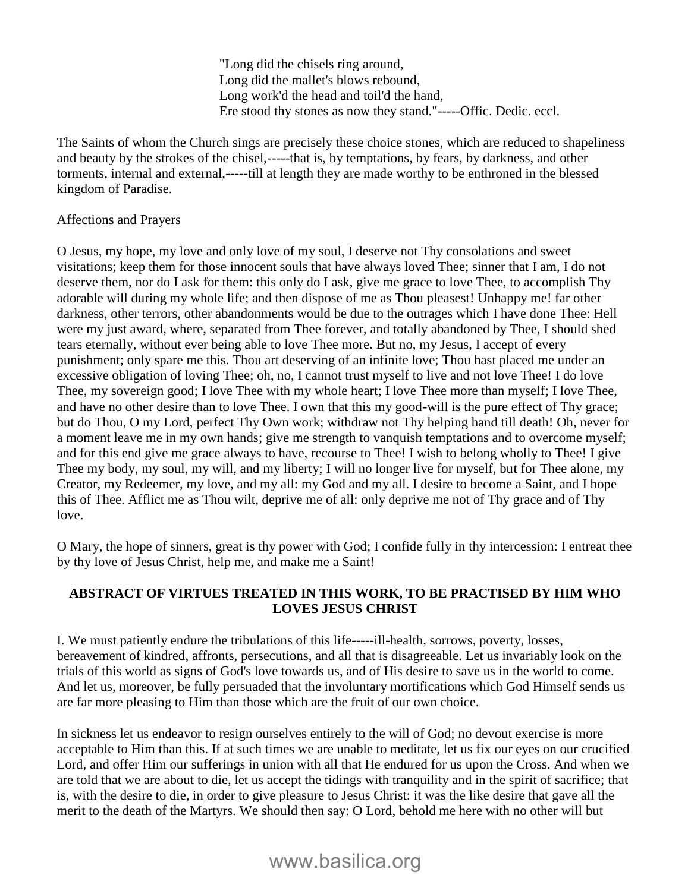"Long did the chisels ring around, Long did the mallet's blows rebound, Long work'd the head and toil'd the hand, Ere stood thy stones as now they stand."-----Offic. Dedic. eccl.

The Saints of whom the Church sings are precisely these choice stones, which are reduced to shapeliness and beauty by the strokes of the chisel,-----that is, by temptations, by fears, by darkness, and other torments, internal and external,-----till at length they are made worthy to be enthroned in the blessed kingdom of Paradise.

#### Affections and Prayers

O Jesus, my hope, my love and only love of my soul, I deserve not Thy consolations and sweet visitations; keep them for those innocent souls that have always loved Thee; sinner that I am, I do not deserve them, nor do I ask for them: this only do I ask, give me grace to love Thee, to accomplish Thy adorable will during my whole life; and then dispose of me as Thou pleasest! Unhappy me! far other darkness, other terrors, other abandonments would be due to the outrages which I have done Thee: Hell were my just award, where, separated from Thee forever, and totally abandoned by Thee, I should shed tears eternally, without ever being able to love Thee more. But no, my Jesus, I accept of every punishment; only spare me this. Thou art deserving of an infinite love; Thou hast placed me under an excessive obligation of loving Thee; oh, no, I cannot trust myself to live and not love Thee! I do love Thee, my sovereign good; I love Thee with my whole heart; I love Thee more than myself; I love Thee, and have no other desire than to love Thee. I own that this my good-will is the pure effect of Thy grace; but do Thou, O my Lord, perfect Thy Own work; withdraw not Thy helping hand till death! Oh, never for a moment leave me in my own hands; give me strength to vanquish temptations and to overcome myself; and for this end give me grace always to have, recourse to Thee! I wish to belong wholly to Thee! I give Thee my body, my soul, my will, and my liberty; I will no longer live for myself, but for Thee alone, my Creator, my Redeemer, my love, and my all: my God and my all. I desire to become a Saint, and I hope this of Thee. Afflict me as Thou wilt, deprive me of all: only deprive me not of Thy grace and of Thy love.

O Mary, the hope of sinners, great is thy power with God; I confide fully in thy intercession: I entreat thee by thy love of Jesus Christ, help me, and make me a Saint!

### **ABSTRACT OF VIRTUES TREATED IN THIS WORK, TO BE PRACTISED BY HIM WHO LOVES JESUS CHRIST**

I. We must patiently endure the tribulations of this life-----ill-health, sorrows, poverty, losses, bereavement of kindred, affronts, persecutions, and all that is disagreeable. Let us invariably look on the trials of this world as signs of God's love towards us, and of His desire to save us in the world to come. And let us, moreover, be fully persuaded that the involuntary mortifications which God Himself sends us are far more pleasing to Him than those which are the fruit of our own choice.

In sickness let us endeavor to resign ourselves entirely to the will of God; no devout exercise is more acceptable to Him than this. If at such times we are unable to meditate, let us fix our eyes on our crucified Lord, and offer Him our sufferings in union with all that He endured for us upon the Cross. And when we are told that we are about to die, let us accept the tidings with tranquility and in the spirit of sacrifice; that is, with the desire to die, in order to give pleasure to Jesus Christ: it was the like desire that gave all the merit to the death of the Martyrs. We should then say: O Lord, behold me here with no other will but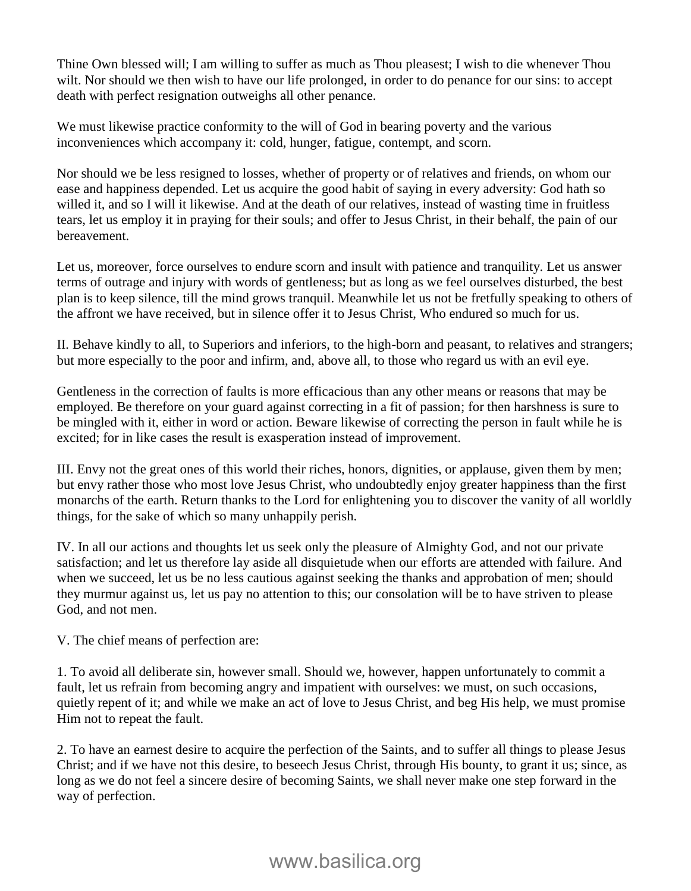Thine Own blessed will; I am willing to suffer as much as Thou pleasest; I wish to die whenever Thou wilt. Nor should we then wish to have our life prolonged, in order to do penance for our sins: to accept death with perfect resignation outweighs all other penance.

We must likewise practice conformity to the will of God in bearing poverty and the various inconveniences which accompany it: cold, hunger, fatigue, contempt, and scorn.

Nor should we be less resigned to losses, whether of property or of relatives and friends, on whom our ease and happiness depended. Let us acquire the good habit of saying in every adversity: God hath so willed it, and so I will it likewise. And at the death of our relatives, instead of wasting time in fruitless tears, let us employ it in praying for their souls; and offer to Jesus Christ, in their behalf, the pain of our bereavement.

Let us, moreover, force ourselves to endure scorn and insult with patience and tranquility. Let us answer terms of outrage and injury with words of gentleness; but as long as we feel ourselves disturbed, the best plan is to keep silence, till the mind grows tranquil. Meanwhile let us not be fretfully speaking to others of the affront we have received, but in silence offer it to Jesus Christ, Who endured so much for us.

II. Behave kindly to all, to Superiors and inferiors, to the high-born and peasant, to relatives and strangers; but more especially to the poor and infirm, and, above all, to those who regard us with an evil eye.

Gentleness in the correction of faults is more efficacious than any other means or reasons that may be employed. Be therefore on your guard against correcting in a fit of passion; for then harshness is sure to be mingled with it, either in word or action. Beware likewise of correcting the person in fault while he is excited; for in like cases the result is exasperation instead of improvement.

III. Envy not the great ones of this world their riches, honors, dignities, or applause, given them by men; but envy rather those who most love Jesus Christ, who undoubtedly enjoy greater happiness than the first monarchs of the earth. Return thanks to the Lord for enlightening you to discover the vanity of all worldly things, for the sake of which so many unhappily perish.

IV. In all our actions and thoughts let us seek only the pleasure of Almighty God, and not our private satisfaction; and let us therefore lay aside all disquietude when our efforts are attended with failure. And when we succeed, let us be no less cautious against seeking the thanks and approbation of men; should they murmur against us, let us pay no attention to this; our consolation will be to have striven to please God, and not men.

V. The chief means of perfection are:

1. To avoid all deliberate sin, however small. Should we, however, happen unfortunately to commit a fault, let us refrain from becoming angry and impatient with ourselves: we must, on such occasions, quietly repent of it; and while we make an act of love to Jesus Christ, and beg His help, we must promise Him not to repeat the fault.

2. To have an earnest desire to acquire the perfection of the Saints, and to suffer all things to please Jesus Christ; and if we have not this desire, to beseech Jesus Christ, through His bounty, to grant it us; since, as long as we do not feel a sincere desire of becoming Saints, we shall never make one step forward in the way of perfection.